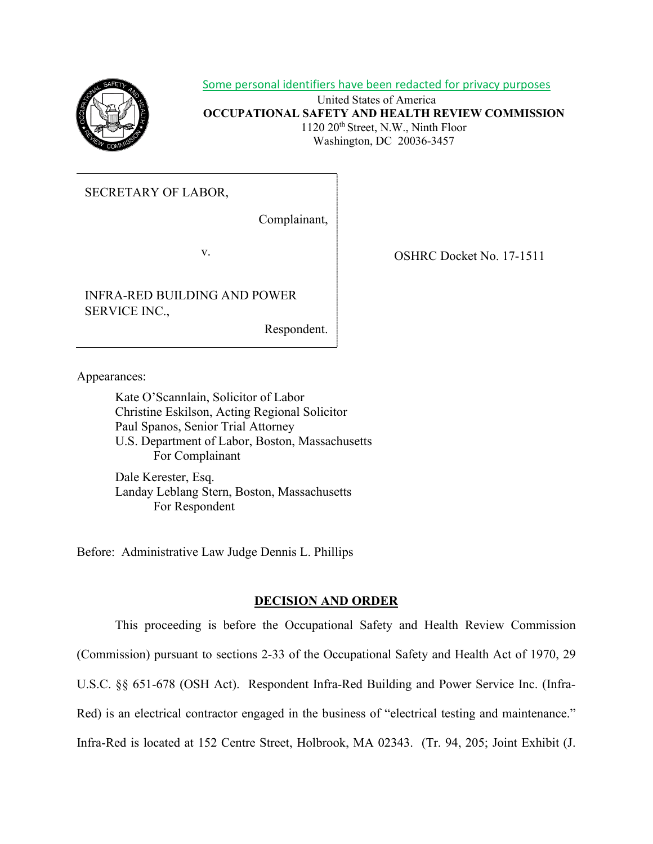

Some personal identifiers have been redacted for privacy purposes

United States of America **OCCUPATIONAL SAFETY AND HEALTH REVIEW COMMISSION** 1120 20th Street, N.W., Ninth Floor Washington, DC 20036-3457

SECRETARY OF LABOR,

Complainant,

INFRA-RED BUILDING AND POWER SERVICE INC.,

Respondent.

v. SHRC Docket No. 17-1511

Appearances:

Kate O'Scannlain, Solicitor of Labor Christine Eskilson, Acting Regional Solicitor Paul Spanos, Senior Trial Attorney U.S. Department of Labor, Boston, Massachusetts For Complainant

Dale Kerester, Esq. Landay Leblang Stern, Boston, Massachusetts For Respondent

Before: Administrative Law Judge Dennis L. Phillips

# **DECISION AND ORDER**

This proceeding is before the Occupational Safety and Health Review Commission (Commission) pursuant to sections 2-33 of the Occupational Safety and Health Act of 1970, 29 U.S.C. §§ 651-678 (OSH Act). Respondent Infra-Red Building and Power Service Inc. (Infra-Red) is an electrical contractor engaged in the business of "electrical testing and maintenance." Infra-Red is located at 152 Centre Street, Holbrook, MA 02343. (Tr. 94, 205; Joint Exhibit (J.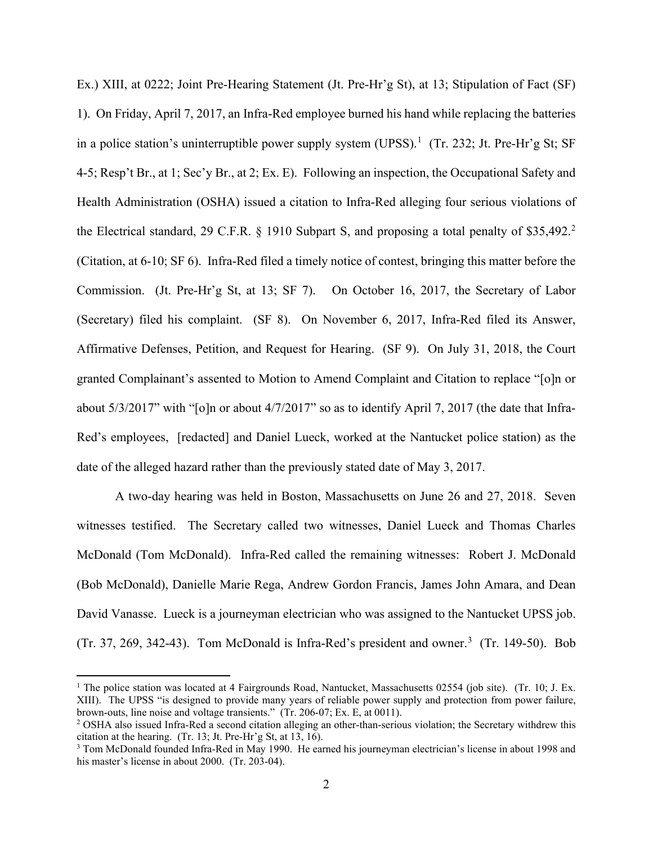Ex.) XIII, at 0222; Joint Pre-Hearing Statement (Jt. Pre-Hr'g St), at 13; Stipulation of Fact (SF) 1). On Friday, April 7, 2017, an Infra-Red employee burned his hand while replacing the batteries in a police station's uninterruptible power supply system (UPSS).<sup>[1](#page-1-0)</sup> (Tr. 232; Jt. Pre-Hr'g St; SF 4-5; Resp't Br., at 1; Sec'y Br., at 2; Ex. E). Following an inspection, the Occupational Safety and Health Administration (OSHA) issued a citation to Infra-Red alleging four serious violations of the Electrical standard, [2](#page-1-1)9 C.F.R.  $\S$  1910 Subpart S, and proposing a total penalty of \$35,492.<sup>2</sup> (Citation, at 6-10; SF 6). Infra-Red filed a timely notice of contest, bringing this matter before the Commission. (Jt. Pre-Hr'g St, at 13; SF 7). On October 16, 2017, the Secretary of Labor (Secretary) filed his complaint. (SF 8). On November 6, 2017, Infra-Red filed its Answer, Affirmative Defenses, Petition, and Request for Hearing. (SF 9). On July 31, 2018, the Court granted Complainant's assented to Motion to Amend Complaint and Citation to replace "[o]n or about 5/3/2017" with "[o]n or about 4/7/2017" so as to identify April 7, 2017 (the date that Infra-Red's employees, [redacted] and Daniel Lueck, worked at the Nantucket police station) as the date of the alleged hazard rather than the previously stated date of May 3, 2017.

A two-day hearing was held in Boston, Massachusetts on June 26 and 27, 2018. Seven witnesses testified. The Secretary called two witnesses, Daniel Lueck and Thomas Charles McDonald (Tom McDonald). Infra-Red called the remaining witnesses: Robert J. McDonald (Bob McDonald), Danielle Marie Rega, Andrew Gordon Francis, James John Amara, and Dean David Vanasse. Lueck is a journeyman electrician who was assigned to the Nantucket UPSS job. (Tr. [3](#page-1-2)7, 269, 342-43). Tom McDonald is Infra-Red's president and owner.<sup>3</sup> (Tr. 149-50). Bob

<span id="page-1-0"></span><sup>&</sup>lt;sup>1</sup> The police station was located at 4 Fairgrounds Road, Nantucket, Massachusetts 02554 (job site). (Tr. 10; J. Ex. XIII). The UPSS "is designed to provide many years of reliable power supply and protection from power failure, brown-outs, line noise and voltage transients." (Tr. 206-07; Ex. E, at 0011).  $\frac{20}{10}$  OSHA also issued Infra-Red a second citation alleging an other-than-serious violation; the Secretary withdrew this

<span id="page-1-1"></span>citation at the hearing. (Tr. 13; Jt. Pre-Hr'g St, at 13, 16).

<span id="page-1-2"></span><sup>3</sup> Tom McDonald founded Infra-Red in May 1990. He earned his journeyman electrician's license in about 1998 and his master's license in about 2000. (Tr. 203-04).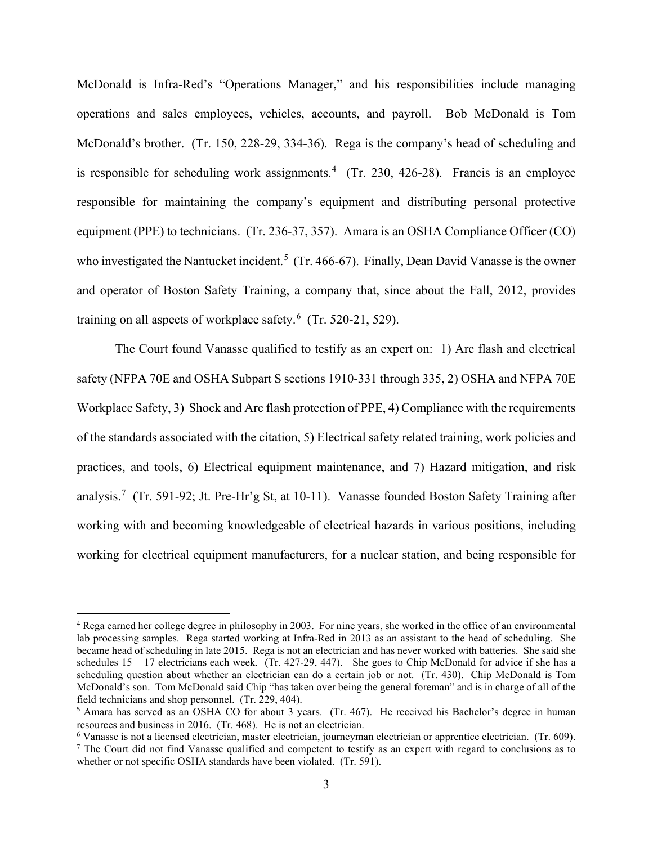McDonald is Infra-Red's "Operations Manager," and his responsibilities include managing operations and sales employees, vehicles, accounts, and payroll. Bob McDonald is Tom McDonald's brother. (Tr. 150, 228-29, 334-36). Rega is the company's head of scheduling and is responsible for scheduling work assignments.<sup>[4](#page-2-0)</sup> (Tr. 230, 426-28). Francis is an employee responsible for maintaining the company's equipment and distributing personal protective equipment (PPE) to technicians. (Tr. 236-37, 357). Amara is an OSHA Compliance Officer (CO) who investigated the Nantucket incident.<sup>[5](#page-2-1)</sup> (Tr. 466-67). Finally, Dean David Vanasse is the owner and operator of Boston Safety Training, a company that, since about the Fall, 2012, provides training on all aspects of workplace safety.<sup>[6](#page-2-2)</sup> (Tr. 520-21, 529).

The Court found Vanasse qualified to testify as an expert on: 1) Arc flash and electrical safety (NFPA 70E and OSHA Subpart S sections 1910-331 through 335, 2) OSHA and NFPA 70E Workplace Safety, 3) Shock and Arc flash protection of PPE, 4) Compliance with the requirements of the standards associated with the citation, 5) Electrical safety related training, work policies and practices, and tools, 6) Electrical equipment maintenance, and 7) Hazard mitigation, and risk analysis.<sup>[7](#page-2-3)</sup> (Tr. 591-92; Jt. Pre-Hr'g St, at 10-11). Vanasse founded Boston Safety Training after working with and becoming knowledgeable of electrical hazards in various positions, including working for electrical equipment manufacturers, for a nuclear station, and being responsible for

<span id="page-2-0"></span><sup>4</sup> Rega earned her college degree in philosophy in 2003. For nine years, she worked in the office of an environmental lab processing samples. Rega started working at Infra-Red in 2013 as an assistant to the head of scheduling. She became head of scheduling in late 2015. Rega is not an electrician and has never worked with batteries. She said she schedules 15 – 17 electricians each week. (Tr. 427-29, 447). She goes to Chip McDonald for advice if she has a scheduling question about whether an electrician can do a certain job or not. (Tr. 430). Chip McDonald is Tom McDonald's son. Tom McDonald said Chip "has taken over being the general foreman" and is in charge of all of the field technicians and shop personnel. (Tr. 229, 404).

<span id="page-2-1"></span><sup>5</sup> Amara has served as an OSHA CO for about 3 years. (Tr. 467). He received his Bachelor's degree in human resources and business in 2016. (Tr. 468). He is not an electrician.<br><sup>6</sup> Vanasse is not a licensed electrician, master electrician, journeyman electrician or apprentice electrician. (Tr. 609).

<span id="page-2-3"></span><span id="page-2-2"></span> $\frac{7}{1}$  The Court did not find Vanasse qualified and competent to testify as an expert with regard to conclusions as to whether or not specific OSHA standards have been violated. (Tr. 591).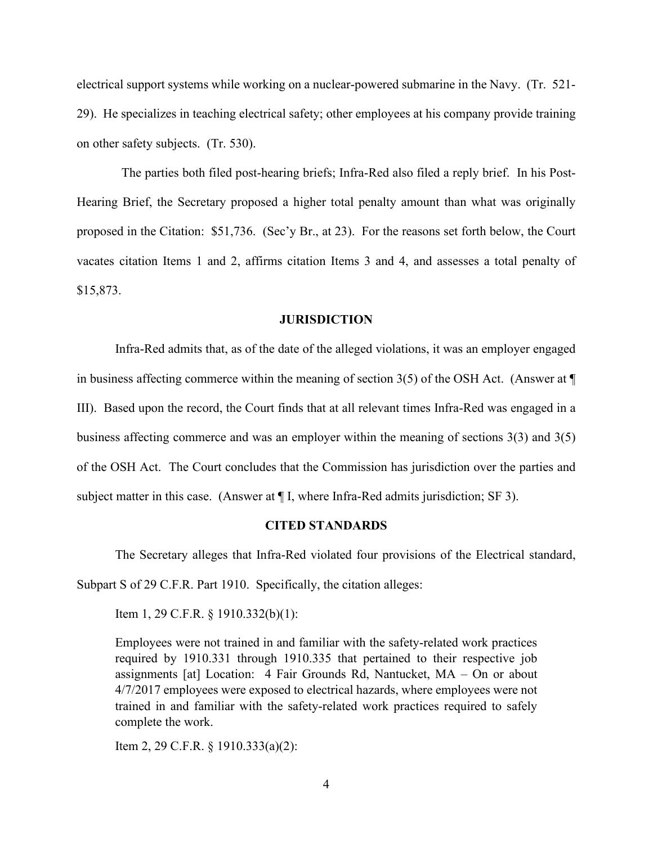electrical support systems while working on a nuclear-powered submarine in the Navy. (Tr. 521- 29). He specializes in teaching electrical safety; other employees at his company provide training on other safety subjects. (Tr. 530).

 The parties both filed post-hearing briefs; Infra-Red also filed a reply brief. In his Post-Hearing Brief, the Secretary proposed a higher total penalty amount than what was originally proposed in the Citation: \$51,736. (Sec'y Br., at 23). For the reasons set forth below, the Court vacates citation Items 1 and 2, affirms citation Items 3 and 4, and assesses a total penalty of \$15,873.

### **JURISDICTION**

Infra-Red admits that, as of the date of the alleged violations, it was an employer engaged in business affecting commerce within the meaning of section 3(5) of the OSH Act. (Answer at ¶ III). Based upon the record, the Court finds that at all relevant times Infra-Red was engaged in a business affecting commerce and was an employer within the meaning of sections 3(3) and 3(5) of the OSH Act. The Court concludes that the Commission has jurisdiction over the parties and subject matter in this case. (Answer at ¶ I, where Infra-Red admits jurisdiction; SF 3).

#### **CITED STANDARDS**

The Secretary alleges that Infra-Red violated four provisions of the Electrical standard, Subpart S of 29 C.F.R. Part 1910. Specifically, the citation alleges:

Item 1, 29 C.F.R. § 1910.332(b)(1):

Employees were not trained in and familiar with the safety-related work practices required by 1910.331 through 1910.335 that pertained to their respective job assignments [at] Location: 4 Fair Grounds Rd, Nantucket, MA – On or about 4/7/2017 employees were exposed to electrical hazards, where employees were not trained in and familiar with the safety-related work practices required to safely complete the work.

Item 2, 29 C.F.R. § 1910.333(a)(2):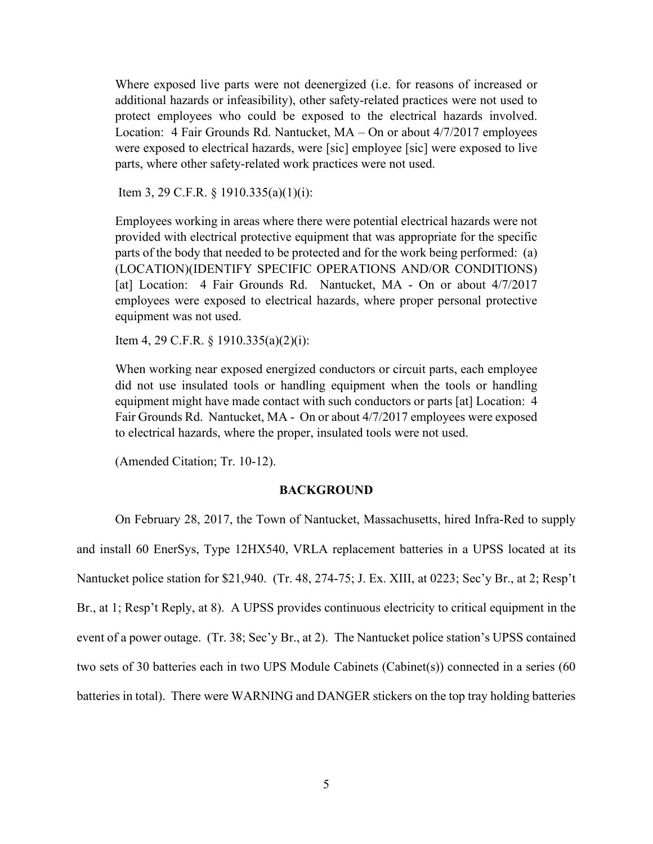Where exposed live parts were not deenergized (i.e. for reasons of increased or additional hazards or infeasibility), other safety-related practices were not used to protect employees who could be exposed to the electrical hazards involved. Location: 4 Fair Grounds Rd. Nantucket, MA – On or about 4/7/2017 employees were exposed to electrical hazards, were [sic] employee [sic] were exposed to live parts, where other safety-related work practices were not used.

Item 3, 29 C.F.R. § 1910.335(a)(1)(i):

Employees working in areas where there were potential electrical hazards were not provided with electrical protective equipment that was appropriate for the specific parts of the body that needed to be protected and for the work being performed: (a) (LOCATION)(IDENTIFY SPECIFIC OPERATIONS AND/OR CONDITIONS) [at] Location: 4 Fair Grounds Rd. Nantucket, MA - On or about 4/7/2017 employees were exposed to electrical hazards, where proper personal protective equipment was not used.

Item 4, 29 C.F.R. § 1910.335(a)(2)(i):

When working near exposed energized conductors or circuit parts, each employee did not use insulated tools or handling equipment when the tools or handling equipment might have made contact with such conductors or parts [at] Location: 4 Fair Grounds Rd. Nantucket, MA - On or about 4/7/2017 employees were exposed to electrical hazards, where the proper, insulated tools were not used.

(Amended Citation; Tr. 10-12).

#### **BACKGROUND**

On February 28, 2017, the Town of Nantucket, Massachusetts, hired Infra-Red to supply and install 60 EnerSys, Type 12HX540, VRLA replacement batteries in a UPSS located at its Nantucket police station for \$21,940. (Tr. 48, 274-75; J. Ex. XIII, at 0223; Sec'y Br., at 2; Resp't Br., at 1; Resp't Reply, at 8). A UPSS provides continuous electricity to critical equipment in the event of a power outage. (Tr. 38; Sec'y Br., at 2). The Nantucket police station's UPSS contained two sets of 30 batteries each in two UPS Module Cabinets (Cabinet(s)) connected in a series (60 batteries in total). There were WARNING and DANGER stickers on the top tray holding batteries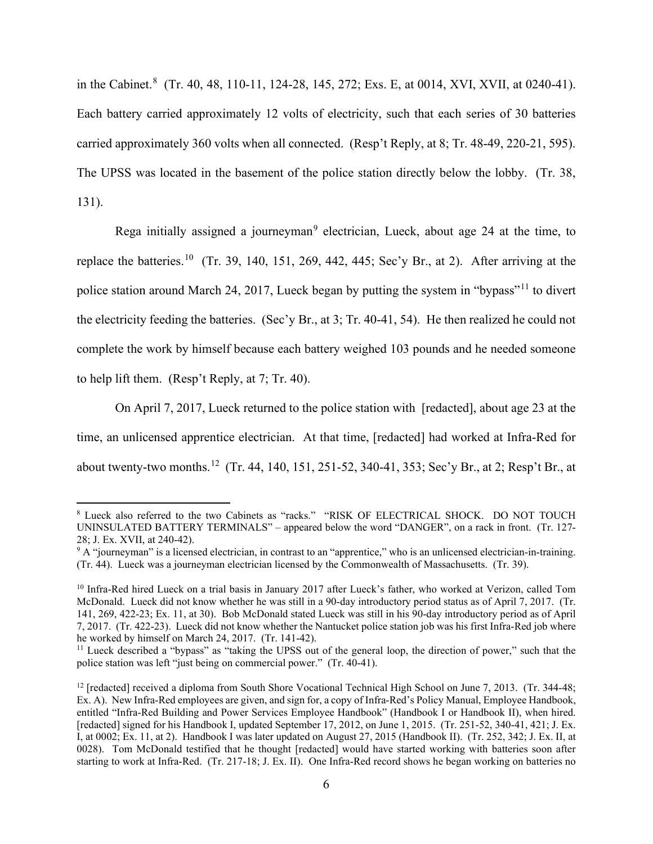in the Cabinet.<sup>[8](#page-5-0)</sup> (Tr. 40, 48, 110-11, 124-28, 145, 272; Exs. E, at 0014, XVI, XVII, at 0240-41). Each battery carried approximately 12 volts of electricity, such that each series of 30 batteries carried approximately 360 volts when all connected. (Resp't Reply, at 8; Tr. 48-49, 220-21, 595). The UPSS was located in the basement of the police station directly below the lobby. (Tr. 38, 131).

Rega initially assigned a journeyman<sup>[9](#page-5-1)</sup> electrician, Lueck, about age 24 at the time, to replace the batteries.<sup>[10](#page-5-2)</sup> (Tr. 39, 140, 151, 269, 442, 445; Sec'y Br., at 2). After arriving at the police station around March 24, 2017, Lueck began by putting the system in "bypass"<sup>[11](#page-5-3)</sup> to divert the electricity feeding the batteries. (Sec'y Br., at 3; Tr. 40-41, 54). He then realized he could not complete the work by himself because each battery weighed 103 pounds and he needed someone to help lift them. (Resp't Reply, at 7; Tr. 40).

On April 7, 2017, Lueck returned to the police station with [redacted], about age 23 at the time, an unlicensed apprentice electrician. At that time, [redacted] had worked at Infra-Red for about twenty-two months.[12](#page-5-4) (Tr. 44, 140, 151, 251-52, 340-41, 353; Sec'y Br., at 2; Resp't Br., at

<span id="page-5-0"></span><sup>8</sup> Lueck also referred to the two Cabinets as "racks." "RISK OF ELECTRICAL SHOCK. DO NOT TOUCH UNINSULATED BATTERY TERMINALS" – appeared below the word "DANGER", on a rack in front. (Tr. 127- 28; J. Ex. XVII, at 240-42).

<span id="page-5-1"></span><sup>&</sup>lt;sup>9</sup> A "journeyman" is a licensed electrician, in contrast to an "apprentice," who is an unlicensed electrician-in-training. (Tr. 44). Lueck was a journeyman electrician licensed by the Commonwealth of Massachusetts. (Tr. 39).

<span id="page-5-2"></span><sup>&</sup>lt;sup>10</sup> Infra-Red hired Lueck on a trial basis in January 2017 after Lueck's father, who worked at Verizon, called Tom McDonald. Lueck did not know whether he was still in a 90-day introductory period status as of April 7, 2017. (Tr. 141, 269, 422-23; Ex. 11, at 30). Bob McDonald stated Lueck was still in his 90-day introductory period as of April 7, 2017. (Tr. 422-23). Lueck did not know whether the Nantucket police station job was his first Infra-Red job where he worked by himself on March 24, 2017. (Tr. 141-42).<br><sup>11</sup> Lueck described a "bypass" as "taking the UPSS out of the general loop, the direction of power," such that the

<span id="page-5-3"></span>police station was left "just being on commercial power." (Tr. 40-41).

<span id="page-5-4"></span> $12$  [redacted] received a diploma from South Shore Vocational Technical High School on June 7, 2013. (Tr. 344-48; Ex. A). New Infra-Red employees are given, and sign for, a copy of Infra-Red's Policy Manual, Employee Handbook, entitled "Infra-Red Building and Power Services Employee Handbook" (Handbook I or Handbook II), when hired. [redacted] signed for his Handbook I, updated September 17, 2012, on June 1, 2015. (Tr. 251-52, 340-41, 421; J. Ex. I, at 0002; Ex. 11, at 2). Handbook I was later updated on August 27, 2015 (Handbook II). (Tr. 252, 342; J. Ex. II, at 0028). Tom McDonald testified that he thought [redacted] would have started working with batteries soon after starting to work at Infra-Red. (Tr. 217-18; J. Ex. II). One Infra-Red record shows he began working on batteries no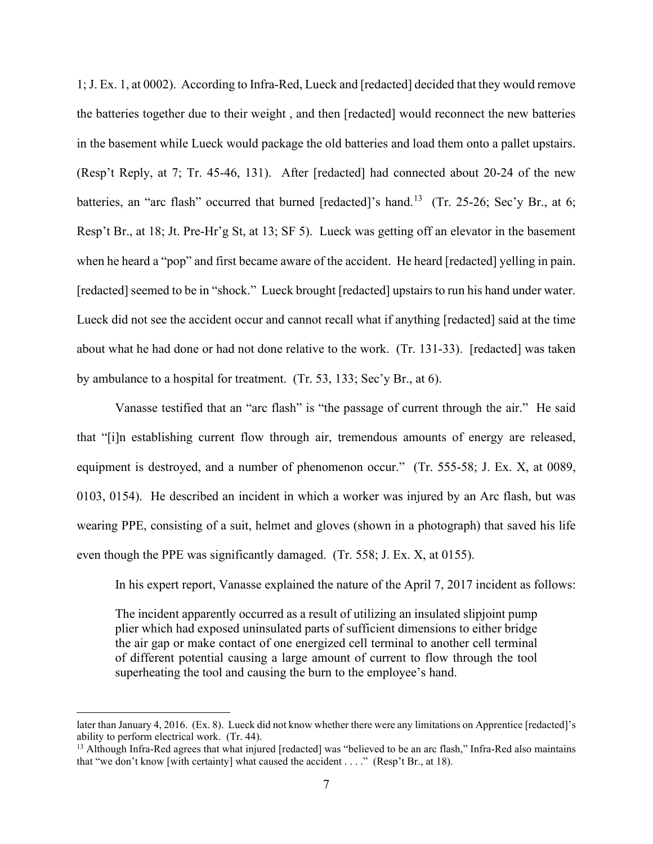1; J. Ex. 1, at 0002). According to Infra-Red, Lueck and [redacted] decided that they would remove the batteries together due to their weight , and then [redacted] would reconnect the new batteries in the basement while Lueck would package the old batteries and load them onto a pallet upstairs. (Resp't Reply, at 7; Tr. 45-46, 131). After [redacted] had connected about 20-24 of the new batteries, an "arc flash" occurred that burned [redacted]'s hand.<sup>[13](#page-6-0)</sup> (Tr. 25-26; Sec'y Br., at 6; Resp't Br., at 18; Jt. Pre-Hr'g St, at 13; SF 5). Lueck was getting off an elevator in the basement when he heard a "pop" and first became aware of the accident. He heard [redacted] yelling in pain. [redacted] seemed to be in "shock." Lueck brought [redacted] upstairs to run his hand under water. Lueck did not see the accident occur and cannot recall what if anything [redacted] said at the time about what he had done or had not done relative to the work. (Tr. 131-33). [redacted] was taken by ambulance to a hospital for treatment. (Tr. 53, 133; Sec'y Br., at 6).

Vanasse testified that an "arc flash" is "the passage of current through the air." He said that "[i]n establishing current flow through air, tremendous amounts of energy are released, equipment is destroyed, and a number of phenomenon occur." (Tr. 555-58; J. Ex. X, at 0089, 0103, 0154). He described an incident in which a worker was injured by an Arc flash, but was wearing PPE, consisting of a suit, helmet and gloves (shown in a photograph) that saved his life even though the PPE was significantly damaged. (Tr. 558; J. Ex. X, at 0155).

In his expert report, Vanasse explained the nature of the April 7, 2017 incident as follows:

The incident apparently occurred as a result of utilizing an insulated slipjoint pump plier which had exposed uninsulated parts of sufficient dimensions to either bridge the air gap or make contact of one energized cell terminal to another cell terminal of different potential causing a large amount of current to flow through the tool superheating the tool and causing the burn to the employee's hand.

later than January 4, 2016. (Ex. 8). Lueck did not know whether there were any limitations on Apprentice [redacted]'s ability to perform electrical work. (Tr. 44).

<span id="page-6-0"></span><sup>&</sup>lt;sup>13</sup> Although Infra-Red agrees that what injured [redacted] was "believed to be an arc flash," Infra-Red also maintains that "we don't know [with certainty] what caused the accident . . . ." (Resp't Br., at 18).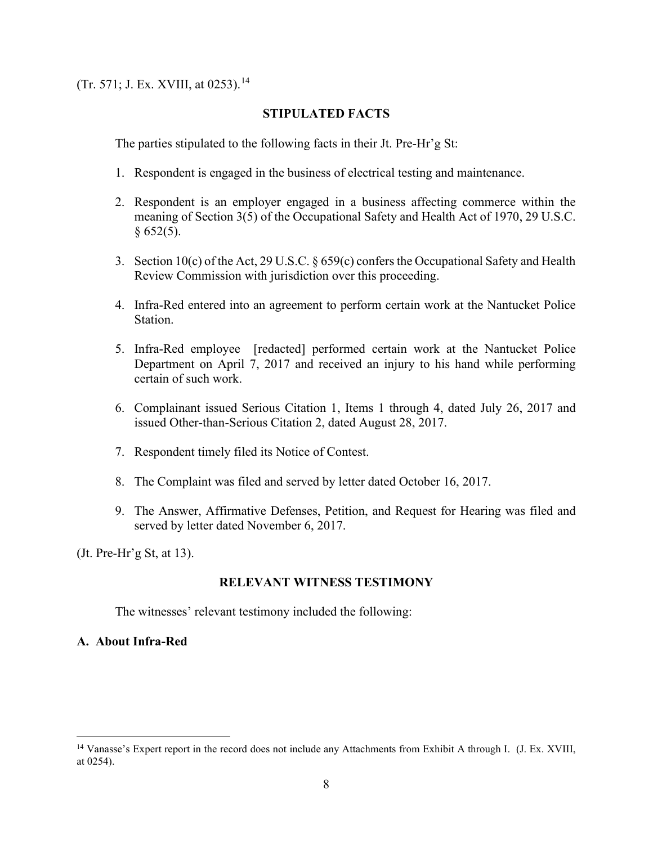(Tr. 571; J. Ex. XVIII, at 0253).[14](#page-7-0)

# **STIPULATED FACTS**

The parties stipulated to the following facts in their Jt. Pre-Hr'g St:

- 1. Respondent is engaged in the business of electrical testing and maintenance.
- 2. Respondent is an employer engaged in a business affecting commerce within the meaning of Section 3(5) of the Occupational Safety and Health Act of 1970, 29 U.S.C.  $§ 652(5).$
- 3. Section 10(c) of the Act, 29 U.S.C.  $\S 659(c)$  confers the Occupational Safety and Health Review Commission with jurisdiction over this proceeding.
- 4. Infra-Red entered into an agreement to perform certain work at the Nantucket Police Station.
- 5. Infra-Red employee [redacted] performed certain work at the Nantucket Police Department on April 7, 2017 and received an injury to his hand while performing certain of such work.
- 6. Complainant issued Serious Citation 1, Items 1 through 4, dated July 26, 2017 and issued Other-than-Serious Citation 2, dated August 28, 2017.
- 7. Respondent timely filed its Notice of Contest.
- 8. The Complaint was filed and served by letter dated October 16, 2017.
- 9. The Answer, Affirmative Defenses, Petition, and Request for Hearing was filed and served by letter dated November 6, 2017.

(Jt. Pre-Hr'g St, at 13).

# **RELEVANT WITNESS TESTIMONY**

The witnesses' relevant testimony included the following:

# **A. About Infra-Red**

<span id="page-7-0"></span><sup>&</sup>lt;sup>14</sup> Vanasse's Expert report in the record does not include any Attachments from Exhibit A through I. (J. Ex. XVIII, at 0254).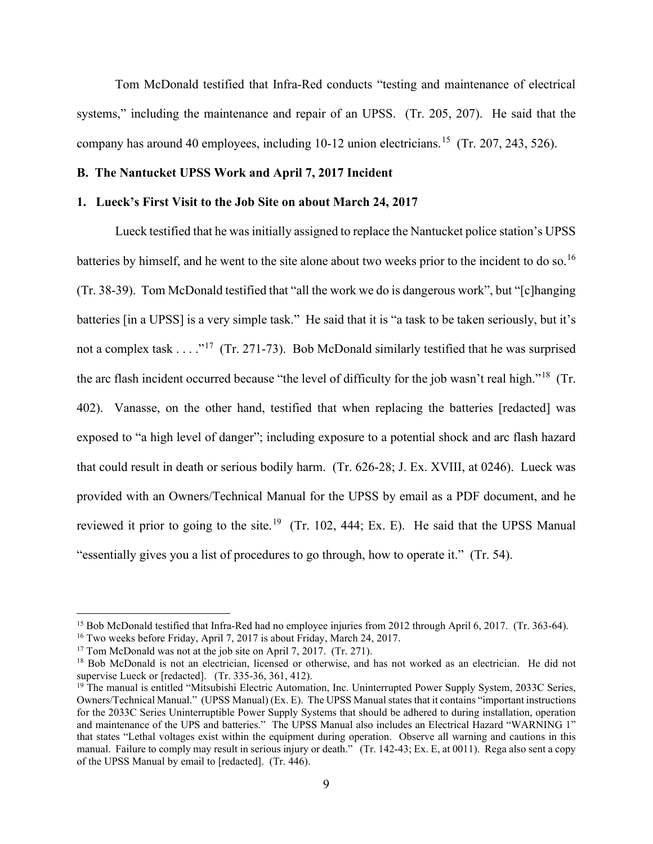Tom McDonald testified that Infra-Red conducts "testing and maintenance of electrical systems," including the maintenance and repair of an UPSS. (Tr. 205, 207). He said that the company has around 40 employees, including 10-12 union electricians. [15](#page-8-0) (Tr. 207, 243, 526).

## **B. The Nantucket UPSS Work and April 7, 2017 Incident**

#### **1. Lueck's First Visit to the Job Site on about March 24, 2017**

Lueck testified that he was initially assigned to replace the Nantucket police station's UPSS batteries by himself, and he went to the site alone about two weeks prior to the incident to do so.<sup>[16](#page-8-1)</sup> (Tr. 38-39). Tom McDonald testified that "all the work we do is dangerous work", but "[c]hanging batteries [in a UPSS] is a very simple task." He said that it is "a task to be taken seriously, but it's not a complex task  $\dots$ ."<sup>[17](#page-8-2)</sup> (Tr. 271-73). Bob McDonald similarly testified that he was surprised the arc flash incident occurred because "the level of difficulty for the job wasn't real high."[18](#page-8-3) (Tr. 402). Vanasse, on the other hand, testified that when replacing the batteries [redacted] was exposed to "a high level of danger"; including exposure to a potential shock and arc flash hazard that could result in death or serious bodily harm. (Tr. 626-28; J. Ex. XVIII, at 0246). Lueck was provided with an Owners/Technical Manual for the UPSS by email as a PDF document, and he reviewed it prior to going to the site.<sup>19</sup> (Tr. 102, 444; Ex. E). He said that the UPSS Manual "essentially gives you a list of procedures to go through, how to operate it." (Tr. 54).

<span id="page-8-1"></span><span id="page-8-0"></span><sup>&</sup>lt;sup>15</sup> Bob McDonald testified that Infra-Red had no employee injuries from 2012 through April 6, 2017. (Tr. 363-64). <sup>16</sup> Two weeks before Friday, April 7, 2017 is about Friday, March 24, 2017.

<span id="page-8-2"></span><sup>&</sup>lt;sup>17</sup> Tom McDonald was not at the job site on April 7, 2017. (Tr. 271).

<span id="page-8-3"></span><sup>&</sup>lt;sup>18</sup> Bob McDonald is not an electrician, licensed or otherwise, and has not worked as an electrician. He did not supervise Lueck or [redacted]. (Tr. 335-36, 361, 412).

<span id="page-8-4"></span><sup>&</sup>lt;sup>19</sup> The manual is entitled "Mitsubishi Electric Automation, Inc. Uninterrupted Power Supply System, 2033C Series, Owners/Technical Manual." (UPSS Manual) (Ex. E). The UPSS Manual states that it contains "important instructions for the 2033C Series Uninterruptible Power Supply Systems that should be adhered to during installation, operation and maintenance of the UPS and batteries." The UPSS Manual also includes an Electrical Hazard "WARNING 1" that states "Lethal voltages exist within the equipment during operation. Observe all warning and cautions in this manual. Failure to comply may result in serious injury or death." (Tr. 142-43; Ex. E, at 0011). Rega also sent a copy of the UPSS Manual by email to [redacted]. (Tr. 446).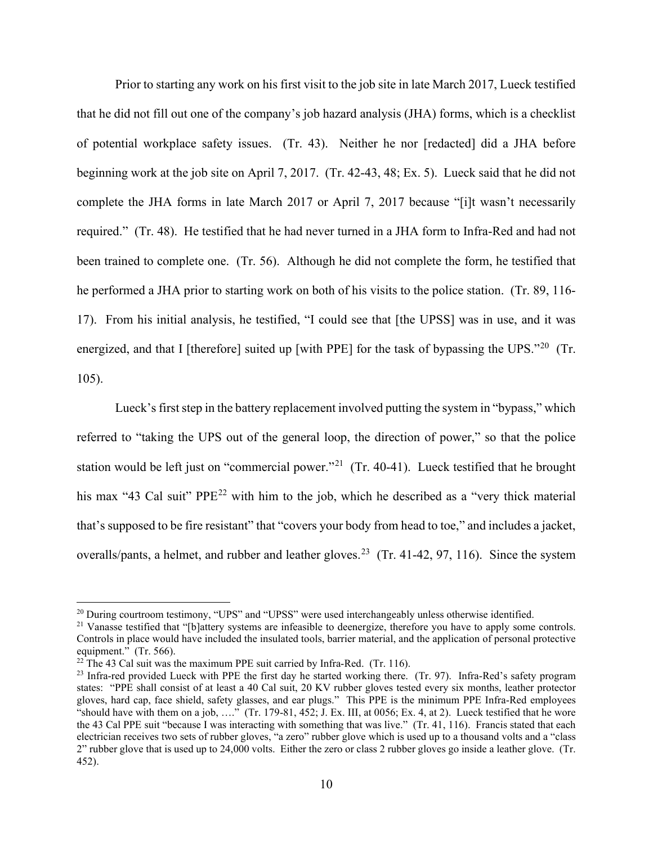Prior to starting any work on his first visit to the job site in late March 2017, Lueck testified that he did not fill out one of the company's job hazard analysis (JHA) forms, which is a checklist of potential workplace safety issues. (Tr. 43). Neither he nor [redacted] did a JHA before beginning work at the job site on April 7, 2017. (Tr. 42-43, 48; Ex. 5). Lueck said that he did not complete the JHA forms in late March 2017 or April 7, 2017 because "[i]t wasn't necessarily required." (Tr. 48). He testified that he had never turned in a JHA form to Infra-Red and had not been trained to complete one. (Tr. 56). Although he did not complete the form, he testified that he performed a JHA prior to starting work on both of his visits to the police station. (Tr. 89, 116- 17). From his initial analysis, he testified, "I could see that [the UPSS] was in use, and it was energized, and that I [therefore] suited up [with PPE] for the task of bypassing the UPS."<sup>20</sup> (Tr. 105).

Lueck's first step in the battery replacement involved putting the system in "bypass," which referred to "taking the UPS out of the general loop, the direction of power," so that the police station would be left just on "commercial power."<sup>[21](#page-9-1)</sup> (Tr. 40-41). Lueck testified that he brought his max "43 Cal suit" PPE<sup>[22](#page-9-2)</sup> with him to the job, which he described as a "very thick material that's supposed to be fire resistant" that "covers your body from head to toe," and includes a jacket, overalls/pants, a helmet, and rubber and leather gloves.<sup>[23](#page-9-3)</sup> (Tr. 41-42, 97, 116). Since the system

<span id="page-9-0"></span><sup>&</sup>lt;sup>20</sup> During courtroom testimony, "UPS" and "UPSS" were used interchangeably unless otherwise identified. <sup>21</sup> Vanasse testified that "[b]attery systems are infeasible to deenergize, therefore you have to apply some contro

<span id="page-9-1"></span>Controls in place would have included the insulated tools, barrier material, and the application of personal protective equipment." (Tr. 566).

<span id="page-9-2"></span> $22$  The 43 Cal suit was the maximum PPE suit carried by Infra-Red. (Tr. 116).

<span id="page-9-3"></span> $^{23}$  Infra-red provided Lueck with PPE the first day he started working there. (Tr. 97). Infra-Red's safety program states: "PPE shall consist of at least a 40 Cal suit, 20 KV rubber gloves tested every six months, leather protector gloves, hard cap, face shield, safety glasses, and ear plugs." This PPE is the minimum PPE Infra-Red employees "should have with them on a job, …." (Tr. 179-81, 452; J. Ex. III, at 0056; Ex. 4, at 2). Lueck testified that he wore the 43 Cal PPE suit "because I was interacting with something that was live." (Tr. 41, 116). Francis stated that each electrician receives two sets of rubber gloves, "a zero" rubber glove which is used up to a thousand volts and a "class 2" rubber glove that is used up to 24,000 volts. Either the zero or class 2 rubber gloves go inside a leather glove. (Tr. 452).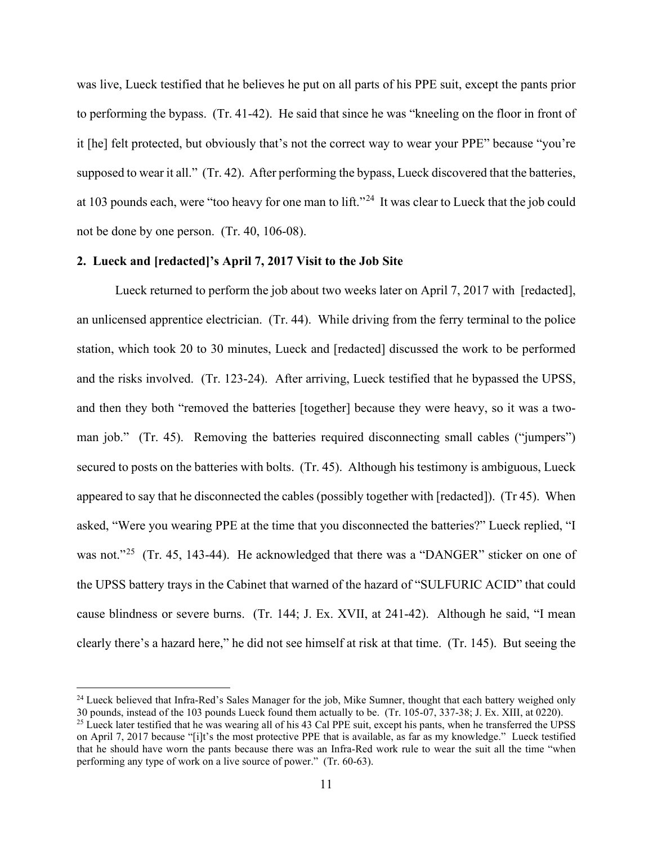was live, Lueck testified that he believes he put on all parts of his PPE suit, except the pants prior to performing the bypass. (Tr. 41-42). He said that since he was "kneeling on the floor in front of it [he] felt protected, but obviously that's not the correct way to wear your PPE" because "you're supposed to wear it all." (Tr. 42). After performing the bypass, Lueck discovered that the batteries, at 103 pounds each, were "too heavy for one man to lift."[24](#page-10-0) It was clear to Lueck that the job could not be done by one person. (Tr. 40, 106-08).

## **2. Lueck and [redacted]'s April 7, 2017 Visit to the Job Site**

Lueck returned to perform the job about two weeks later on April 7, 2017 with [redacted], an unlicensed apprentice electrician. (Tr. 44). While driving from the ferry terminal to the police station, which took 20 to 30 minutes, Lueck and [redacted] discussed the work to be performed and the risks involved. (Tr. 123-24). After arriving, Lueck testified that he bypassed the UPSS, and then they both "removed the batteries [together] because they were heavy, so it was a twoman job." (Tr. 45). Removing the batteries required disconnecting small cables ("jumpers") secured to posts on the batteries with bolts. (Tr. 45). Although his testimony is ambiguous, Lueck appeared to say that he disconnected the cables (possibly together with [redacted]). (Tr 45). When asked, "Were you wearing PPE at the time that you disconnected the batteries?" Lueck replied, "I was not."<sup>25</sup> (Tr. 45, 143-44). He acknowledged that there was a "DANGER" sticker on one of the UPSS battery trays in the Cabinet that warned of the hazard of "SULFURIC ACID" that could cause blindness or severe burns. (Tr. 144; J. Ex. XVII, at 241-42). Although he said, "I mean clearly there's a hazard here," he did not see himself at risk at that time. (Tr. 145). But seeing the

<span id="page-10-0"></span><sup>&</sup>lt;sup>24</sup> Lueck believed that Infra-Red's Sales Manager for the job, Mike Sumner, thought that each battery weighed only 30 pounds, instead of the 103 pounds Lueck found them actually to be. (Tr. 105-07, 337-38; J. Ex. XIII, at 0220).

<span id="page-10-1"></span><sup>&</sup>lt;sup>25</sup> Lueck later testified that he was wearing all of his 43 Cal PPE suit, except his pants, when he transferred the UPSS on April 7, 2017 because "[i]t's the most protective PPE that is available, as far as my knowledge." Lueck testified that he should have worn the pants because there was an Infra-Red work rule to wear the suit all the time "when performing any type of work on a live source of power." (Tr. 60-63).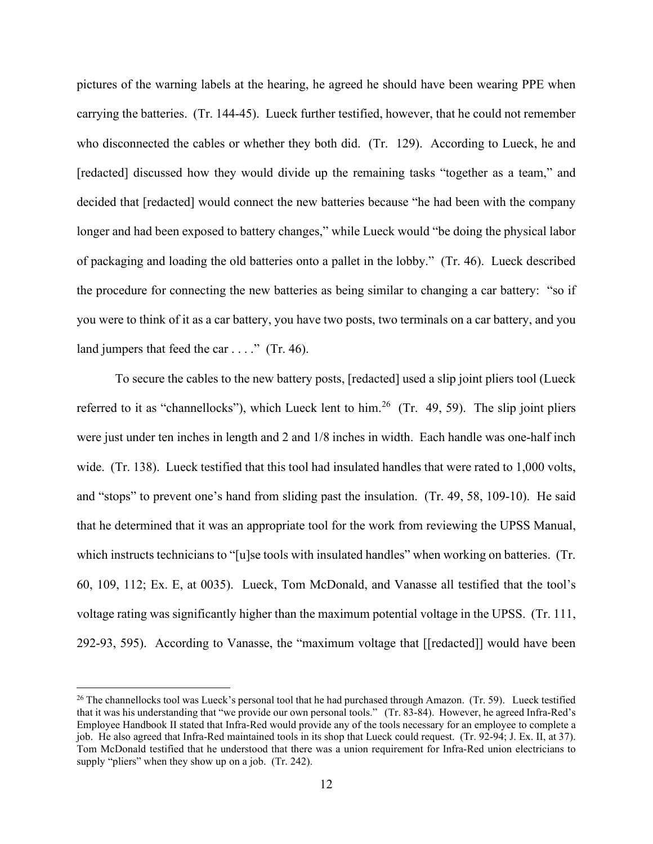pictures of the warning labels at the hearing, he agreed he should have been wearing PPE when carrying the batteries. (Tr. 144-45). Lueck further testified, however, that he could not remember who disconnected the cables or whether they both did. (Tr. 129). According to Lueck, he and [redacted] discussed how they would divide up the remaining tasks "together as a team," and decided that [redacted] would connect the new batteries because "he had been with the company longer and had been exposed to battery changes," while Lueck would "be doing the physical labor of packaging and loading the old batteries onto a pallet in the lobby." (Tr. 46). Lueck described the procedure for connecting the new batteries as being similar to changing a car battery: "so if you were to think of it as a car battery, you have two posts, two terminals on a car battery, and you land jumpers that feed the car . . . ." (Tr. 46).

To secure the cables to the new battery posts, [redacted] used a slip joint pliers tool (Lueck referred to it as "channellocks"), which Lueck lent to him.<sup>[26](#page-11-0)</sup> (Tr. 49, 59). The slip joint pliers were just under ten inches in length and 2 and 1/8 inches in width. Each handle was one-half inch wide. (Tr. 138). Lueck testified that this tool had insulated handles that were rated to 1,000 volts, and "stops" to prevent one's hand from sliding past the insulation. (Tr. 49, 58, 109-10). He said that he determined that it was an appropriate tool for the work from reviewing the UPSS Manual, which instructs technicians to "[u]se tools with insulated handles" when working on batteries. (Tr. 60, 109, 112; Ex. E, at 0035). Lueck, Tom McDonald, and Vanasse all testified that the tool's voltage rating was significantly higher than the maximum potential voltage in the UPSS. (Tr. 111, 292-93, 595). According to Vanasse, the "maximum voltage that [[redacted]] would have been

<span id="page-11-0"></span> $^{26}$  The channellocks tool was Lueck's personal tool that he had purchased through Amazon. (Tr. 59). Lueck testified that it was his understanding that "we provide our own personal tools." (Tr. 83-84). However, he agreed Infra-Red's Employee Handbook II stated that Infra-Red would provide any of the tools necessary for an employee to complete a job. He also agreed that Infra-Red maintained tools in its shop that Lueck could request. (Tr. 92-94; J. Ex. II, at 37). Tom McDonald testified that he understood that there was a union requirement for Infra-Red union electricians to supply "pliers" when they show up on a job. (Tr. 242).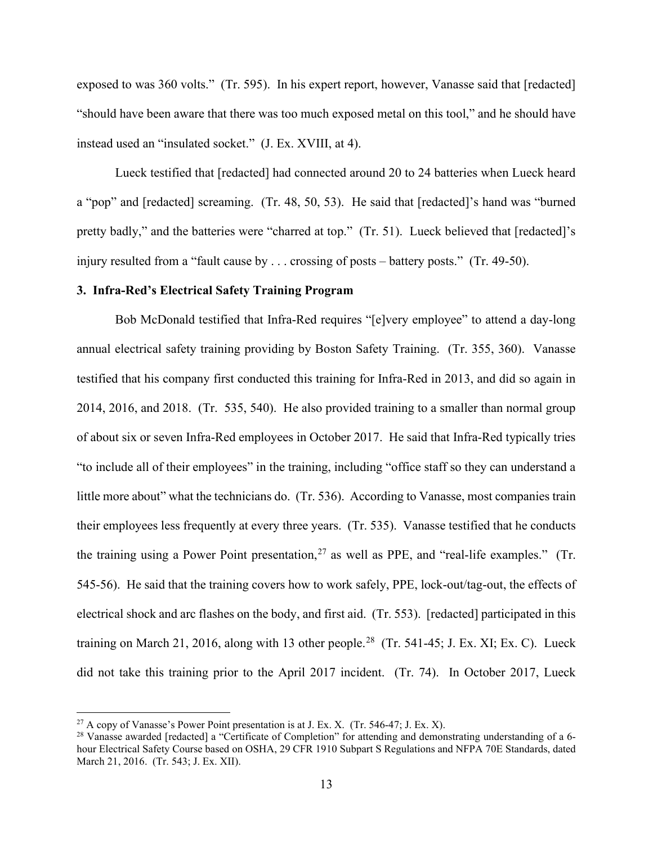exposed to was 360 volts." (Tr. 595). In his expert report, however, Vanasse said that [redacted] "should have been aware that there was too much exposed metal on this tool," and he should have instead used an "insulated socket." (J. Ex. XVIII, at 4).

Lueck testified that [redacted] had connected around 20 to 24 batteries when Lueck heard a "pop" and [redacted] screaming. (Tr. 48, 50, 53). He said that [redacted]'s hand was "burned pretty badly," and the batteries were "charred at top." (Tr. 51). Lueck believed that [redacted]'s injury resulted from a "fault cause by . . . crossing of posts – battery posts." (Tr. 49-50).

### **3. Infra-Red's Electrical Safety Training Program**

Bob McDonald testified that Infra-Red requires "[e]very employee" to attend a day-long annual electrical safety training providing by Boston Safety Training. (Tr. 355, 360). Vanasse testified that his company first conducted this training for Infra-Red in 2013, and did so again in 2014, 2016, and 2018. (Tr. 535, 540). He also provided training to a smaller than normal group of about six or seven Infra-Red employees in October 2017. He said that Infra-Red typically tries "to include all of their employees" in the training, including "office staff so they can understand a little more about" what the technicians do. (Tr. 536). According to Vanasse, most companies train their employees less frequently at every three years. (Tr. 535). Vanasse testified that he conducts the training using a Power Point presentation,  $27$  as well as PPE, and "real-life examples." (Tr. 545-56). He said that the training covers how to work safely, PPE, lock-out/tag-out, the effects of electrical shock and arc flashes on the body, and first aid. (Tr. 553). [redacted] participated in this training on March 21, 2016, along with 13 other people.<sup>28</sup> (Tr. 541-45; J. Ex. XI; Ex. C). Lueck did not take this training prior to the April 2017 incident. (Tr. 74). In October 2017, Lueck

<span id="page-12-0"></span><sup>&</sup>lt;sup>27</sup> A copy of Vanasse's Power Point presentation is at J. Ex. X. (Tr. 546-47; J. Ex. X).

<span id="page-12-1"></span><sup>&</sup>lt;sup>28</sup> Vanasse awarded [redacted] a "Certificate of Completion" for attending and demonstrating understanding of a 6hour Electrical Safety Course based on OSHA, 29 CFR 1910 Subpart S Regulations and NFPA 70E Standards, dated March 21, 2016. (Tr. 543; J. Ex. XII).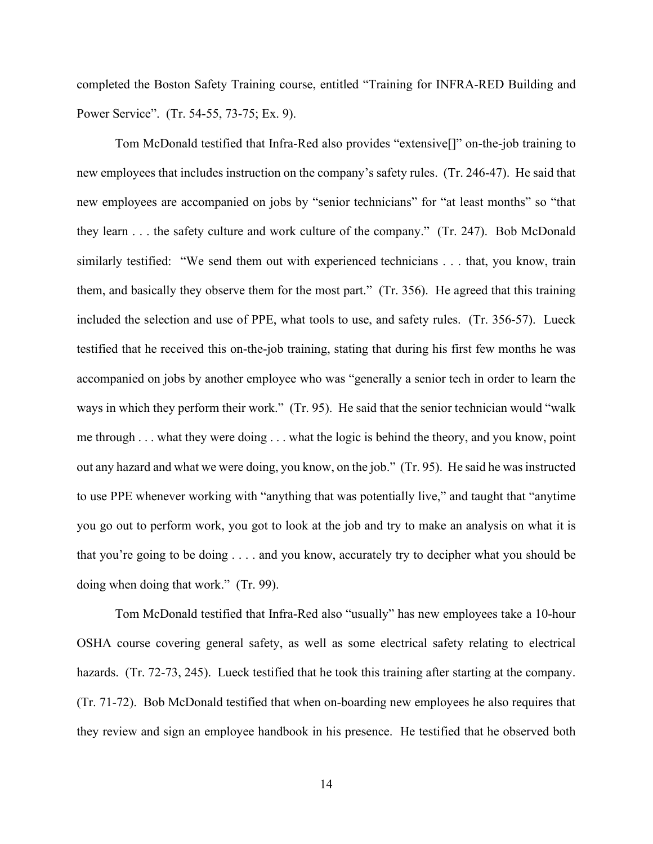completed the Boston Safety Training course, entitled "Training for INFRA-RED Building and Power Service". (Tr. 54-55, 73-75; Ex. 9).

Tom McDonald testified that Infra-Red also provides "extensive[]" on-the-job training to new employees that includes instruction on the company's safety rules. (Tr. 246-47). He said that new employees are accompanied on jobs by "senior technicians" for "at least months" so "that they learn . . . the safety culture and work culture of the company." (Tr. 247). Bob McDonald similarly testified: "We send them out with experienced technicians . . . that, you know, train them, and basically they observe them for the most part." (Tr. 356). He agreed that this training included the selection and use of PPE, what tools to use, and safety rules. (Tr. 356-57). Lueck testified that he received this on-the-job training, stating that during his first few months he was accompanied on jobs by another employee who was "generally a senior tech in order to learn the ways in which they perform their work." (Tr. 95). He said that the senior technician would "walk me through . . . what they were doing . . . what the logic is behind the theory, and you know, point out any hazard and what we were doing, you know, on the job." (Tr. 95). He said he was instructed to use PPE whenever working with "anything that was potentially live," and taught that "anytime you go out to perform work, you got to look at the job and try to make an analysis on what it is that you're going to be doing . . . . and you know, accurately try to decipher what you should be doing when doing that work." (Tr. 99).

Tom McDonald testified that Infra-Red also "usually" has new employees take a 10-hour OSHA course covering general safety, as well as some electrical safety relating to electrical hazards. (Tr. 72-73, 245). Lueck testified that he took this training after starting at the company. (Tr. 71-72). Bob McDonald testified that when on-boarding new employees he also requires that they review and sign an employee handbook in his presence. He testified that he observed both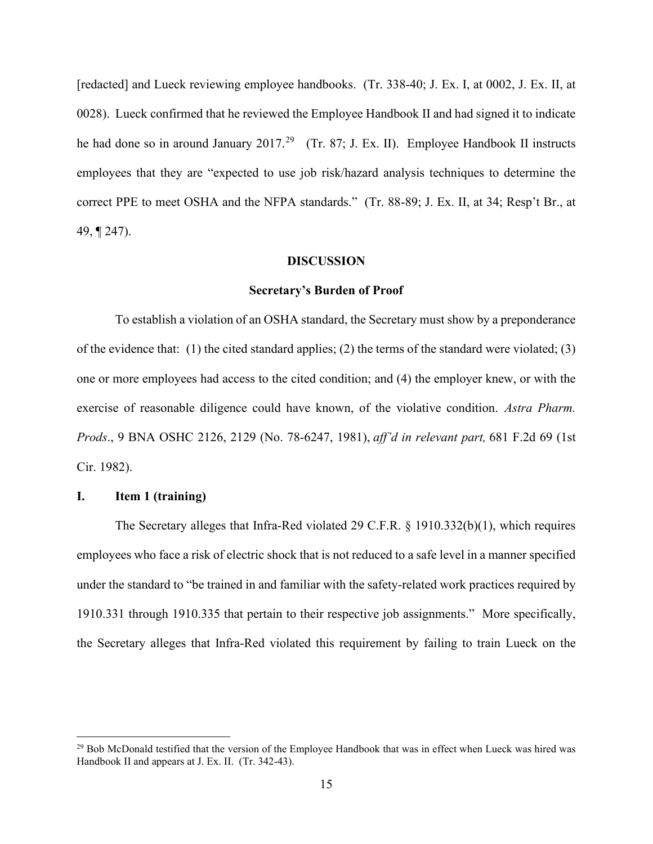[redacted] and Lueck reviewing employee handbooks. (Tr. 338-40; J. Ex. I, at 0002, J. Ex. II, at 0028). Lueck confirmed that he reviewed the Employee Handbook II and had signed it to indicate he had done so in around January 2017.<sup>[29](#page-14-0)</sup> (Tr. 87; J. Ex. II). Employee Handbook II instructs employees that they are "expected to use job risk/hazard analysis techniques to determine the correct PPE to meet OSHA and the NFPA standards." (Tr. 88-89; J. Ex. II, at 34; Resp't Br., at 49, ¶ 247).

### **DISCUSSION**

#### **Secretary's Burden of Proof**

To establish a violation of an OSHA standard, the Secretary must show by a preponderance of the evidence that: (1) the cited standard applies; (2) the terms of the standard were violated; (3) one or more employees had access to the cited condition; and (4) the employer knew, or with the exercise of reasonable diligence could have known, of the violative condition. *Astra Pharm. Prods*., 9 BNA OSHC 2126, 2129 (No. 78-6247, 1981), *aff'd in relevant part,* 681 F.2d 69 (1st Cir. 1982).

# **I. Item 1 (training)**

The Secretary alleges that Infra-Red violated 29 C.F.R. § 1910.332(b)(1), which requires employees who face a risk of electric shock that is not reduced to a safe level in a manner specified under the standard to "be trained in and familiar with the safety-related work practices required by 1910.331 through 1910.335 that pertain to their respective job assignments." More specifically, the Secretary alleges that Infra-Red violated this requirement by failing to train Lueck on the

<span id="page-14-0"></span><sup>&</sup>lt;sup>29</sup> Bob McDonald testified that the version of the Employee Handbook that was in effect when Lueck was hired was Handbook II and appears at J. Ex. II. (Tr. 342-43).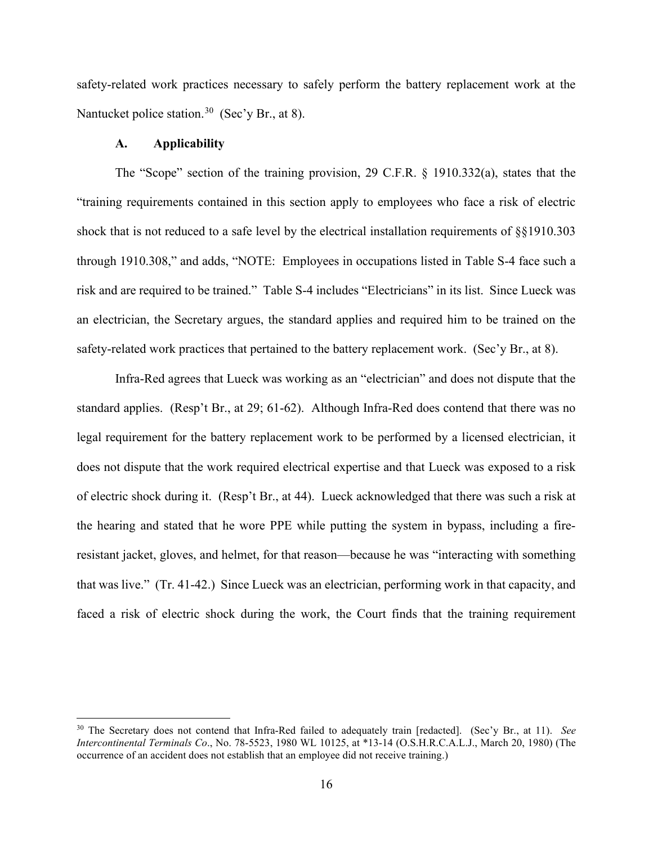safety-related work practices necessary to safely perform the battery replacement work at the Nantucket police station.<sup>[30](#page-15-0)</sup> (Sec'y Br., at 8).

## **A. Applicability**

The "Scope" section of the training provision, 29 C.F.R. § 1910.332(a), states that the "training requirements contained in this section apply to employees who face a risk of electric shock that is not reduced to a safe level by the electrical installation requirements of §§1910.303 through 1910.308," and adds, "NOTE: Employees in occupations listed in Table S-4 face such a risk and are required to be trained." Table S-4 includes "Electricians" in its list. Since Lueck was an electrician, the Secretary argues, the standard applies and required him to be trained on the safety-related work practices that pertained to the battery replacement work. (Sec'y Br., at 8).

Infra-Red agrees that Lueck was working as an "electrician" and does not dispute that the standard applies. (Resp't Br., at 29; 61-62). Although Infra-Red does contend that there was no legal requirement for the battery replacement work to be performed by a licensed electrician, it does not dispute that the work required electrical expertise and that Lueck was exposed to a risk of electric shock during it. (Resp't Br., at 44). Lueck acknowledged that there was such a risk at the hearing and stated that he wore PPE while putting the system in bypass, including a fireresistant jacket, gloves, and helmet, for that reason—because he was "interacting with something that was live." (Tr. 41-42.) Since Lueck was an electrician, performing work in that capacity, and faced a risk of electric shock during the work, the Court finds that the training requirement

<span id="page-15-0"></span><sup>30</sup> The Secretary does not contend that Infra-Red failed to adequately train [redacted]. (Sec'y Br., at 11). *See Intercontinental Terminals Co*., No. 78-5523, 1980 WL 10125, at \*13-14 (O.S.H.R.C.A.L.J., March 20, 1980) (The occurrence of an accident does not establish that an employee did not receive training.)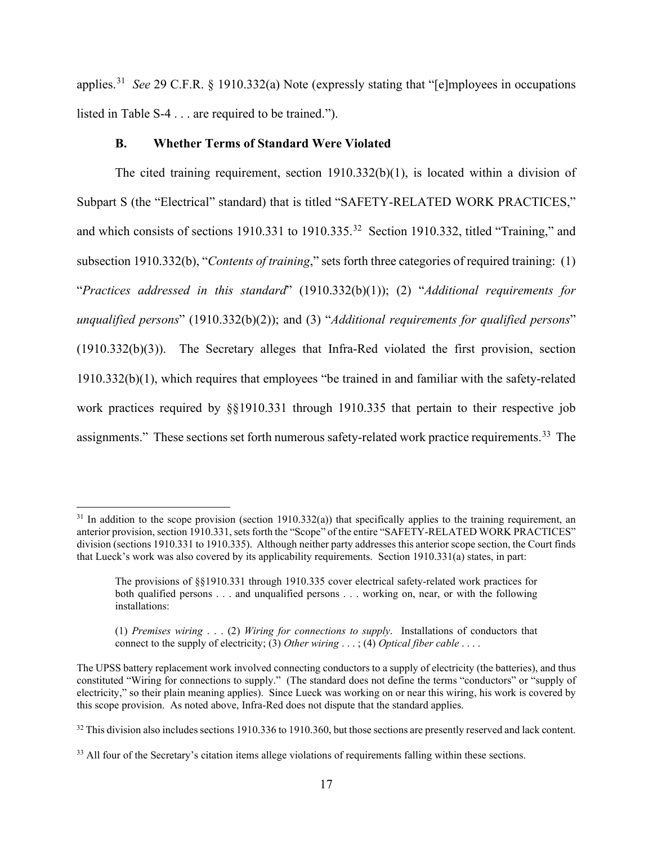applies.[31](#page-16-0) *See* 29 C.F.R. § 1910.332(a) Note (expressly stating that "[e]mployees in occupations listed in Table S-4 . . . are required to be trained.").

# **B. Whether Terms of Standard Were Violated**

The cited training requirement, section  $1910.332(b)(1)$ , is located within a division of Subpart S (the "Electrical" standard) that is titled "SAFETY-RELATED WORK PRACTICES," and which consists of sections 1910.331 to 1910.335.[32](#page-16-1) Section 1910.332, titled "Training," and subsection 1910.332(b), "*Contents of training*," sets forth three categories of required training: (1) "*Practices addressed in this standard*" (1910.332(b)(1)); (2) "*Additional requirements for unqualified persons*" (1910.332(b)(2)); and (3) "*Additional requirements for qualified persons*" (1910.332(b)(3)). The Secretary alleges that Infra-Red violated the first provision, section 1910.332(b)(1), which requires that employees "be trained in and familiar with the safety-related work practices required by §§1910.331 through 1910.335 that pertain to their respective job assignments." These sections set forth numerous safety-related work practice requirements.<sup>33</sup> The

<span id="page-16-0"></span> $31$  In addition to the scope provision (section 1910.332(a)) that specifically applies to the training requirement, an anterior provision, section 1910.331, sets forth the "Scope" of the entire "SAFETY-RELATED WORK PRACTICES" division (sections 1910.331 to 1910.335). Although neither party addresses this anterior scope section, the Court finds that Lueck's work was also covered by its applicability requirements. Section 1910.331(a) states, in part:

The provisions of §§1910.331 through 1910.335 cover electrical safety-related work practices for both qualified persons . . . and unqualified persons . . . working on, near, or with the following installations:

<sup>(1)</sup> *Premises wiring* . . . (2) *Wiring for connections to supply*. Installations of conductors that connect to the supply of electricity; (3) *Other wiring* . . . ; (4) *Optical fiber cable* . . . .

The UPSS battery replacement work involved connecting conductors to a supply of electricity (the batteries), and thus constituted "Wiring for connections to supply." (The standard does not define the terms "conductors" or "supply of electricity," so their plain meaning applies). Since Lueck was working on or near this wiring, his work is covered by this scope provision. As noted above, Infra-Red does not dispute that the standard applies.

<span id="page-16-1"></span> $32$  This division also includes sections 1910.336 to 1910.360, but those sections are presently reserved and lack content.

<span id="page-16-2"></span><sup>&</sup>lt;sup>33</sup> All four of the Secretary's citation items allege violations of requirements falling within these sections.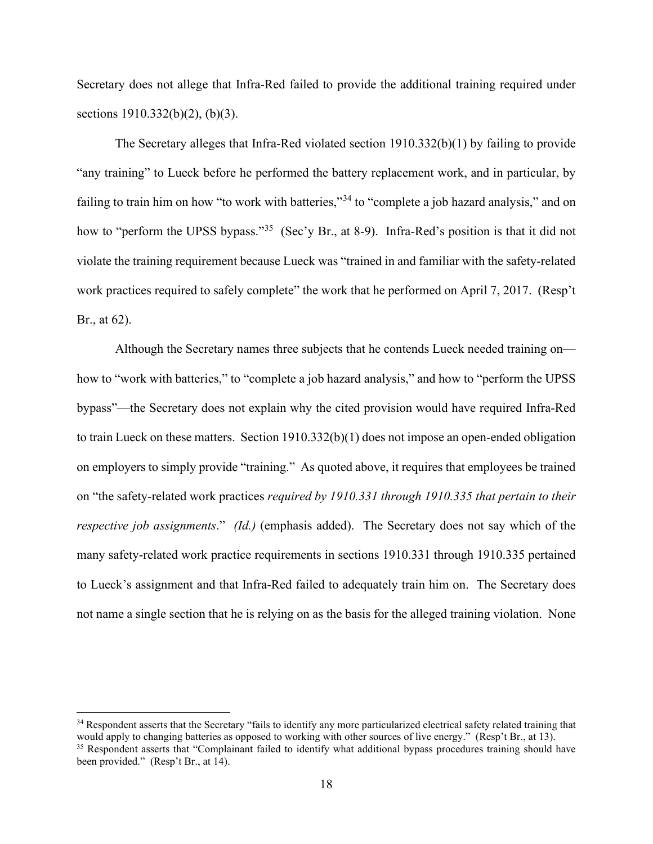Secretary does not allege that Infra-Red failed to provide the additional training required under sections 1910.332(b)(2), (b)(3).

The Secretary alleges that Infra-Red violated section 1910.332(b)(1) by failing to provide "any training" to Lueck before he performed the battery replacement work, and in particular, by failing to train him on how "to work with batteries,"<sup>[34](#page-17-0)</sup> to "complete a job hazard analysis," and on how to "perform the UPSS bypass."<sup>[35](#page-17-1)</sup> (Sec'y Br., at 8-9). Infra-Red's position is that it did not violate the training requirement because Lueck was "trained in and familiar with the safety-related work practices required to safely complete" the work that he performed on April 7, 2017. (Resp't Br., at 62).

Although the Secretary names three subjects that he contends Lueck needed training on how to "work with batteries," to "complete a job hazard analysis," and how to "perform the UPSS bypass"—the Secretary does not explain why the cited provision would have required Infra-Red to train Lueck on these matters. Section 1910.332(b)(1) does not impose an open-ended obligation on employers to simply provide "training." As quoted above, it requires that employees be trained on "the safety-related work practices *required by 1910.331 through 1910.335 that pertain to their respective job assignments*." *(Id.)* (emphasis added). The Secretary does not say which of the many safety-related work practice requirements in sections 1910.331 through 1910.335 pertained to Lueck's assignment and that Infra-Red failed to adequately train him on. The Secretary does not name a single section that he is relying on as the basis for the alleged training violation. None

<span id="page-17-1"></span><span id="page-17-0"></span><sup>&</sup>lt;sup>34</sup> Respondent asserts that the Secretary "fails to identify any more particularized electrical safety related training that would apply to changing batteries as opposed to working with other sources of live energy." (Resp't Br., at 13). <sup>35</sup> Respondent asserts that "Complainant failed to identify what additional bypass procedures training should have been provided." (Resp't Br., at 14).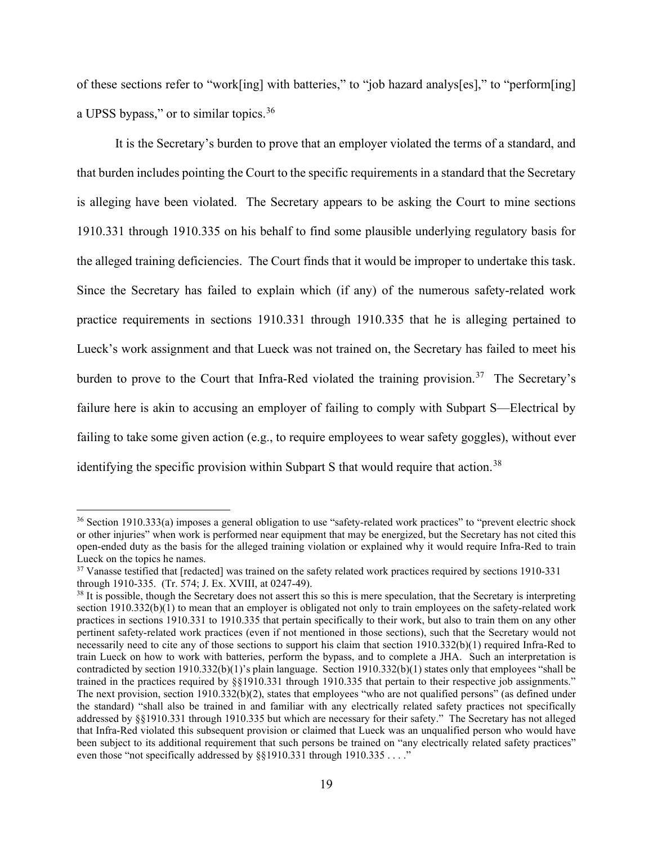of these sections refer to "work[ing] with batteries," to "job hazard analys[es]," to "perform[ing] a UPSS bypass," or to similar topics.<sup>[36](#page-18-0)</sup>

 It is the Secretary's burden to prove that an employer violated the terms of a standard, and that burden includes pointing the Court to the specific requirements in a standard that the Secretary is alleging have been violated. The Secretary appears to be asking the Court to mine sections 1910.331 through 1910.335 on his behalf to find some plausible underlying regulatory basis for the alleged training deficiencies. The Court finds that it would be improper to undertake this task. Since the Secretary has failed to explain which (if any) of the numerous safety-related work practice requirements in sections 1910.331 through 1910.335 that he is alleging pertained to Lueck's work assignment and that Lueck was not trained on, the Secretary has failed to meet his burden to prove to the Court that Infra-Red violated the training provision.<sup>[37](#page-18-1)</sup> The Secretary's failure here is akin to accusing an employer of failing to comply with Subpart S—Electrical by failing to take some given action (e.g., to require employees to wear safety goggles), without ever identifying the specific provision within Subpart S that would require that action.<sup>38</sup>

<span id="page-18-0"></span><sup>&</sup>lt;sup>36</sup> Section 1910.333(a) imposes a general obligation to use "safety-related work practices" to "prevent electric shock or other injuries" when work is performed near equipment that may be energized, but the Secretary has not cited this open-ended duty as the basis for the alleged training violation or explained why it would require Infra-Red to train Lueck on the topics he names.<br><sup>37</sup> Vanasse testified that [redacted] was trained on the safety related work practices required by sections 1910-331

<span id="page-18-1"></span>through 1910-335. (Tr. 574; J. Ex. XVIII, at 0247-49).

<span id="page-18-2"></span><sup>&</sup>lt;sup>38</sup> It is possible, though the Secretary does not assert this so this is mere speculation, that the Secretary is interpreting section 1910.332(b)(1) to mean that an employer is obligated not only to train employees on the safety-related work practices in sections 1910.331 to 1910.335 that pertain specifically to their work, but also to train them on any other pertinent safety-related work practices (even if not mentioned in those sections), such that the Secretary would not necessarily need to cite any of those sections to support his claim that section 1910.332(b)(1) required Infra-Red to train Lueck on how to work with batteries, perform the bypass, and to complete a JHA. Such an interpretation is contradicted by section 1910.332(b)(1)'s plain language. Section 1910.332(b)(1) states only that employees "shall be trained in the practices required by §§1910.331 through 1910.335 that pertain to their respective job assignments." The next provision, section 1910.332(b)(2), states that employees "who are not qualified persons" (as defined under the standard) "shall also be trained in and familiar with any electrically related safety practices not specifically addressed by §§1910.331 through 1910.335 but which are necessary for their safety." The Secretary has not alleged that Infra-Red violated this subsequent provision or claimed that Lueck was an unqualified person who would have been subject to its additional requirement that such persons be trained on "any electrically related safety practices" even those "not specifically addressed by §§1910.331 through 1910.335 . . . ."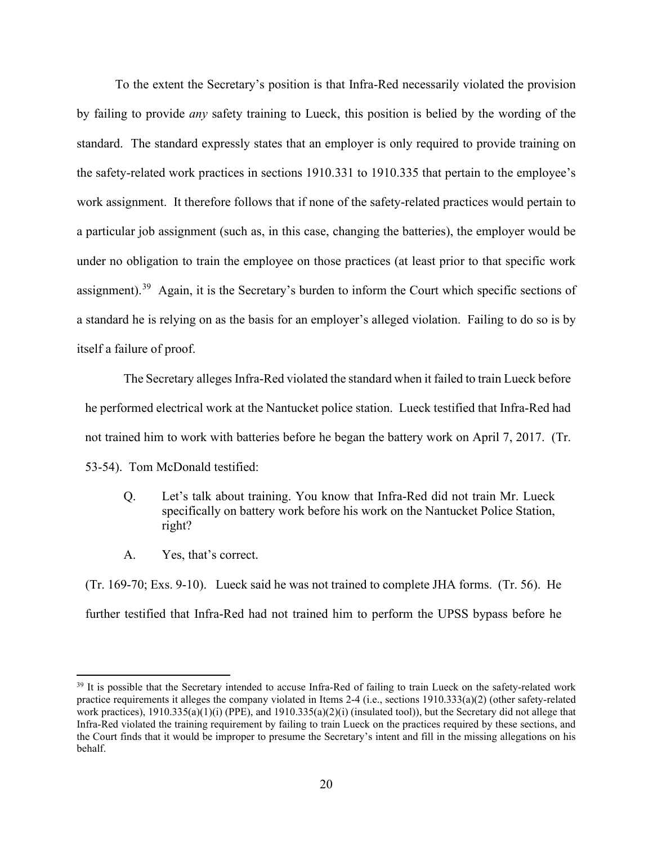To the extent the Secretary's position is that Infra-Red necessarily violated the provision by failing to provide *any* safety training to Lueck, this position is belied by the wording of the standard. The standard expressly states that an employer is only required to provide training on the safety-related work practices in sections 1910.331 to 1910.335 that pertain to the employee's work assignment. It therefore follows that if none of the safety-related practices would pertain to a particular job assignment (such as, in this case, changing the batteries), the employer would be under no obligation to train the employee on those practices (at least prior to that specific work assignment).<sup>39</sup> Again, it is the Secretary's burden to inform the Court which specific sections of a standard he is relying on as the basis for an employer's alleged violation. Failing to do so is by itself a failure of proof.

The Secretary alleges Infra-Red violated the standard when it failed to train Lueck before he performed electrical work at the Nantucket police station. Lueck testified that Infra-Red had not trained him to work with batteries before he began the battery work on April 7, 2017. (Tr. 53-54). Tom McDonald testified:

- Q. Let's talk about training. You know that Infra-Red did not train Mr. Lueck specifically on battery work before his work on the Nantucket Police Station, right?
- A. Yes, that's correct.

(Tr. 169-70; Exs. 9-10). Lueck said he was not trained to complete JHA forms. (Tr. 56). He further testified that Infra-Red had not trained him to perform the UPSS bypass before he

<span id="page-19-0"></span><sup>&</sup>lt;sup>39</sup> It is possible that the Secretary intended to accuse Infra-Red of failing to train Lueck on the safety-related work practice requirements it alleges the company violated in Items 2-4 (i.e., sections 1910.333(a)(2) (other safety-related work practices),  $1910.335(a)(1)(i)$  (PPE), and  $1910.335(a)(2)(i)$  (insulated tool)), but the Secretary did not allege that Infra-Red violated the training requirement by failing to train Lueck on the practices required by these sections, and the Court finds that it would be improper to presume the Secretary's intent and fill in the missing allegations on his behalf.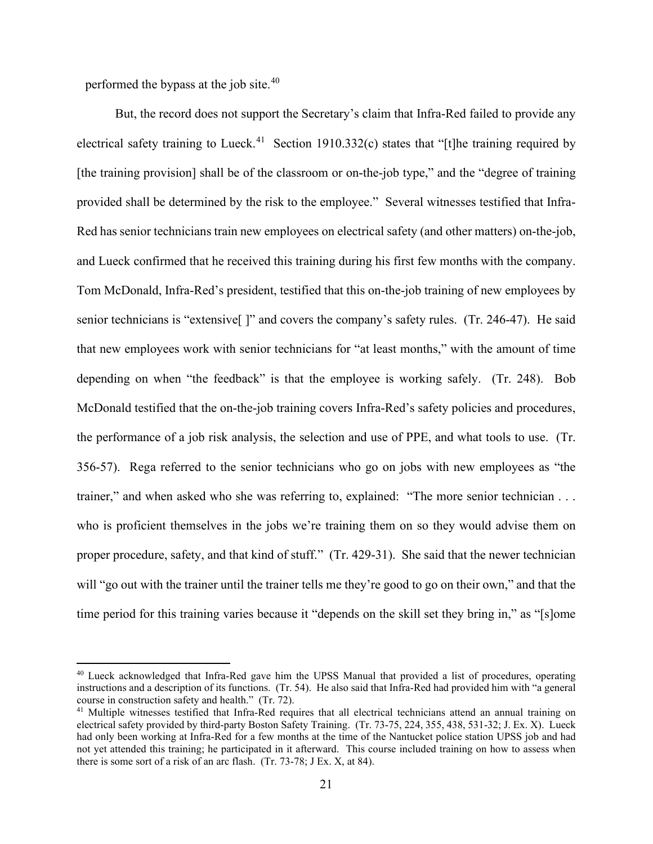performed the bypass at the job site.[40](#page-20-0)

But, the record does not support the Secretary's claim that Infra-Red failed to provide any electrical safety training to Lueck.<sup>41</sup> Section 1910.332(c) states that "[t]he training required by [the training provision] shall be of the classroom or on-the-job type," and the "degree of training provided shall be determined by the risk to the employee." Several witnesses testified that Infra-Red has senior technicians train new employees on electrical safety (and other matters) on-the-job, and Lueck confirmed that he received this training during his first few months with the company. Tom McDonald, Infra-Red's president, testified that this on-the-job training of new employees by senior technicians is "extensive<sup>[]"</sup> and covers the company's safety rules. (Tr. 246-47). He said that new employees work with senior technicians for "at least months," with the amount of time depending on when "the feedback" is that the employee is working safely. (Tr. 248). Bob McDonald testified that the on-the-job training covers Infra-Red's safety policies and procedures, the performance of a job risk analysis, the selection and use of PPE, and what tools to use. (Tr. 356-57). Rega referred to the senior technicians who go on jobs with new employees as "the trainer," and when asked who she was referring to, explained: "The more senior technician . . . who is proficient themselves in the jobs we're training them on so they would advise them on proper procedure, safety, and that kind of stuff." (Tr. 429-31). She said that the newer technician will "go out with the trainer until the trainer tells me they're good to go on their own," and that the time period for this training varies because it "depends on the skill set they bring in," as "[s]ome

<span id="page-20-0"></span><sup>&</sup>lt;sup>40</sup> Lueck acknowledged that Infra-Red gave him the UPSS Manual that provided a list of procedures, operating instructions and a description of its functions. (Tr. 54). He also said that Infra-Red had provided him with "a general course in construction safety and health." (Tr. 72).

<span id="page-20-1"></span><sup>&</sup>lt;sup>41</sup> Multiple witnesses testified that Infra-Red requires that all electrical technicians attend an annual training on electrical safety provided by third-party Boston Safety Training. (Tr. 73-75, 224, 355, 438, 531-32; J. Ex. X). Lueck had only been working at Infra-Red for a few months at the time of the Nantucket police station UPSS job and had not yet attended this training; he participated in it afterward. This course included training on how to assess when there is some sort of a risk of an arc flash. (Tr. 73-78; J Ex. X, at 84).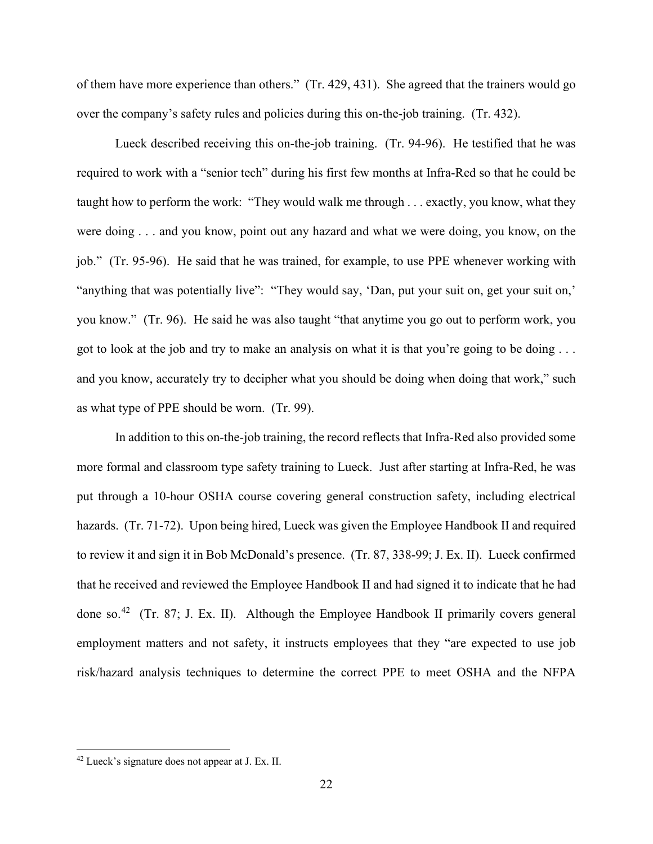of them have more experience than others." (Tr. 429, 431). She agreed that the trainers would go over the company's safety rules and policies during this on-the-job training. (Tr. 432).

Lueck described receiving this on-the-job training. (Tr. 94-96). He testified that he was required to work with a "senior tech" during his first few months at Infra-Red so that he could be taught how to perform the work: "They would walk me through . . . exactly, you know, what they were doing . . . and you know, point out any hazard and what we were doing, you know, on the job." (Tr. 95-96). He said that he was trained, for example, to use PPE whenever working with "anything that was potentially live": "They would say, 'Dan, put your suit on, get your suit on,' you know." (Tr. 96). He said he was also taught "that anytime you go out to perform work, you got to look at the job and try to make an analysis on what it is that you're going to be doing . . . and you know, accurately try to decipher what you should be doing when doing that work," such as what type of PPE should be worn. (Tr. 99).

In addition to this on-the-job training, the record reflects that Infra-Red also provided some more formal and classroom type safety training to Lueck. Just after starting at Infra-Red, he was put through a 10-hour OSHA course covering general construction safety, including electrical hazards. (Tr. 71-72). Upon being hired, Lueck was given the Employee Handbook II and required to review it and sign it in Bob McDonald's presence. (Tr. 87, 338-99; J. Ex. II). Lueck confirmed that he received and reviewed the Employee Handbook II and had signed it to indicate that he had done so.<sup>[42](#page-21-0)</sup> (Tr. 87; J. Ex. II). Although the Employee Handbook II primarily covers general employment matters and not safety, it instructs employees that they "are expected to use job risk/hazard analysis techniques to determine the correct PPE to meet OSHA and the NFPA

<span id="page-21-0"></span><sup>42</sup> Lueck's signature does not appear at J. Ex. II.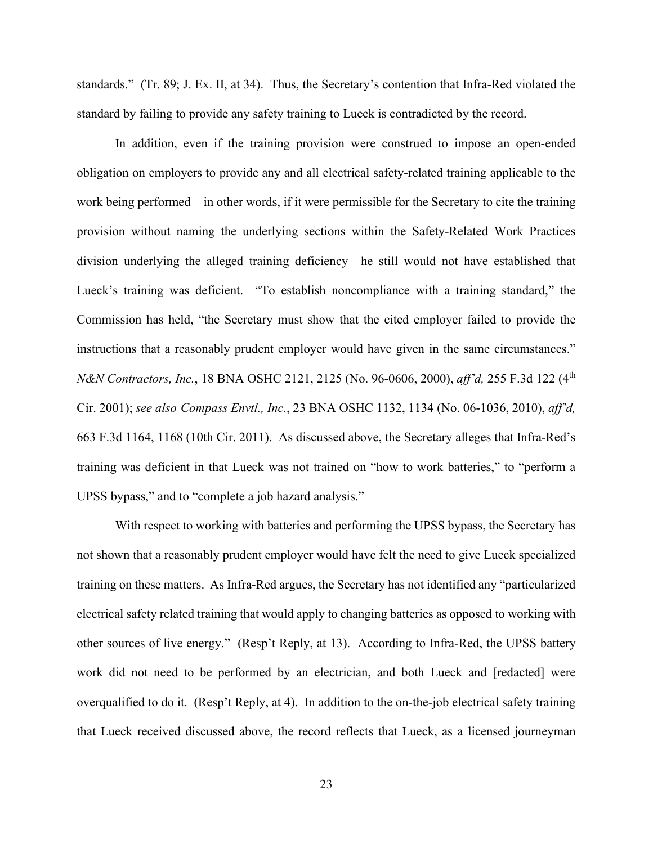standards." (Tr. 89; J. Ex. II, at 34). Thus, the Secretary's contention that Infra-Red violated the standard by failing to provide any safety training to Lueck is contradicted by the record.

In addition, even if the training provision were construed to impose an open-ended obligation on employers to provide any and all electrical safety-related training applicable to the work being performed—in other words, if it were permissible for the Secretary to cite the training provision without naming the underlying sections within the Safety-Related Work Practices division underlying the alleged training deficiency—he still would not have established that Lueck's training was deficient. "To establish noncompliance with a training standard," the Commission has held, "the Secretary must show that the cited employer failed to provide the instructions that a reasonably prudent employer would have given in the same circumstances." *N&N Contractors, Inc., 18 BNA OSHC 2121, 2125 (No. 96-0606, 2000), aff'd, 255 F.3d 122 (4<sup>th</sup>)* Cir. 2001); *see also Compass Envtl., Inc.*, 23 BNA OSHC 1132, 1134 (No. 06-1036, 2010), *aff'd,*  663 F.3d 1164, 1168 (10th Cir. 2011). As discussed above, the Secretary alleges that Infra-Red's training was deficient in that Lueck was not trained on "how to work batteries," to "perform a UPSS bypass," and to "complete a job hazard analysis."

With respect to working with batteries and performing the UPSS bypass, the Secretary has not shown that a reasonably prudent employer would have felt the need to give Lueck specialized training on these matters. As Infra-Red argues, the Secretary has not identified any "particularized electrical safety related training that would apply to changing batteries as opposed to working with other sources of live energy." (Resp't Reply, at 13). According to Infra-Red, the UPSS battery work did not need to be performed by an electrician, and both Lueck and [redacted] were overqualified to do it. (Resp't Reply, at 4). In addition to the on-the-job electrical safety training that Lueck received discussed above, the record reflects that Lueck, as a licensed journeyman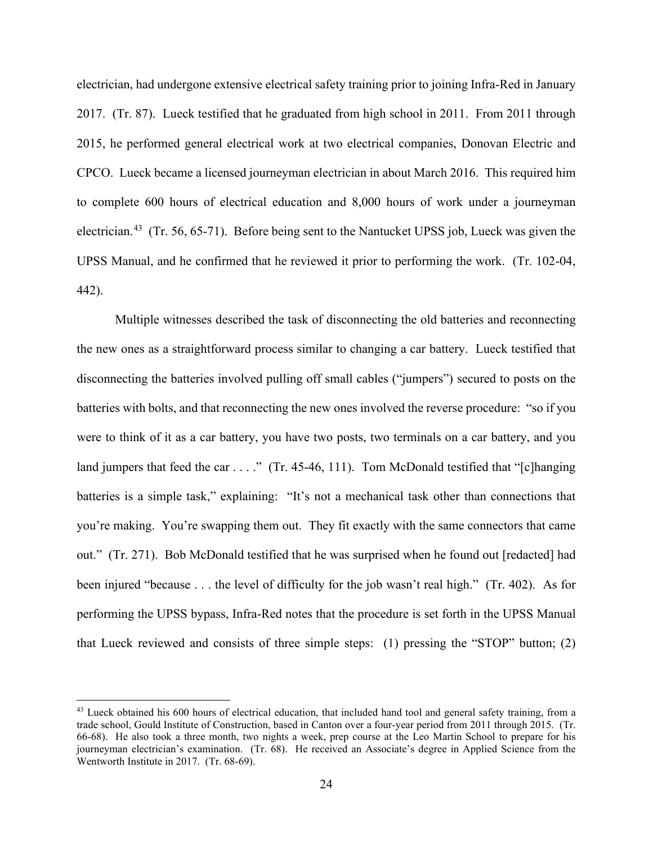electrician, had undergone extensive electrical safety training prior to joining Infra-Red in January 2017. (Tr. 87). Lueck testified that he graduated from high school in 2011. From 2011 through 2015, he performed general electrical work at two electrical companies, Donovan Electric and CPCO. Lueck became a licensed journeyman electrician in about March 2016. This required him to complete 600 hours of electrical education and 8,000 hours of work under a journeyman electrician.<sup>43</sup> (Tr. 56, 65-71). Before being sent to the Nantucket UPSS job, Lueck was given the UPSS Manual, and he confirmed that he reviewed it prior to performing the work. (Tr. 102-04, 442).

Multiple witnesses described the task of disconnecting the old batteries and reconnecting the new ones as a straightforward process similar to changing a car battery. Lueck testified that disconnecting the batteries involved pulling off small cables ("jumpers") secured to posts on the batteries with bolts, and that reconnecting the new ones involved the reverse procedure: "so if you were to think of it as a car battery, you have two posts, two terminals on a car battery, and you land jumpers that feed the car  $\dots$ ." (Tr. 45-46, 111). Tom McDonald testified that "[c]hanging batteries is a simple task," explaining: "It's not a mechanical task other than connections that you're making. You're swapping them out. They fit exactly with the same connectors that came out." (Tr. 271). Bob McDonald testified that he was surprised when he found out [redacted] had been injured "because . . . the level of difficulty for the job wasn't real high." (Tr. 402). As for performing the UPSS bypass, Infra-Red notes that the procedure is set forth in the UPSS Manual that Lueck reviewed and consists of three simple steps: (1) pressing the "STOP" button; (2)

<span id="page-23-0"></span> $43$  Lueck obtained his 600 hours of electrical education, that included hand tool and general safety training, from a trade school, Gould Institute of Construction, based in Canton over a four-year period from 2011 through 2015. (Tr. 66-68). He also took a three month, two nights a week, prep course at the Leo Martin School to prepare for his journeyman electrician's examination. (Tr. 68). He received an Associate's degree in Applied Science from the Wentworth Institute in 2017. (Tr. 68-69).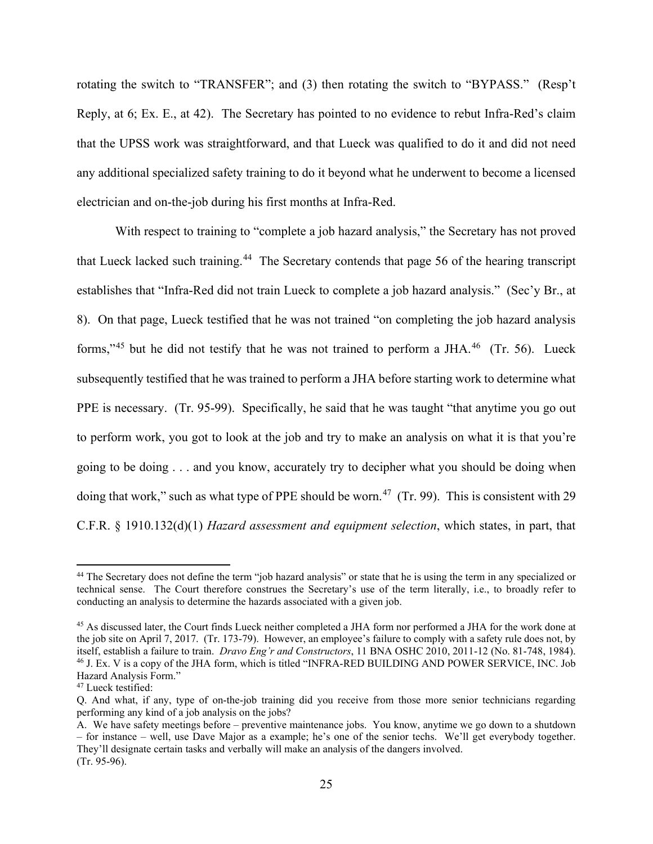rotating the switch to "TRANSFER"; and (3) then rotating the switch to "BYPASS." (Resp't Reply, at 6; Ex. E., at 42). The Secretary has pointed to no evidence to rebut Infra-Red's claim that the UPSS work was straightforward, and that Lueck was qualified to do it and did not need any additional specialized safety training to do it beyond what he underwent to become a licensed electrician and on-the-job during his first months at Infra-Red.

With respect to training to "complete a job hazard analysis," the Secretary has not proved that Lueck lacked such training.[44](#page-24-0) The Secretary contends that page 56 of the hearing transcript establishes that "Infra-Red did not train Lueck to complete a job hazard analysis." (Sec'y Br., at 8). On that page, Lueck testified that he was not trained "on completing the job hazard analysis forms,"<sup>[45](#page-24-1)</sup> but he did not testify that he was not trained to perform a JHA.<sup>46</sup> (Tr. 56). Lueck subsequently testified that he was trained to perform a JHA before starting work to determine what PPE is necessary. (Tr. 95-99). Specifically, he said that he was taught "that anytime you go out to perform work, you got to look at the job and try to make an analysis on what it is that you're going to be doing . . . and you know, accurately try to decipher what you should be doing when doing that work," such as what type of PPE should be worn.<sup>[47](#page-24-3)</sup> (Tr. 99). This is consistent with 29 C.F.R. § 1910.132(d)(1) *Hazard assessment and equipment selection*, which states, in part, that

<span id="page-24-0"></span><sup>&</sup>lt;sup>44</sup> The Secretary does not define the term "job hazard analysis" or state that he is using the term in any specialized or technical sense. The Court therefore construes the Secretary's use of the term literally, i.e., to broadly refer to conducting an analysis to determine the hazards associated with a given job.

<span id="page-24-1"></span><sup>45</sup> As discussed later, the Court finds Lueck neither completed a JHA form nor performed a JHA for the work done at the job site on April 7, 2017. (Tr. 173-79). However, an employee's failure to comply with a safety rule does not, by itself, establish a failure to train. *Dravo Eng'r and Constructors*, 11 BNA OSHC 2010, 2011-12 (No. 81-748, 1984). <sup>46</sup> J. Ex. V is a copy of the JHA form, which is titled "INFRA-RED BUILDING AND POWER SERVICE, INC. Job Hazard Analysis Form."

<span id="page-24-3"></span><span id="page-24-2"></span><sup>&</sup>lt;sup>47</sup> Lueck testified:

Q. And what, if any, type of on-the-job training did you receive from those more senior technicians regarding performing any kind of a job analysis on the jobs?

A. We have safety meetings before – preventive maintenance jobs. You know, anytime we go down to a shutdown – for instance – well, use Dave Major as a example; he's one of the senior techs. We'll get everybody together. They'll designate certain tasks and verbally will make an analysis of the dangers involved. (Tr. 95-96).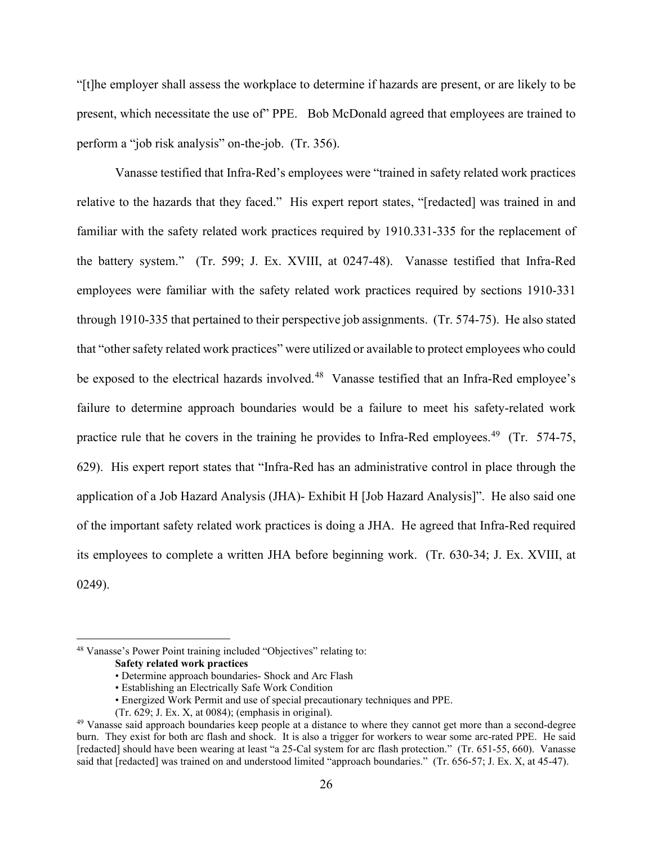"[t]he employer shall assess the workplace to determine if hazards are present, or are likely to be present, which necessitate the use of" PPE. Bob McDonald agreed that employees are trained to perform a "job risk analysis" on-the-job. (Tr. 356).

Vanasse testified that Infra-Red's employees were "trained in safety related work practices relative to the hazards that they faced." His expert report states, "[redacted] was trained in and familiar with the safety related work practices required by 1910.331-335 for the replacement of the battery system." (Tr. 599; J. Ex. XVIII, at 0247-48). Vanasse testified that Infra-Red employees were familiar with the safety related work practices required by sections 1910-331 through 1910-335 that pertained to their perspective job assignments. (Tr. 574-75). He also stated that "other safety related work practices" were utilized or available to protect employees who could be exposed to the electrical hazards involved.<sup>48</sup> Vanasse testified that an Infra-Red employee's failure to determine approach boundaries would be a failure to meet his safety-related work practice rule that he covers in the training he provides to Infra-Red employees.<sup>[49](#page-25-1)</sup> (Tr. 574-75, 629). His expert report states that "Infra-Red has an administrative control in place through the application of a Job Hazard Analysis (JHA)- Exhibit H [Job Hazard Analysis]". He also said one of the important safety related work practices is doing a JHA. He agreed that Infra-Red required its employees to complete a written JHA before beginning work. (Tr. 630-34; J. Ex. XVIII, at 0249).

<span id="page-25-0"></span><sup>48</sup> Vanasse's Power Point training included "Objectives" relating to:

**Safety related work practices**

<sup>•</sup> Determine approach boundaries- Shock and Arc Flash

<sup>•</sup> Establishing an Electrically Safe Work Condition

<sup>•</sup> Energized Work Permit and use of special precautionary techniques and PPE.

<sup>(</sup>Tr. 629; J. Ex. X, at 0084); (emphasis in original).

<span id="page-25-1"></span><sup>&</sup>lt;sup>49</sup> Vanasse said approach boundaries keep people at a distance to where they cannot get more than a second-degree burn. They exist for both arc flash and shock. It is also a trigger for workers to wear some arc-rated PPE. He said [redacted] should have been wearing at least "a 25-Cal system for arc flash protection." (Tr. 651-55, 660). Vanasse said that [redacted] was trained on and understood limited "approach boundaries." (Tr. 656-57; J. Ex. X, at 45-47).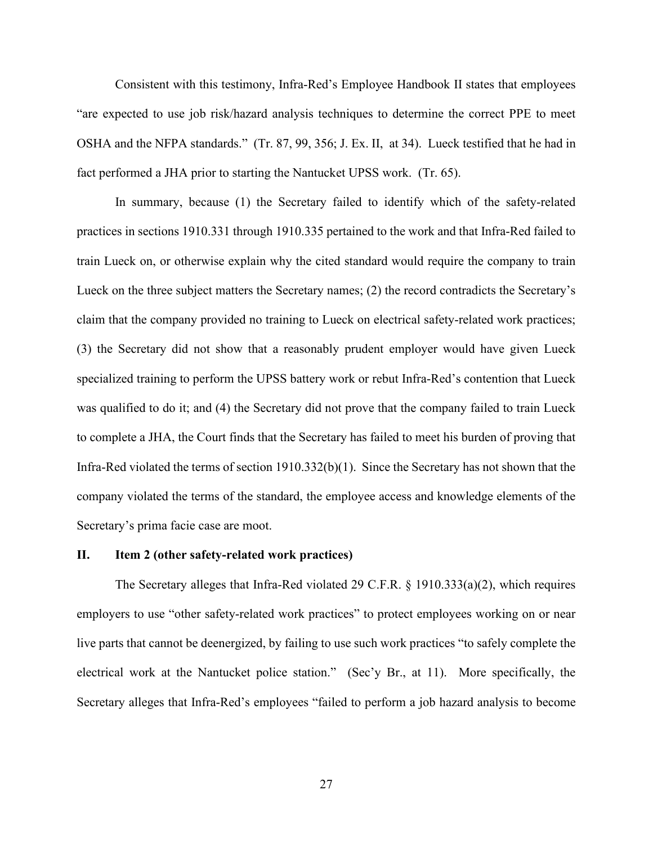Consistent with this testimony, Infra-Red's Employee Handbook II states that employees "are expected to use job risk/hazard analysis techniques to determine the correct PPE to meet OSHA and the NFPA standards." (Tr. 87, 99, 356; J. Ex. II, at 34). Lueck testified that he had in fact performed a JHA prior to starting the Nantucket UPSS work. (Tr. 65).

In summary, because (1) the Secretary failed to identify which of the safety-related practices in sections 1910.331 through 1910.335 pertained to the work and that Infra-Red failed to train Lueck on, or otherwise explain why the cited standard would require the company to train Lueck on the three subject matters the Secretary names; (2) the record contradicts the Secretary's claim that the company provided no training to Lueck on electrical safety-related work practices; (3) the Secretary did not show that a reasonably prudent employer would have given Lueck specialized training to perform the UPSS battery work or rebut Infra-Red's contention that Lueck was qualified to do it; and (4) the Secretary did not prove that the company failed to train Lueck to complete a JHA, the Court finds that the Secretary has failed to meet his burden of proving that Infra-Red violated the terms of section 1910.332(b)(1). Since the Secretary has not shown that the company violated the terms of the standard, the employee access and knowledge elements of the Secretary's prima facie case are moot.

## **II. Item 2 (other safety-related work practices)**

The Secretary alleges that Infra-Red violated 29 C.F.R. § 1910.333(a)(2), which requires employers to use "other safety-related work practices" to protect employees working on or near live parts that cannot be deenergized, by failing to use such work practices "to safely complete the electrical work at the Nantucket police station." (Sec'y Br., at 11). More specifically, the Secretary alleges that Infra-Red's employees "failed to perform a job hazard analysis to become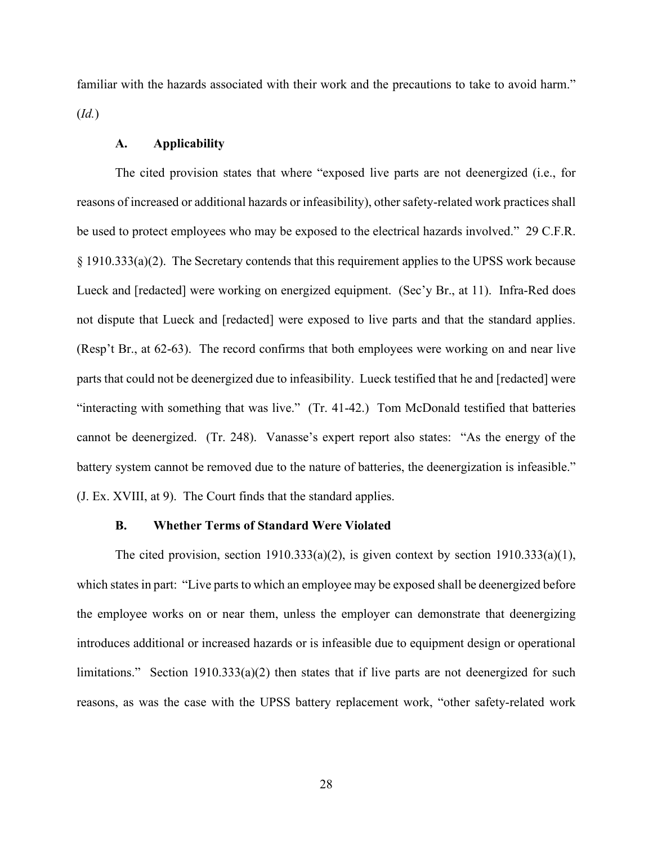familiar with the hazards associated with their work and the precautions to take to avoid harm." (*Id.*)

# **A. Applicability**

The cited provision states that where "exposed live parts are not deenergized (i.e., for reasons of increased or additional hazards or infeasibility), other safety-related work practices shall be used to protect employees who may be exposed to the electrical hazards involved." 29 C.F.R. § 1910.333(a)(2). The Secretary contends that this requirement applies to the UPSS work because Lueck and [redacted] were working on energized equipment. (Sec'y Br., at 11). Infra-Red does not dispute that Lueck and [redacted] were exposed to live parts and that the standard applies. (Resp't Br., at 62-63). The record confirms that both employees were working on and near live parts that could not be deenergized due to infeasibility. Lueck testified that he and [redacted] were "interacting with something that was live." (Tr. 41-42.) Tom McDonald testified that batteries cannot be deenergized. (Tr. 248). Vanasse's expert report also states: "As the energy of the battery system cannot be removed due to the nature of batteries, the deenergization is infeasible." (J. Ex. XVIII, at 9). The Court finds that the standard applies.

### **B. Whether Terms of Standard Were Violated**

The cited provision, section  $1910.333(a)(2)$ , is given context by section  $1910.333(a)(1)$ , which states in part: "Live parts to which an employee may be exposed shall be deenergized before the employee works on or near them, unless the employer can demonstrate that deenergizing introduces additional or increased hazards or is infeasible due to equipment design or operational limitations." Section 1910.333(a)(2) then states that if live parts are not deenergized for such reasons, as was the case with the UPSS battery replacement work, "other safety-related work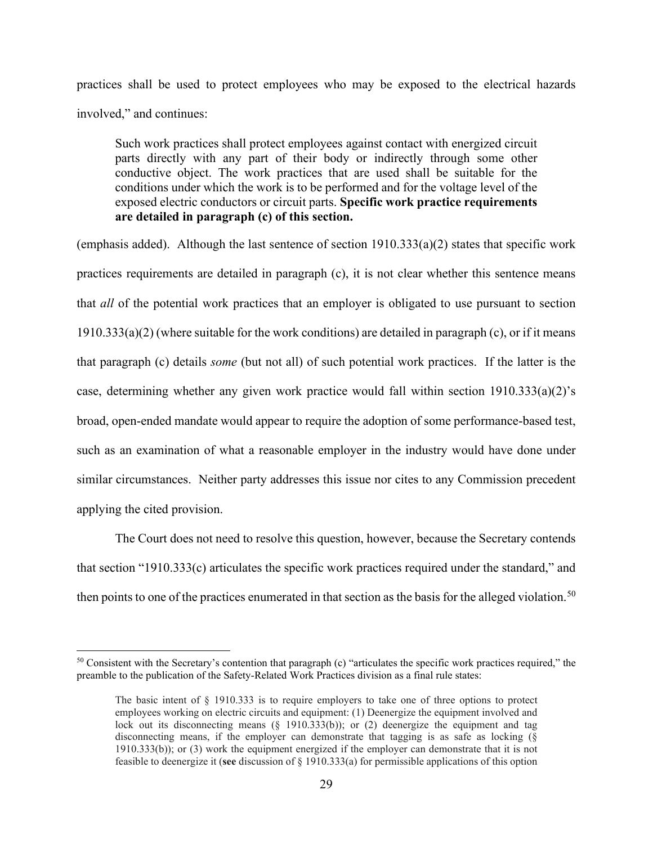practices shall be used to protect employees who may be exposed to the electrical hazards involved," and continues:

Such work practices shall protect employees against contact with energized circuit parts directly with any part of their body or indirectly through some other conductive object. The work practices that are used shall be suitable for the conditions under which the work is to be performed and for the voltage level of the exposed electric conductors or circuit parts. **Specific work practice requirements are detailed in paragraph (c) of this section.**

(emphasis added). Although the last sentence of section  $1910.333(a)(2)$  states that specific work practices requirements are detailed in paragraph (c), it is not clear whether this sentence means that *all* of the potential work practices that an employer is obligated to use pursuant to section  $1910.333(a)(2)$  (where suitable for the work conditions) are detailed in paragraph (c), or if it means that paragraph (c) details *some* (but not all) of such potential work practices. If the latter is the case, determining whether any given work practice would fall within section 1910.333(a)(2)'s broad, open-ended mandate would appear to require the adoption of some performance-based test, such as an examination of what a reasonable employer in the industry would have done under similar circumstances. Neither party addresses this issue nor cites to any Commission precedent applying the cited provision.

The Court does not need to resolve this question, however, because the Secretary contends that section "1910.333(c) articulates the specific work practices required under the standard," and then points to one of the practices enumerated in that section as the basis for the alleged violation.<sup>[50](#page-28-0)</sup>

<span id="page-28-0"></span> $50$  Consistent with the Secretary's contention that paragraph (c) "articulates the specific work practices required," the preamble to the publication of the Safety-Related Work Practices division as a final rule states:

The basic intent of § 1910.333 is to require employers to take one of three options to protect employees working on electric circuits and equipment: (1) Deenergize the equipment involved and lock out its disconnecting means  $(\S$  1910.333(b)); or (2) deenergize the equipment and tag disconnecting means, if the employer can demonstrate that tagging is as safe as locking (§ 1910.333(b)); or (3) work the equipment energized if the employer can demonstrate that it is not feasible to deenergize it (**see** discussion of § 1910.333(a) for permissible applications of this option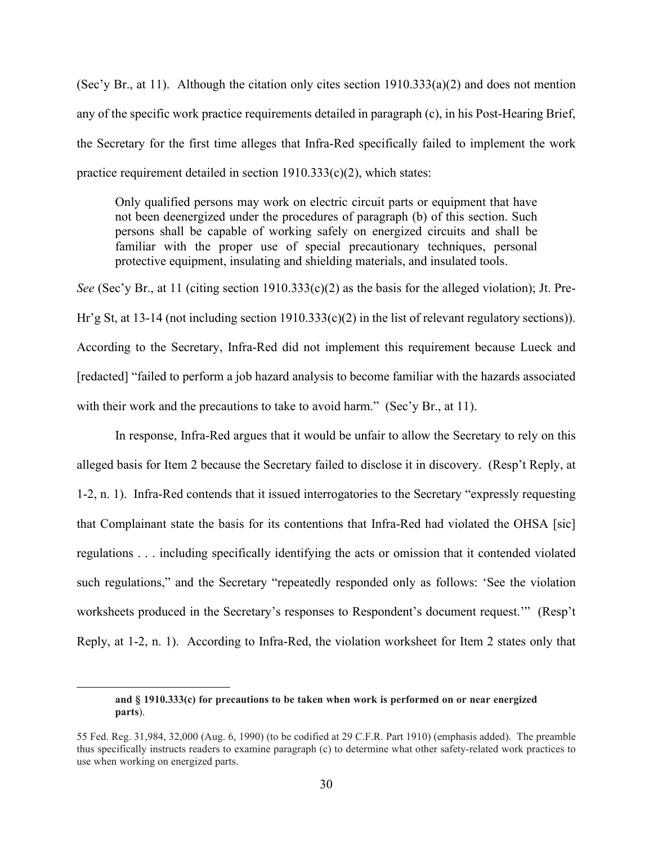(Sec'y Br., at 11). Although the citation only cites section  $1910.333(a)(2)$  and does not mention any of the specific work practice requirements detailed in paragraph (c), in his Post-Hearing Brief, the Secretary for the first time alleges that Infra-Red specifically failed to implement the work practice requirement detailed in section 1910.333(c)(2), which states:

Only qualified persons may work on electric circuit parts or equipment that have not been deenergized under the procedures of paragraph (b) of this section. Such persons shall be capable of working safely on energized circuits and shall be familiar with the proper use of special precautionary techniques, personal protective equipment, insulating and shielding materials, and insulated tools.

*See* (Sec'y Br., at 11 (citing section 1910.333(c)(2) as the basis for the alleged violation); Jt. Pre-Hr'g St, at 13-14 (not including section 1910.333(c)(2) in the list of relevant regulatory sections)). According to the Secretary, Infra-Red did not implement this requirement because Lueck and [redacted] "failed to perform a job hazard analysis to become familiar with the hazards associated with their work and the precautions to take to avoid harm." (Sec'y Br., at 11).

In response, Infra-Red argues that it would be unfair to allow the Secretary to rely on this alleged basis for Item 2 because the Secretary failed to disclose it in discovery. (Resp't Reply, at 1-2, n. 1). Infra-Red contends that it issued interrogatories to the Secretary "expressly requesting that Complainant state the basis for its contentions that Infra-Red had violated the OHSA [sic] regulations . . . including specifically identifying the acts or omission that it contended violated such regulations," and the Secretary "repeatedly responded only as follows: 'See the violation worksheets produced in the Secretary's responses to Respondent's document request.'" (Resp't Reply, at 1-2, n. 1). According to Infra-Red, the violation worksheet for Item 2 states only that

**and § 1910.333(c) for precautions to be taken when work is performed on or near energized parts**).

<sup>55</sup> Fed. Reg. 31,984, 32,000 (Aug. 6, 1990) (to be codified at 29 C.F.R. Part 1910) (emphasis added). The preamble thus specifically instructs readers to examine paragraph (c) to determine what other safety-related work practices to use when working on energized parts.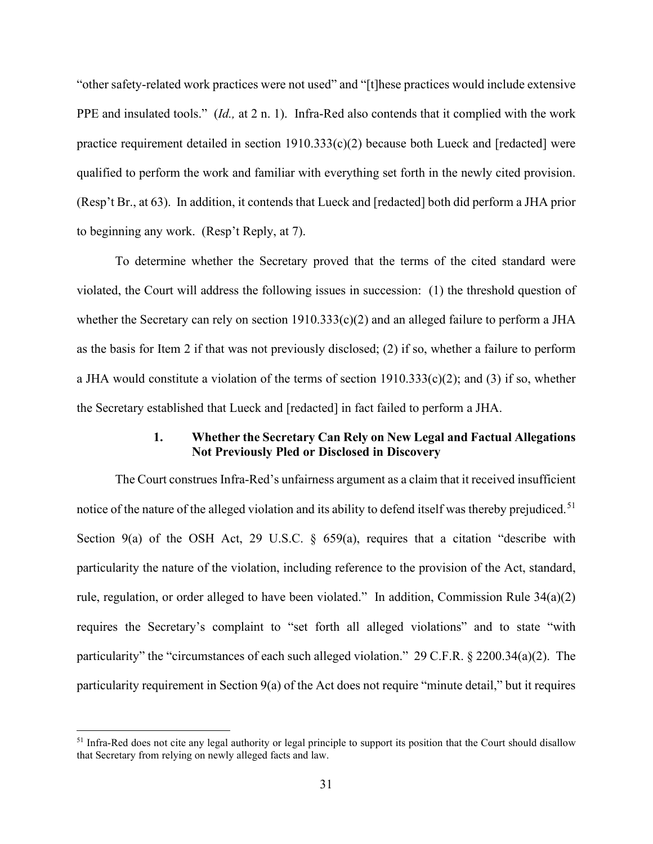"other safety-related work practices were not used" and "[t]hese practices would include extensive PPE and insulated tools." (*Id.,* at 2 n. 1). Infra-Red also contends that it complied with the work practice requirement detailed in section  $1910.333(c)(2)$  because both Lueck and [redacted] were qualified to perform the work and familiar with everything set forth in the newly cited provision. (Resp't Br., at 63). In addition, it contends that Lueck and [redacted] both did perform a JHA prior to beginning any work. (Resp't Reply, at 7).

To determine whether the Secretary proved that the terms of the cited standard were violated, the Court will address the following issues in succession: (1) the threshold question of whether the Secretary can rely on section 1910.333(c)(2) and an alleged failure to perform a JHA as the basis for Item 2 if that was not previously disclosed; (2) if so, whether a failure to perform a JHA would constitute a violation of the terms of section  $1910.333(c)(2)$ ; and (3) if so, whether the Secretary established that Lueck and [redacted] in fact failed to perform a JHA.

# **1. Whether the Secretary Can Rely on New Legal and Factual Allegations Not Previously Pled or Disclosed in Discovery**

The Court construes Infra-Red's unfairness argument as a claim that it received insufficient notice of the nature of the alleged violation and its ability to defend itself was thereby prejudiced.<sup>[51](#page-30-0)</sup> Section 9(a) of the OSH Act, 29 U.S.C.  $\S$  659(a), requires that a citation "describe with particularity the nature of the violation, including reference to the provision of the Act, standard, rule, regulation, or order alleged to have been violated." In addition, Commission Rule 34(a)(2) requires the Secretary's complaint to "set forth all alleged violations" and to state "with particularity" the "circumstances of each such alleged violation." 29 C.F.R. § 2200.34(a)(2). The particularity requirement in Section 9(a) of the Act does not require "minute detail," but it requires

<span id="page-30-0"></span> $<sup>51</sup>$  Infra-Red does not cite any legal authority or legal principle to support its position that the Court should disallow</sup> that Secretary from relying on newly alleged facts and law.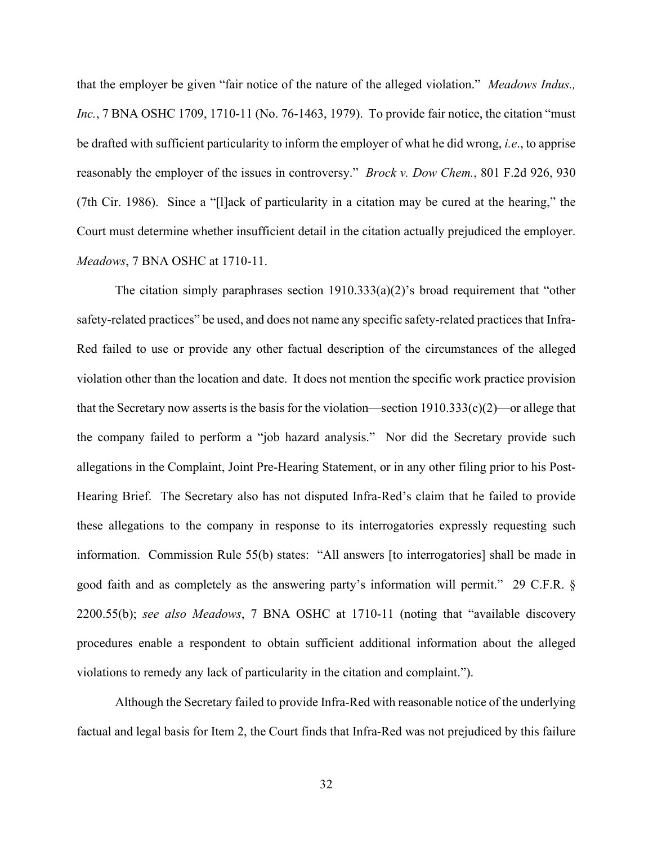that the employer be given "fair notice of the nature of the alleged violation." *Meadows Indus., Inc.*, 7 BNA OSHC 1709, 1710-11 (No. 76-1463, 1979). To provide fair notice, the citation "must be drafted with sufficient particularity to inform the employer of what he did wrong, *i.e*., to apprise reasonably the employer of the issues in controversy." *Brock v. Dow Chem.*, 801 F.2d 926, 930 (7th Cir. 1986). Since a "[l]ack of particularity in a citation may be cured at the hearing," the Court must determine whether insufficient detail in the citation actually prejudiced the employer. *Meadows*, 7 BNA OSHC at 1710-11.

The citation simply paraphrases section  $1910.333(a)(2)$ 's broad requirement that "other safety-related practices" be used, and does not name any specific safety-related practices that Infra-Red failed to use or provide any other factual description of the circumstances of the alleged violation other than the location and date. It does not mention the specific work practice provision that the Secretary now asserts is the basis for the violation—section  $1910.333(c)(2)$ —or allege that the company failed to perform a "job hazard analysis." Nor did the Secretary provide such allegations in the Complaint, Joint Pre-Hearing Statement, or in any other filing prior to his Post-Hearing Brief. The Secretary also has not disputed Infra-Red's claim that he failed to provide these allegations to the company in response to its interrogatories expressly requesting such information. Commission Rule 55(b) states: "All answers [to interrogatories] shall be made in good faith and as completely as the answering party's information will permit." 29 C.F.R. § 2200.55(b); *see also Meadows*, 7 BNA OSHC at 1710-11 (noting that "available discovery procedures enable a respondent to obtain sufficient additional information about the alleged violations to remedy any lack of particularity in the citation and complaint.").

Although the Secretary failed to provide Infra-Red with reasonable notice of the underlying factual and legal basis for Item 2, the Court finds that Infra-Red was not prejudiced by this failure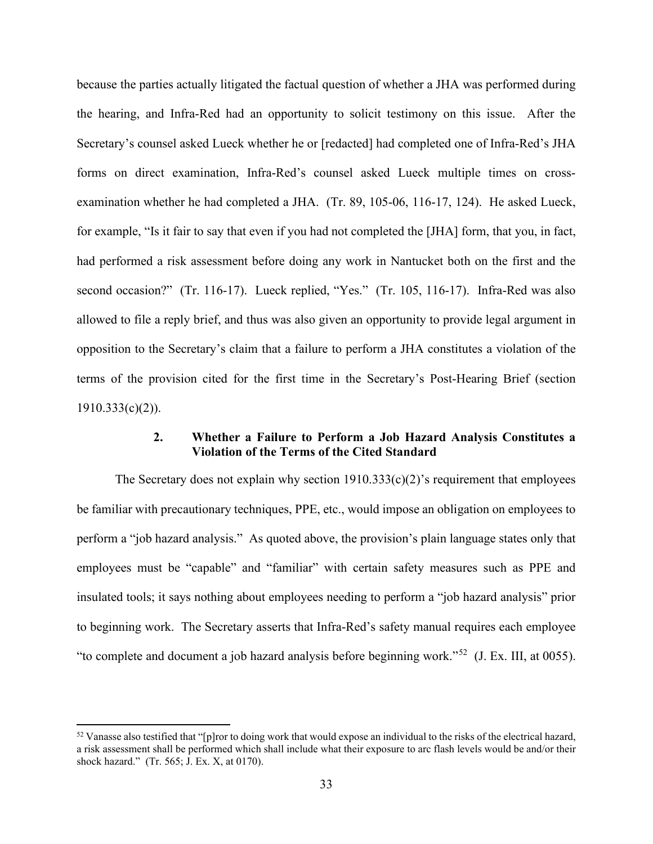because the parties actually litigated the factual question of whether a JHA was performed during the hearing, and Infra-Red had an opportunity to solicit testimony on this issue. After the Secretary's counsel asked Lueck whether he or [redacted] had completed one of Infra-Red's JHA forms on direct examination, Infra-Red's counsel asked Lueck multiple times on crossexamination whether he had completed a JHA. (Tr. 89, 105-06, 116-17, 124). He asked Lueck, for example, "Is it fair to say that even if you had not completed the [JHA] form, that you, in fact, had performed a risk assessment before doing any work in Nantucket both on the first and the second occasion?" (Tr. 116-17). Lueck replied, "Yes." (Tr. 105, 116-17). Infra-Red was also allowed to file a reply brief, and thus was also given an opportunity to provide legal argument in opposition to the Secretary's claim that a failure to perform a JHA constitutes a violation of the terms of the provision cited for the first time in the Secretary's Post-Hearing Brief (section 1910.333(c)(2)).

# **2. Whether a Failure to Perform a Job Hazard Analysis Constitutes a Violation of the Terms of the Cited Standard**

The Secretary does not explain why section  $1910.333(c)(2)$ 's requirement that employees be familiar with precautionary techniques, PPE, etc., would impose an obligation on employees to perform a "job hazard analysis." As quoted above, the provision's plain language states only that employees must be "capable" and "familiar" with certain safety measures such as PPE and insulated tools; it says nothing about employees needing to perform a "job hazard analysis" prior to beginning work. The Secretary asserts that Infra-Red's safety manual requires each employee "to complete and document a job hazard analysis before beginning work."[52](#page-32-0) (J. Ex. III, at 0055).

<span id="page-32-0"></span> $52$  Vanasse also testified that "[p]ror to doing work that would expose an individual to the risks of the electrical hazard, a risk assessment shall be performed which shall include what their exposure to arc flash levels would be and/or their shock hazard." (Tr. 565; J. Ex. X, at 0170).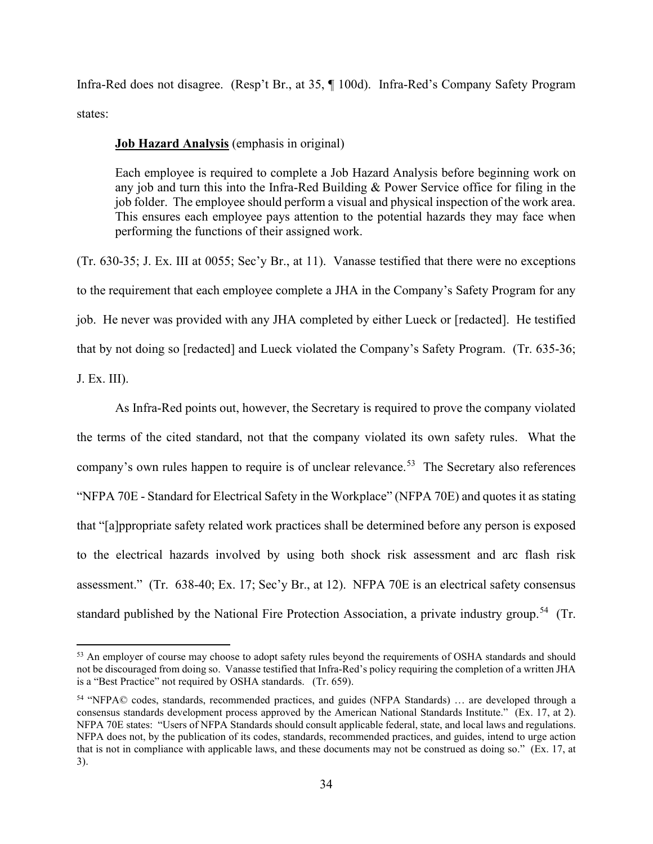Infra-Red does not disagree. (Resp't Br., at 35, ¶ 100d). Infra-Red's Company Safety Program states:

# **Job Hazard Analysis** (emphasis in original)

Each employee is required to complete a Job Hazard Analysis before beginning work on any job and turn this into the Infra-Red Building & Power Service office for filing in the job folder. The employee should perform a visual and physical inspection of the work area. This ensures each employee pays attention to the potential hazards they may face when performing the functions of their assigned work.

(Tr. 630-35; J. Ex. III at 0055; Sec'y Br., at 11). Vanasse testified that there were no exceptions to the requirement that each employee complete a JHA in the Company's Safety Program for any job. He never was provided with any JHA completed by either Lueck or [redacted]. He testified that by not doing so [redacted] and Lueck violated the Company's Safety Program. (Tr. 635-36; J. Ex. III).

As Infra-Red points out, however, the Secretary is required to prove the company violated the terms of the cited standard, not that the company violated its own safety rules. What the company's own rules happen to require is of unclear relevance.<sup>53</sup> The Secretary also references "NFPA 70E - Standard for Electrical Safety in the Workplace" (NFPA 70E) and quotes it as stating that "[a]ppropriate safety related work practices shall be determined before any person is exposed to the electrical hazards involved by using both shock risk assessment and arc flash risk assessment." (Tr. 638-40; Ex. 17; Sec'y Br., at 12). NFPA 70E is an electrical safety consensus standard published by the National Fire Protection Association, a private industry group.<sup>[54](#page-33-1)</sup> (Tr.

<span id="page-33-0"></span><sup>53</sup> An employer of course may choose to adopt safety rules beyond the requirements of OSHA standards and should not be discouraged from doing so. Vanasse testified that Infra-Red's policy requiring the completion of a written JHA is a "Best Practice" not required by OSHA standards. (Tr. 659).

<span id="page-33-1"></span><sup>54</sup> "NFPA© codes, standards, recommended practices, and guides (NFPA Standards) … are developed through a consensus standards development process approved by the American National Standards Institute." (Ex. 17, at 2). NFPA 70E states: "Users of NFPA Standards should consult applicable federal, state, and local laws and regulations. NFPA does not, by the publication of its codes, standards, recommended practices, and guides, intend to urge action that is not in compliance with applicable laws, and these documents may not be construed as doing so." (Ex. 17, at 3).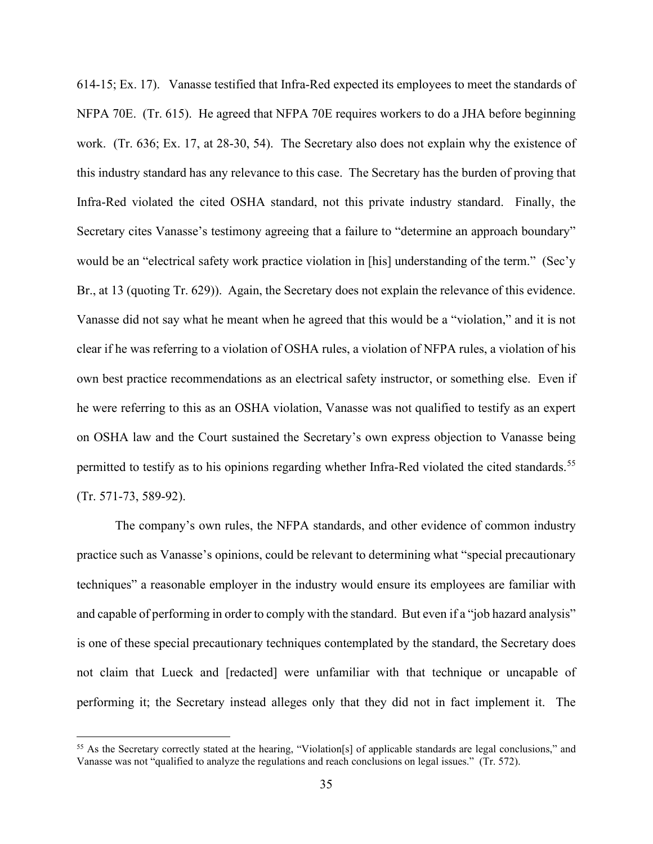614-15; Ex. 17). Vanasse testified that Infra-Red expected its employees to meet the standards of NFPA 70E. (Tr. 615). He agreed that NFPA 70E requires workers to do a JHA before beginning work. (Tr. 636; Ex. 17, at 28-30, 54). The Secretary also does not explain why the existence of this industry standard has any relevance to this case. The Secretary has the burden of proving that Infra-Red violated the cited OSHA standard, not this private industry standard. Finally, the Secretary cites Vanasse's testimony agreeing that a failure to "determine an approach boundary" would be an "electrical safety work practice violation in [his] understanding of the term." (Sec'y Br., at 13 (quoting Tr. 629)). Again, the Secretary does not explain the relevance of this evidence. Vanasse did not say what he meant when he agreed that this would be a "violation," and it is not clear if he was referring to a violation of OSHA rules, a violation of NFPA rules, a violation of his own best practice recommendations as an electrical safety instructor, or something else. Even if he were referring to this as an OSHA violation, Vanasse was not qualified to testify as an expert on OSHA law and the Court sustained the Secretary's own express objection to Vanasse being permitted to testify as to his opinions regarding whether Infra-Red violated the cited standards.<sup>[55](#page-34-0)</sup> (Tr. 571-73, 589-92).

The company's own rules, the NFPA standards, and other evidence of common industry practice such as Vanasse's opinions, could be relevant to determining what "special precautionary techniques" a reasonable employer in the industry would ensure its employees are familiar with and capable of performing in order to comply with the standard. But even if a "job hazard analysis" is one of these special precautionary techniques contemplated by the standard, the Secretary does not claim that Lueck and [redacted] were unfamiliar with that technique or uncapable of performing it; the Secretary instead alleges only that they did not in fact implement it. The

<span id="page-34-0"></span><sup>55</sup> As the Secretary correctly stated at the hearing, "Violation[s] of applicable standards are legal conclusions," and Vanasse was not "qualified to analyze the regulations and reach conclusions on legal issues." (Tr. 572).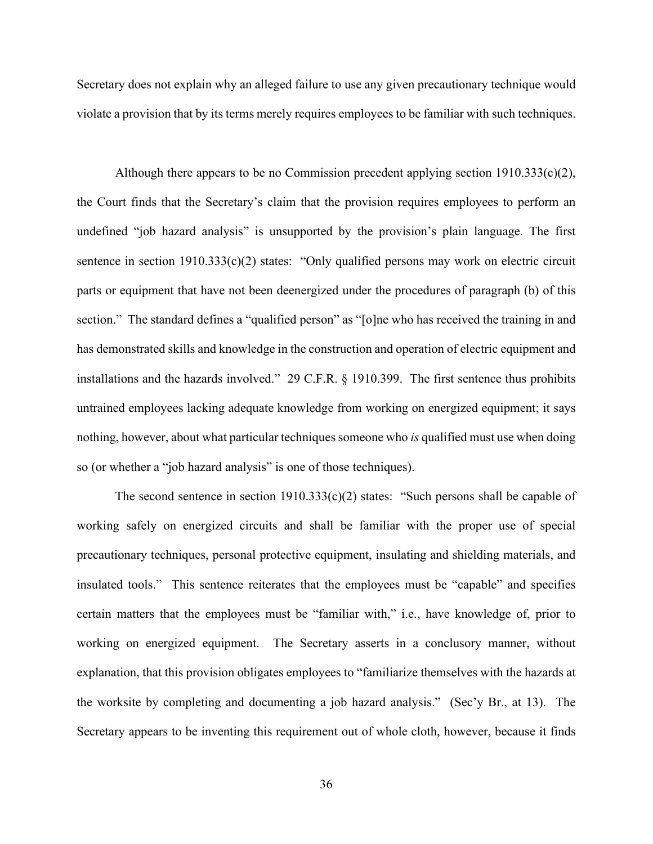Secretary does not explain why an alleged failure to use any given precautionary technique would violate a provision that by its terms merely requires employees to be familiar with such techniques.

Although there appears to be no Commission precedent applying section  $1910.333(c)(2)$ , the Court finds that the Secretary's claim that the provision requires employees to perform an undefined "job hazard analysis" is unsupported by the provision's plain language. The first sentence in section 1910.333(c)(2) states: "Only qualified persons may work on electric circuit parts or equipment that have not been deenergized under the procedures of paragraph (b) of this section." The standard defines a "qualified person" as "[o]ne who has received the training in and has demonstrated skills and knowledge in the construction and operation of electric equipment and installations and the hazards involved." 29 C.F.R. § 1910.399. The first sentence thus prohibits untrained employees lacking adequate knowledge from working on energized equipment; it says nothing, however, about what particular techniques someone who *is* qualified must use when doing so (or whether a "job hazard analysis" is one of those techniques).

The second sentence in section  $1910.333(c)(2)$  states: "Such persons shall be capable of working safely on energized circuits and shall be familiar with the proper use of special precautionary techniques, personal protective equipment, insulating and shielding materials, and insulated tools." This sentence reiterates that the employees must be "capable" and specifies certain matters that the employees must be "familiar with," i.e., have knowledge of, prior to working on energized equipment. The Secretary asserts in a conclusory manner, without explanation, that this provision obligates employees to "familiarize themselves with the hazards at the worksite by completing and documenting a job hazard analysis." (Sec'y Br., at 13). The Secretary appears to be inventing this requirement out of whole cloth, however, because it finds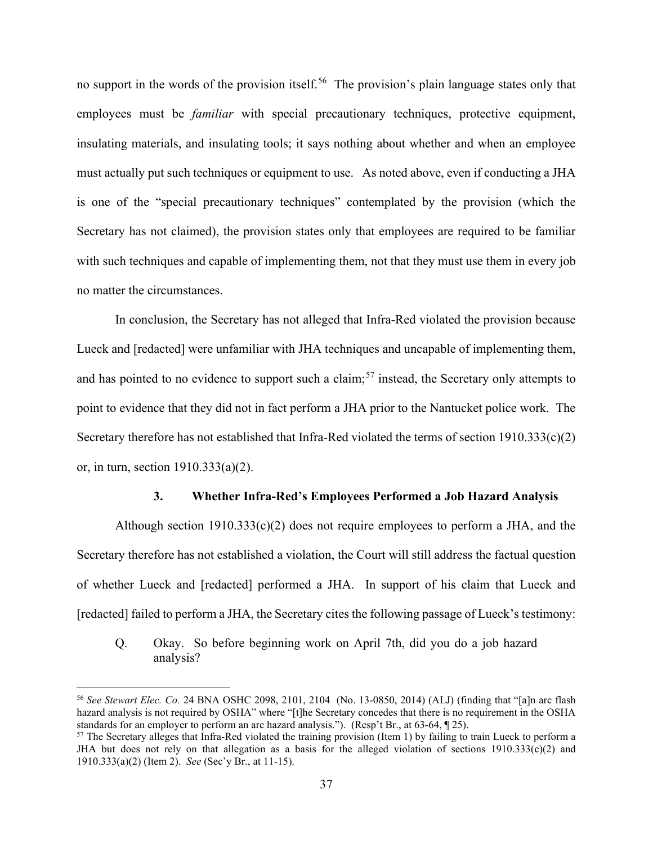no support in the words of the provision itself.<sup>56</sup> The provision's plain language states only that employees must be *familiar* with special precautionary techniques, protective equipment, insulating materials, and insulating tools; it says nothing about whether and when an employee must actually put such techniques or equipment to use. As noted above, even if conducting a JHA is one of the "special precautionary techniques" contemplated by the provision (which the Secretary has not claimed), the provision states only that employees are required to be familiar with such techniques and capable of implementing them, not that they must use them in every job no matter the circumstances.

In conclusion, the Secretary has not alleged that Infra-Red violated the provision because Lueck and [redacted] were unfamiliar with JHA techniques and uncapable of implementing them, and has pointed to no evidence to support such a claim;<sup>[57](#page-36-1)</sup> instead, the Secretary only attempts to point to evidence that they did not in fact perform a JHA prior to the Nantucket police work. The Secretary therefore has not established that Infra-Red violated the terms of section 1910.333(c)(2) or, in turn, section 1910.333(a)(2).

#### **3. Whether Infra-Red's Employees Performed a Job Hazard Analysis**

Although section 1910.333(c)(2) does not require employees to perform a JHA, and the Secretary therefore has not established a violation, the Court will still address the factual question of whether Lueck and [redacted] performed a JHA. In support of his claim that Lueck and [redacted] failed to perform a JHA, the Secretary cites the following passage of Lueck's testimony:

Q. Okay. So before beginning work on April 7th, did you do a job hazard analysis?

<span id="page-36-0"></span><sup>56</sup> *See Stewart Elec. Co.* 24 BNA OSHC 2098, 2101, 2104 (No. 13-0850, 2014) (ALJ) (finding that "[a]n arc flash hazard analysis is not required by OSHA" where "[t]he Secretary concedes that there is no requirement in the OSHA standards for an employer to perform an arc hazard analysis."). (Resp't Br., at 63-64, ¶ 25).

<span id="page-36-1"></span><sup>&</sup>lt;sup>57</sup> The Secretary alleges that Infra-Red violated the training provision (Item 1) by failing to train Lueck to perform a JHA but does not rely on that allegation as a basis for the alleged violation of sections  $1910.333(c)(2)$  and 1910.333(a)(2) (Item 2). *See* (Sec'y Br., at 11-15).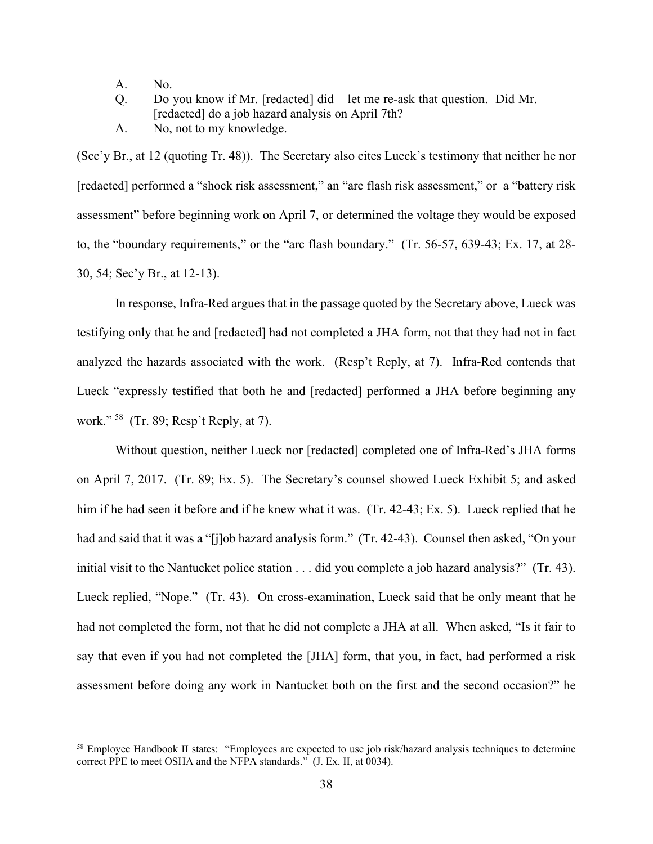A. No.

Q. Do you know if Mr. [redacted] did – let me re-ask that question. Did Mr. [redacted] do a job hazard analysis on April 7th?

A. No, not to my knowledge.

(Sec'y Br., at 12 (quoting Tr. 48)). The Secretary also cites Lueck's testimony that neither he nor [redacted] performed a "shock risk assessment," an "arc flash risk assessment," or a "battery risk assessment" before beginning work on April 7, or determined the voltage they would be exposed to, the "boundary requirements," or the "arc flash boundary." (Tr. 56-57, 639-43; Ex. 17, at 28- 30, 54; Sec'y Br., at 12-13).

In response, Infra-Red argues that in the passage quoted by the Secretary above, Lueck was testifying only that he and [redacted] had not completed a JHA form, not that they had not in fact analyzed the hazards associated with the work. (Resp't Reply, at 7). Infra-Red contends that Lueck "expressly testified that both he and [redacted] performed a JHA before beginning any work." [58](#page-37-0) (Tr. 89; Resp't Reply, at 7).

Without question, neither Lueck nor [redacted] completed one of Infra-Red's JHA forms on April 7, 2017. (Tr. 89; Ex. 5). The Secretary's counsel showed Lueck Exhibit 5; and asked him if he had seen it before and if he knew what it was. (Tr. 42-43; Ex. 5). Lueck replied that he had and said that it was a "[j]ob hazard analysis form." (Tr. 42-43). Counsel then asked, "On your initial visit to the Nantucket police station . . . did you complete a job hazard analysis?" (Tr. 43). Lueck replied, "Nope." (Tr. 43). On cross-examination, Lueck said that he only meant that he had not completed the form, not that he did not complete a JHA at all. When asked, "Is it fair to say that even if you had not completed the [JHA] form, that you, in fact, had performed a risk assessment before doing any work in Nantucket both on the first and the second occasion?" he

<span id="page-37-0"></span><sup>&</sup>lt;sup>58</sup> Employee Handbook II states: "Employees are expected to use job risk/hazard analysis techniques to determine correct PPE to meet OSHA and the NFPA standards." (J. Ex. II, at 0034).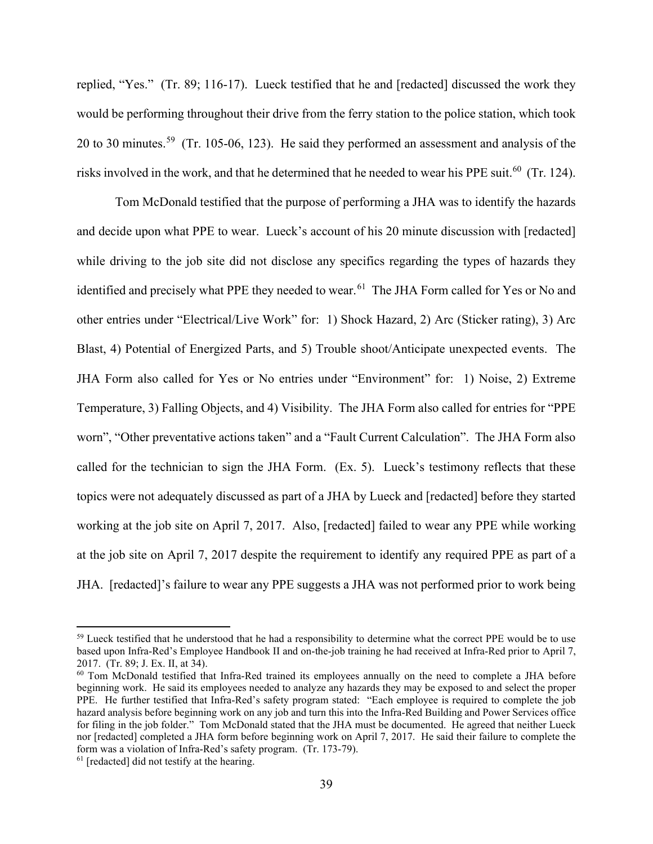replied, "Yes." (Tr. 89; 116-17). Lueck testified that he and [redacted] discussed the work they would be performing throughout their drive from the ferry station to the police station, which took 20 to 30 minutes.<sup>[59](#page-38-0)</sup> (Tr. 105-06, 123). He said they performed an assessment and analysis of the risks involved in the work, and that he determined that he needed to wear his PPE suit.<sup>[60](#page-38-1)</sup> (Tr. 124).

Tom McDonald testified that the purpose of performing a JHA was to identify the hazards and decide upon what PPE to wear. Lueck's account of his 20 minute discussion with [redacted] while driving to the job site did not disclose any specifics regarding the types of hazards they identified and precisely what PPE they needed to wear.<sup>[61](#page-38-2)</sup> The JHA Form called for Yes or No and other entries under "Electrical/Live Work" for: 1) Shock Hazard, 2) Arc (Sticker rating), 3) Arc Blast, 4) Potential of Energized Parts, and 5) Trouble shoot/Anticipate unexpected events. The JHA Form also called for Yes or No entries under "Environment" for: 1) Noise, 2) Extreme Temperature, 3) Falling Objects, and 4) Visibility. The JHA Form also called for entries for "PPE worn", "Other preventative actions taken" and a "Fault Current Calculation". The JHA Form also called for the technician to sign the JHA Form. (Ex. 5). Lueck's testimony reflects that these topics were not adequately discussed as part of a JHA by Lueck and [redacted] before they started working at the job site on April 7, 2017. Also, [redacted] failed to wear any PPE while working at the job site on April 7, 2017 despite the requirement to identify any required PPE as part of a JHA. [redacted]'s failure to wear any PPE suggests a JHA was not performed prior to work being

<span id="page-38-0"></span><sup>&</sup>lt;sup>59</sup> Lueck testified that he understood that he had a responsibility to determine what the correct PPE would be to use based upon Infra-Red's Employee Handbook II and on-the-job training he had received at Infra-Red prior to April 7, 2017. (Tr. 89; J. Ex. II, at 34).

<span id="page-38-1"></span><sup>60</sup> Tom McDonald testified that Infra-Red trained its employees annually on the need to complete a JHA before beginning work. He said its employees needed to analyze any hazards they may be exposed to and select the proper PPE. He further testified that Infra-Red's safety program stated: "Each employee is required to complete the job hazard analysis before beginning work on any job and turn this into the Infra-Red Building and Power Services office for filing in the job folder." Tom McDonald stated that the JHA must be documented. He agreed that neither Lueck nor [redacted] completed a JHA form before beginning work on April 7, 2017. He said their failure to complete the form was a violation of Infra-Red's safety program. (Tr. 173-79).

<span id="page-38-2"></span> $61$  [redacted] did not testify at the hearing.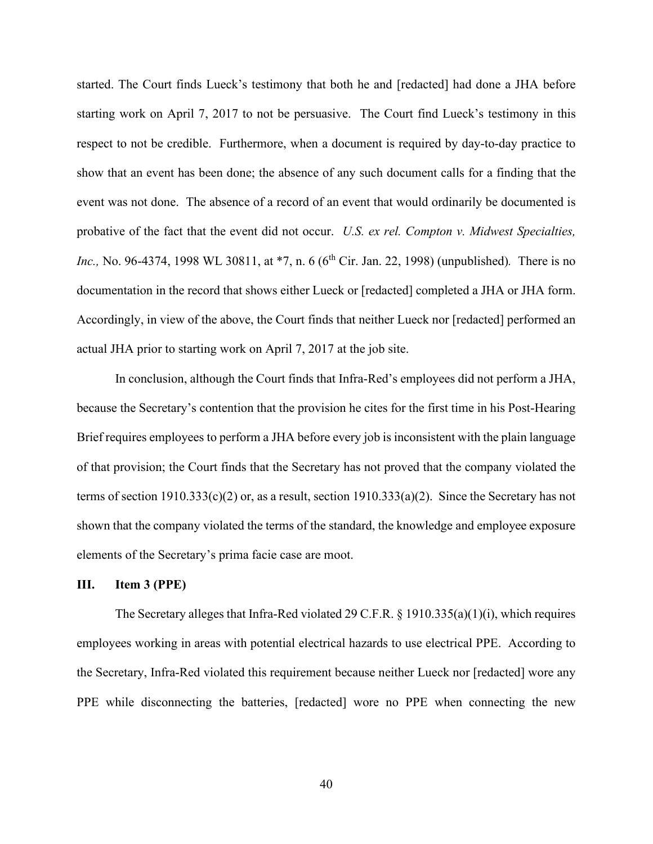started. The Court finds Lueck's testimony that both he and [redacted] had done a JHA before starting work on April 7, 2017 to not be persuasive. The Court find Lueck's testimony in this respect to not be credible. Furthermore, when a document is required by day-to-day practice to show that an event has been done; the absence of any such document calls for a finding that the event was not done. The absence of a record of an event that would ordinarily be documented is probative of the fact that the event did not occur. *U.S. ex rel. Compton v. Midwest Specialties, Inc.*, No. 96-4374, 1998 WL 30811, at  $*7$ , n. 6 (6<sup>th</sup> Cir. Jan. 22, 1998) (unpublished). There is no documentation in the record that shows either Lueck or [redacted] completed a JHA or JHA form. Accordingly, in view of the above, the Court finds that neither Lueck nor [redacted] performed an actual JHA prior to starting work on April 7, 2017 at the job site.

In conclusion, although the Court finds that Infra-Red's employees did not perform a JHA, because the Secretary's contention that the provision he cites for the first time in his Post-Hearing Brief requires employees to perform a JHA before every job is inconsistent with the plain language of that provision; the Court finds that the Secretary has not proved that the company violated the terms of section 1910.333(c)(2) or, as a result, section 1910.333(a)(2). Since the Secretary has not shown that the company violated the terms of the standard, the knowledge and employee exposure elements of the Secretary's prima facie case are moot.

## **III. Item 3 (PPE)**

The Secretary alleges that Infra-Red violated 29 C.F.R. § 1910.335(a)(1)(i), which requires employees working in areas with potential electrical hazards to use electrical PPE. According to the Secretary, Infra-Red violated this requirement because neither Lueck nor [redacted] wore any PPE while disconnecting the batteries, [redacted] wore no PPE when connecting the new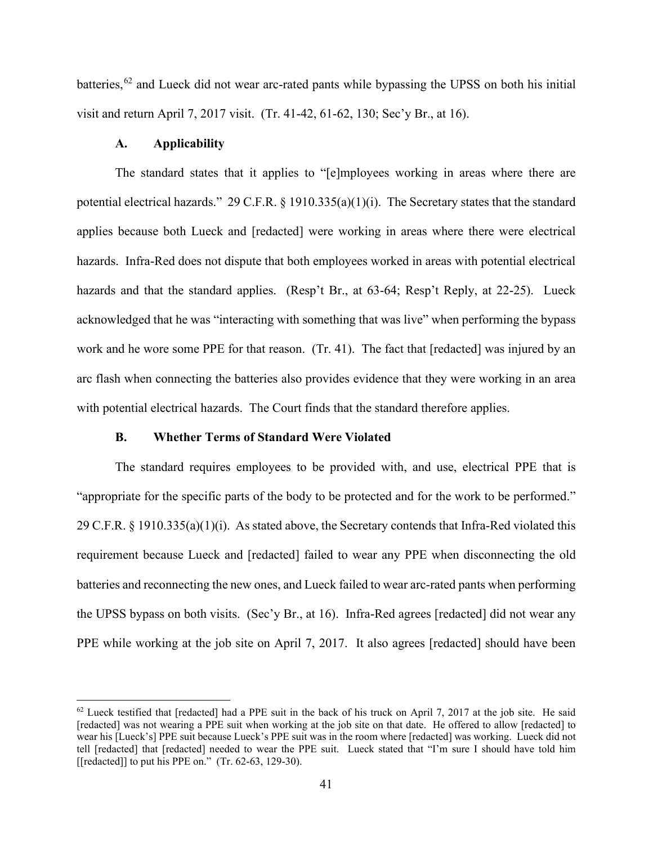batteries,<sup>[62](#page-40-0)</sup> and Lueck did not wear arc-rated pants while bypassing the UPSS on both his initial visit and return April 7, 2017 visit. (Tr. 41-42, 61-62, 130; Sec'y Br., at 16).

## **A. Applicability**

The standard states that it applies to "[e]mployees working in areas where there are potential electrical hazards." 29 C.F.R. § 1910.335(a)(1)(i). The Secretary states that the standard applies because both Lueck and [redacted] were working in areas where there were electrical hazards. Infra-Red does not dispute that both employees worked in areas with potential electrical hazards and that the standard applies. (Resp't Br., at 63-64; Resp't Reply, at 22-25). Lueck acknowledged that he was "interacting with something that was live" when performing the bypass work and he wore some PPE for that reason. (Tr. 41). The fact that [redacted] was injured by an arc flash when connecting the batteries also provides evidence that they were working in an area with potential electrical hazards. The Court finds that the standard therefore applies.

### **B. Whether Terms of Standard Were Violated**

The standard requires employees to be provided with, and use, electrical PPE that is "appropriate for the specific parts of the body to be protected and for the work to be performed." 29 C.F.R. § 1910.335(a)(1)(i). As stated above, the Secretary contends that Infra-Red violated this requirement because Lueck and [redacted] failed to wear any PPE when disconnecting the old batteries and reconnecting the new ones, and Lueck failed to wear arc-rated pants when performing the UPSS bypass on both visits. (Sec'y Br., at 16). Infra-Red agrees [redacted] did not wear any PPE while working at the job site on April 7, 2017. It also agrees [redacted] should have been

<span id="page-40-0"></span> $62$  Lueck testified that [redacted] had a PPE suit in the back of his truck on April 7, 2017 at the job site. He said [redacted] was not wearing a PPE suit when working at the job site on that date. He offered to allow [redacted] to wear his [Lueck's] PPE suit because Lueck's PPE suit was in the room where [redacted] was working. Lueck did not tell [redacted] that [redacted] needed to wear the PPE suit. Lueck stated that "I'm sure I should have told him [[redacted]] to put his PPE on."  $(Tr. 62-63, 129-30)$ .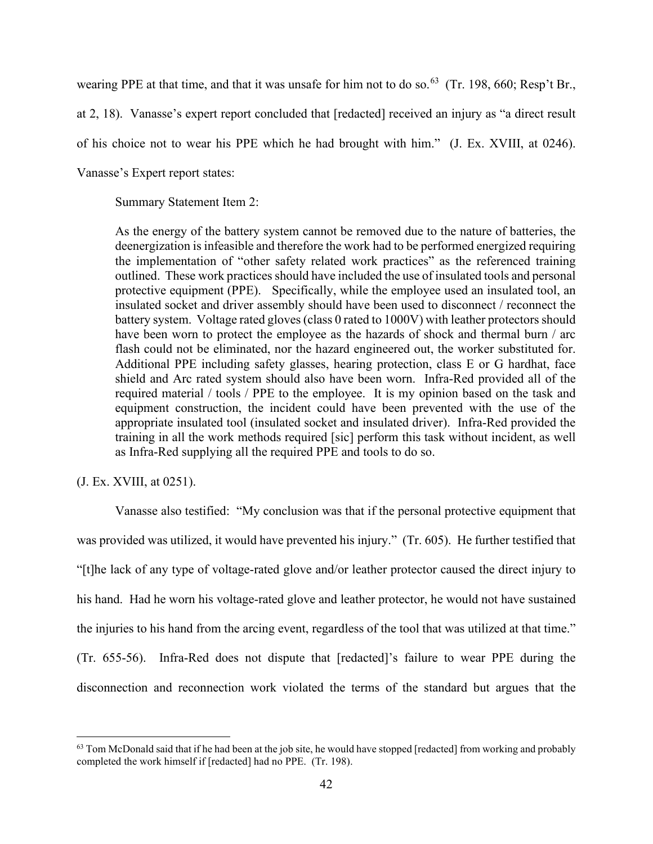wearing PPE at that time, and that it was unsafe for him not to do so.<sup>63</sup> (Tr. 198, 660; Resp't Br.,

at 2, 18). Vanasse's expert report concluded that [redacted] received an injury as "a direct result

of his choice not to wear his PPE which he had brought with him." (J. Ex. XVIII, at 0246).

Vanasse's Expert report states:

Summary Statement Item 2:

As the energy of the battery system cannot be removed due to the nature of batteries, the deenergization is infeasible and therefore the work had to be performed energized requiring the implementation of "other safety related work practices" as the referenced training outlined. These work practices should have included the use of insulated tools and personal protective equipment (PPE). Specifically, while the employee used an insulated tool, an insulated socket and driver assembly should have been used to disconnect / reconnect the battery system. Voltage rated gloves (class 0 rated to 1000V) with leather protectors should have been worn to protect the employee as the hazards of shock and thermal burn / arc flash could not be eliminated, nor the hazard engineered out, the worker substituted for. Additional PPE including safety glasses, hearing protection, class E or G hardhat, face shield and Arc rated system should also have been worn. Infra-Red provided all of the required material / tools / PPE to the employee. It is my opinion based on the task and equipment construction, the incident could have been prevented with the use of the appropriate insulated tool (insulated socket and insulated driver). Infra-Red provided the training in all the work methods required [sic] perform this task without incident, as well as Infra-Red supplying all the required PPE and tools to do so.

# (J. Ex. XVIII, at 0251).

Vanasse also testified: "My conclusion was that if the personal protective equipment that was provided was utilized, it would have prevented his injury." (Tr. 605). He further testified that "[t]he lack of any type of voltage-rated glove and/or leather protector caused the direct injury to his hand. Had he worn his voltage-rated glove and leather protector, he would not have sustained the injuries to his hand from the arcing event, regardless of the tool that was utilized at that time." (Tr. 655-56). Infra-Red does not dispute that [redacted]'s failure to wear PPE during the disconnection and reconnection work violated the terms of the standard but argues that the

<span id="page-41-0"></span> $63$  Tom McDonald said that if he had been at the job site, he would have stopped [redacted] from working and probably completed the work himself if [redacted] had no PPE. (Tr. 198).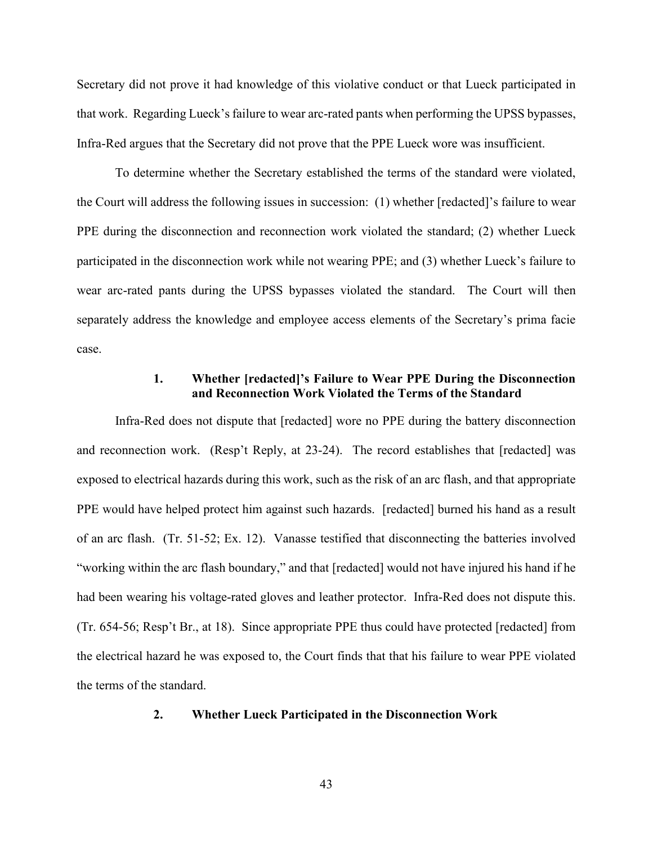Secretary did not prove it had knowledge of this violative conduct or that Lueck participated in that work. Regarding Lueck's failure to wear arc-rated pants when performing the UPSS bypasses, Infra-Red argues that the Secretary did not prove that the PPE Lueck wore was insufficient.

To determine whether the Secretary established the terms of the standard were violated, the Court will address the following issues in succession: (1) whether [redacted]'s failure to wear PPE during the disconnection and reconnection work violated the standard; (2) whether Lueck participated in the disconnection work while not wearing PPE; and (3) whether Lueck's failure to wear arc-rated pants during the UPSS bypasses violated the standard. The Court will then separately address the knowledge and employee access elements of the Secretary's prima facie case.

# **1. Whether [redacted]'s Failure to Wear PPE During the Disconnection and Reconnection Work Violated the Terms of the Standard**

Infra-Red does not dispute that [redacted] wore no PPE during the battery disconnection and reconnection work. (Resp't Reply, at 23-24). The record establishes that [redacted] was exposed to electrical hazards during this work, such as the risk of an arc flash, and that appropriate PPE would have helped protect him against such hazards. [redacted] burned his hand as a result of an arc flash. (Tr. 51-52; Ex. 12). Vanasse testified that disconnecting the batteries involved "working within the arc flash boundary," and that [redacted] would not have injured his hand if he had been wearing his voltage-rated gloves and leather protector. Infra-Red does not dispute this. (Tr. 654-56; Resp't Br., at 18). Since appropriate PPE thus could have protected [redacted] from the electrical hazard he was exposed to, the Court finds that that his failure to wear PPE violated the terms of the standard.

## **2. Whether Lueck Participated in the Disconnection Work**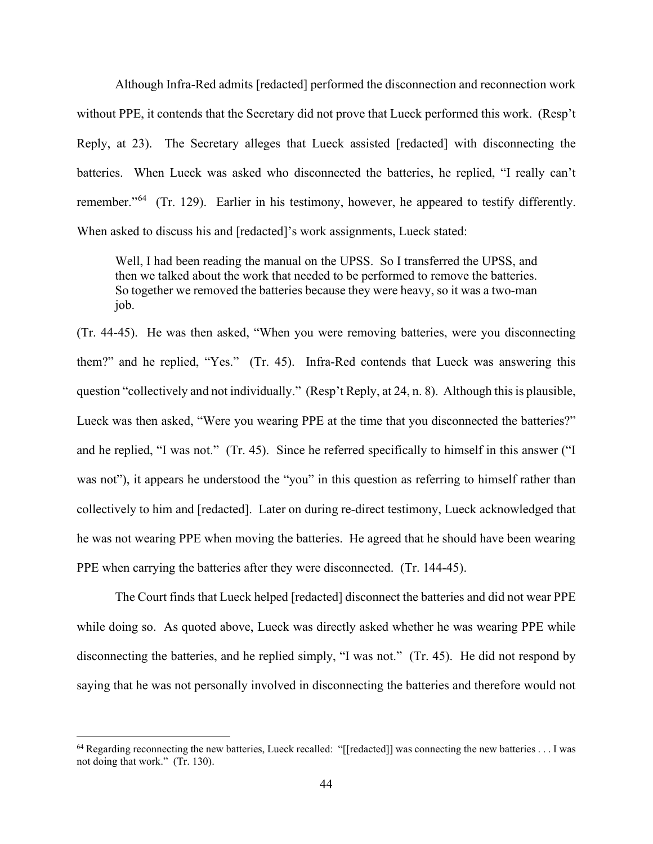Although Infra-Red admits [redacted] performed the disconnection and reconnection work without PPE, it contends that the Secretary did not prove that Lueck performed this work. (Resp't Reply, at 23). The Secretary alleges that Lueck assisted [redacted] with disconnecting the batteries. When Lueck was asked who disconnected the batteries, he replied, "I really can't remember."<sup>64</sup> (Tr. 129). Earlier in his testimony, however, he appeared to testify differently. When asked to discuss his and [redacted]'s work assignments, Lueck stated:

Well, I had been reading the manual on the UPSS. So I transferred the UPSS, and then we talked about the work that needed to be performed to remove the batteries. So together we removed the batteries because they were heavy, so it was a two-man job.

(Tr. 44-45). He was then asked, "When you were removing batteries, were you disconnecting them?" and he replied, "Yes." (Tr. 45). Infra-Red contends that Lueck was answering this question "collectively and not individually." (Resp't Reply, at 24, n. 8). Although this is plausible, Lueck was then asked, "Were you wearing PPE at the time that you disconnected the batteries?" and he replied, "I was not." (Tr. 45). Since he referred specifically to himself in this answer ("I was not"), it appears he understood the "you" in this question as referring to himself rather than collectively to him and [redacted]. Later on during re-direct testimony, Lueck acknowledged that he was not wearing PPE when moving the batteries. He agreed that he should have been wearing PPE when carrying the batteries after they were disconnected. (Tr. 144-45).

 The Court finds that Lueck helped [redacted] disconnect the batteries and did not wear PPE while doing so. As quoted above, Lueck was directly asked whether he was wearing PPE while disconnecting the batteries, and he replied simply, "I was not." (Tr. 45). He did not respond by saying that he was not personally involved in disconnecting the batteries and therefore would not

<span id="page-43-0"></span><sup>&</sup>lt;sup>64</sup> Regarding reconnecting the new batteries, Lueck recalled: "[[redacted]] was connecting the new batteries . . . I was not doing that work." (Tr. 130).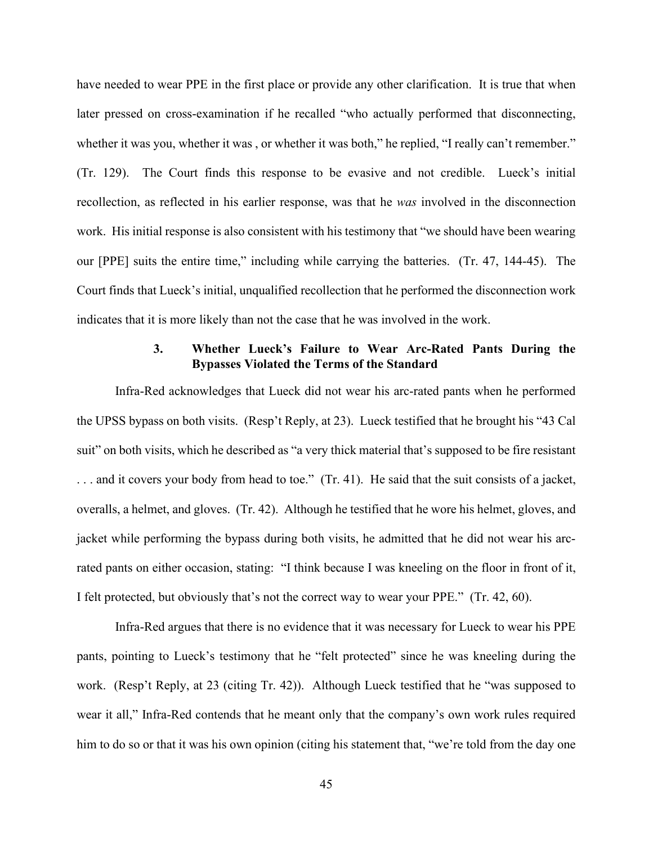have needed to wear PPE in the first place or provide any other clarification. It is true that when later pressed on cross-examination if he recalled "who actually performed that disconnecting, whether it was you, whether it was , or whether it was both," he replied, "I really can't remember." (Tr. 129). The Court finds this response to be evasive and not credible. Lueck's initial recollection, as reflected in his earlier response, was that he *was* involved in the disconnection work. His initial response is also consistent with his testimony that "we should have been wearing our [PPE] suits the entire time," including while carrying the batteries. (Tr. 47, 144-45). The Court finds that Lueck's initial, unqualified recollection that he performed the disconnection work indicates that it is more likely than not the case that he was involved in the work.

# **3. Whether Lueck's Failure to Wear Arc-Rated Pants During the Bypasses Violated the Terms of the Standard**

Infra-Red acknowledges that Lueck did not wear his arc-rated pants when he performed the UPSS bypass on both visits. (Resp't Reply, at 23). Lueck testified that he brought his "43 Cal suit" on both visits, which he described as "a very thick material that's supposed to be fire resistant . . . and it covers your body from head to toe." (Tr. 41). He said that the suit consists of a jacket, overalls, a helmet, and gloves. (Tr. 42). Although he testified that he wore his helmet, gloves, and jacket while performing the bypass during both visits, he admitted that he did not wear his arcrated pants on either occasion, stating: "I think because I was kneeling on the floor in front of it, I felt protected, but obviously that's not the correct way to wear your PPE." (Tr. 42, 60).

Infra-Red argues that there is no evidence that it was necessary for Lueck to wear his PPE pants, pointing to Lueck's testimony that he "felt protected" since he was kneeling during the work. (Resp't Reply, at 23 (citing Tr. 42)). Although Lueck testified that he "was supposed to wear it all," Infra-Red contends that he meant only that the company's own work rules required him to do so or that it was his own opinion (citing his statement that, "we're told from the day one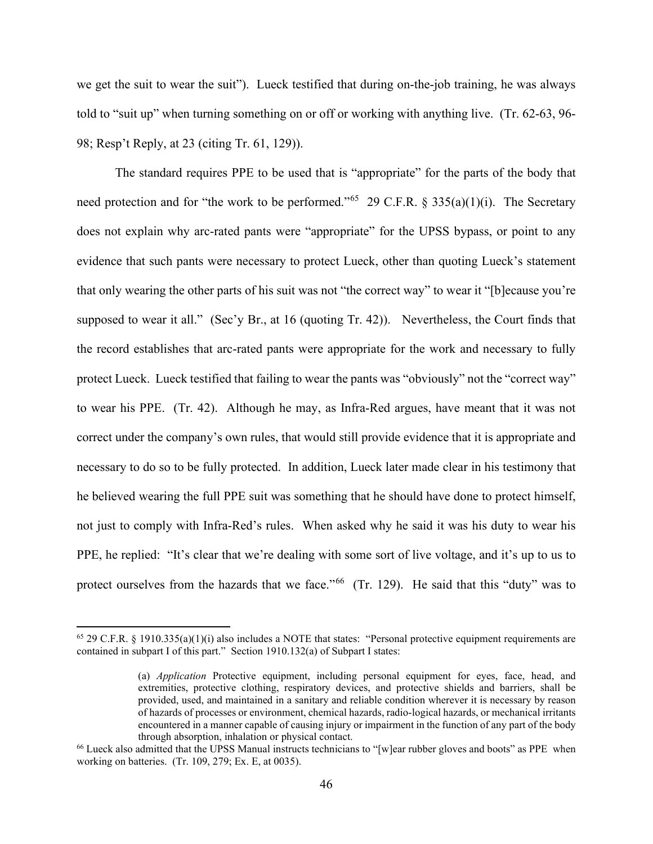we get the suit to wear the suit"). Lueck testified that during on-the-job training, he was always told to "suit up" when turning something on or off or working with anything live. (Tr. 62-63, 96- 98; Resp't Reply, at 23 (citing Tr. 61, 129)).

The standard requires PPE to be used that is "appropriate" for the parts of the body that need protection and for "the work to be performed."<sup>65</sup> 29 C.F.R. § 335(a)(1)(i). The Secretary does not explain why arc-rated pants were "appropriate" for the UPSS bypass, or point to any evidence that such pants were necessary to protect Lueck, other than quoting Lueck's statement that only wearing the other parts of his suit was not "the correct way" to wear it "[b]ecause you're supposed to wear it all." (Sec'y Br., at 16 (quoting Tr. 42)). Nevertheless, the Court finds that the record establishes that arc-rated pants were appropriate for the work and necessary to fully protect Lueck. Lueck testified that failing to wear the pants was "obviously" not the "correct way" to wear his PPE. (Tr. 42). Although he may, as Infra-Red argues, have meant that it was not correct under the company's own rules, that would still provide evidence that it is appropriate and necessary to do so to be fully protected. In addition, Lueck later made clear in his testimony that he believed wearing the full PPE suit was something that he should have done to protect himself, not just to comply with Infra-Red's rules. When asked why he said it was his duty to wear his PPE, he replied: "It's clear that we're dealing with some sort of live voltage, and it's up to us to protect ourselves from the hazards that we face."<sup>[66](#page-45-1)</sup> (Tr. 129). He said that this "duty" was to

<span id="page-45-0"></span> $65$  29 C.F.R. § 1910.335(a)(1)(i) also includes a NOTE that states: "Personal protective equipment requirements are contained in subpart I of this part." Section 1910.132(a) of Subpart I states:

<sup>(</sup>a) *Application* Protective equipment, including personal equipment for eyes, face, head, and extremities, protective clothing, respiratory devices, and protective shields and barriers, shall be provided, used, and maintained in a sanitary and reliable condition wherever it is necessary by reason of hazards of processes or environment, chemical hazards, radio-logical hazards, or mechanical irritants encountered in a manner capable of causing injury or impairment in the function of any part of the body through absorption, inhalation or physical contact.

<span id="page-45-1"></span><sup>&</sup>lt;sup>66</sup> Lueck also admitted that the UPSS Manual instructs technicians to "[w]ear rubber gloves and boots" as PPE when working on batteries. (Tr. 109, 279; Ex. E, at 0035).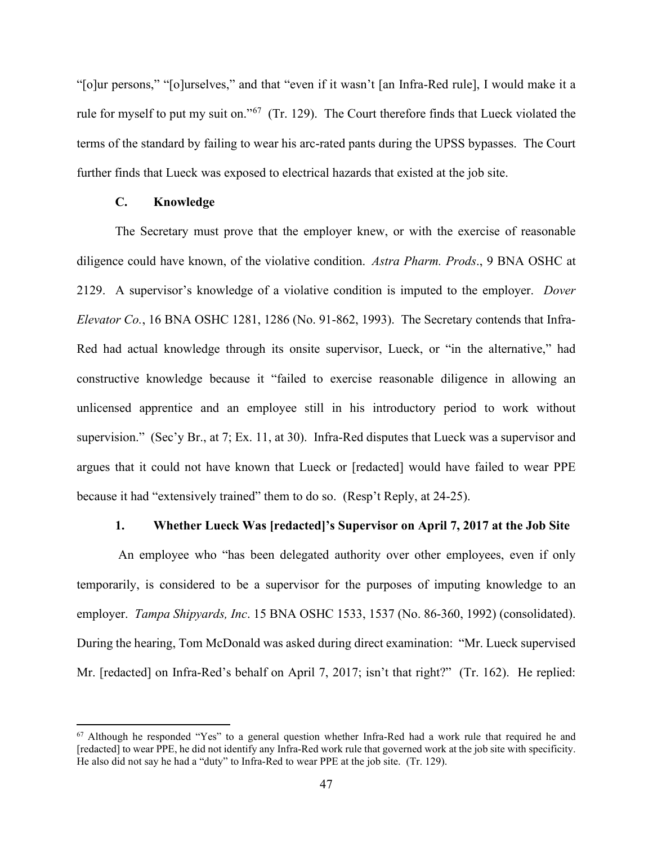"[o]ur persons," "[o]urselves," and that "even if it wasn't [an Infra-Red rule], I would make it a rule for myself to put my suit on."<sup>[67](#page-46-0)</sup> (Tr. 129). The Court therefore finds that Lueck violated the terms of the standard by failing to wear his arc-rated pants during the UPSS bypasses. The Court further finds that Lueck was exposed to electrical hazards that existed at the job site.

# **C. Knowledge**

 The Secretary must prove that the employer knew, or with the exercise of reasonable diligence could have known, of the violative condition. *Astra Pharm. Prods*., 9 BNA OSHC at 2129. A supervisor's knowledge of a violative condition is imputed to the employer. *Dover Elevator Co.*, 16 BNA OSHC 1281, 1286 (No. 91-862, 1993). The Secretary contends that Infra-Red had actual knowledge through its onsite supervisor, Lueck, or "in the alternative," had constructive knowledge because it "failed to exercise reasonable diligence in allowing an unlicensed apprentice and an employee still in his introductory period to work without supervision." (Sec'y Br., at 7; Ex. 11, at 30). Infra-Red disputes that Lueck was a supervisor and argues that it could not have known that Lueck or [redacted] would have failed to wear PPE because it had "extensively trained" them to do so. (Resp't Reply, at 24-25).

#### **1. Whether Lueck Was [redacted]'s Supervisor on April 7, 2017 at the Job Site**

An employee who "has been delegated authority over other employees, even if only temporarily, is considered to be a supervisor for the purposes of imputing knowledge to an employer. *Tampa Shipyards, Inc*. 15 BNA OSHC 1533, 1537 (No. 86-360, 1992) (consolidated). During the hearing, Tom McDonald was asked during direct examination: "Mr. Lueck supervised Mr. [redacted] on Infra-Red's behalf on April 7, 2017; isn't that right?" (Tr. 162). He replied:

<span id="page-46-0"></span> $67$  Although he responded "Yes" to a general question whether Infra-Red had a work rule that required he and [redacted] to wear PPE, he did not identify any Infra-Red work rule that governed work at the job site with specificity. He also did not say he had a "duty" to Infra-Red to wear PPE at the job site. (Tr. 129).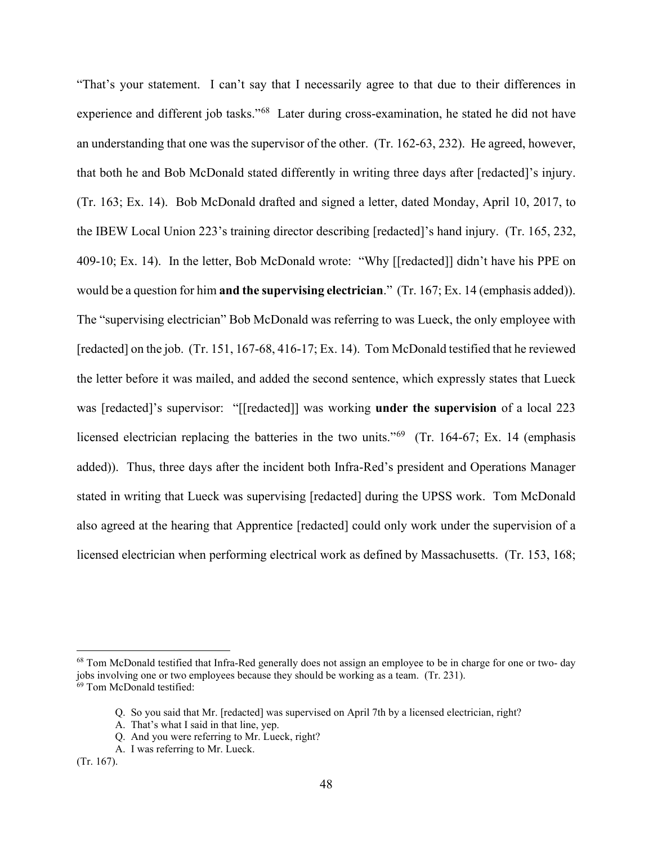"That's your statement. I can't say that I necessarily agree to that due to their differences in experience and different job tasks."<sup>[68](#page-47-0)</sup> Later during cross-examination, he stated he did not have an understanding that one was the supervisor of the other. (Tr. 162-63, 232). He agreed, however, that both he and Bob McDonald stated differently in writing three days after [redacted]'s injury. (Tr. 163; Ex. 14). Bob McDonald drafted and signed a letter, dated Monday, April 10, 2017, to the IBEW Local Union 223's training director describing [redacted]'s hand injury. (Tr. 165, 232, 409-10; Ex. 14). In the letter, Bob McDonald wrote: "Why [[redacted]] didn't have his PPE on would be a question for him **and the supervising electrician**." (Tr. 167; Ex. 14 (emphasis added)). The "supervising electrician" Bob McDonald was referring to was Lueck, the only employee with [redacted] on the job. (Tr. 151, 167-68, 416-17; Ex. 14). Tom McDonald testified that he reviewed the letter before it was mailed, and added the second sentence, which expressly states that Lueck was [redacted]'s supervisor: "[[redacted]] was working **under the supervision** of a local 223 licensed electrician replacing the batteries in the two units."<sup>[69](#page-47-1)</sup> (Tr. 164-67; Ex. 14 (emphasis) added)). Thus, three days after the incident both Infra-Red's president and Operations Manager stated in writing that Lueck was supervising [redacted] during the UPSS work. Tom McDonald also agreed at the hearing that Apprentice [redacted] could only work under the supervision of a licensed electrician when performing electrical work as defined by Massachusetts. (Tr. 153, 168;

<span id="page-47-1"></span><span id="page-47-0"></span><sup>&</sup>lt;sup>68</sup> Tom McDonald testified that Infra-Red generally does not assign an employee to be in charge for one or two- day jobs involving one or two employees because they should be working as a team. (Tr. 231). <sup>69</sup> Tom McDonald testified:

Q. So you said that Mr. [redacted] was supervised on April 7th by a licensed electrician, right?

A. That's what I said in that line, yep.

Q. And you were referring to Mr. Lueck, right?

A. I was referring to Mr. Lueck.

<sup>(</sup>Tr. 167).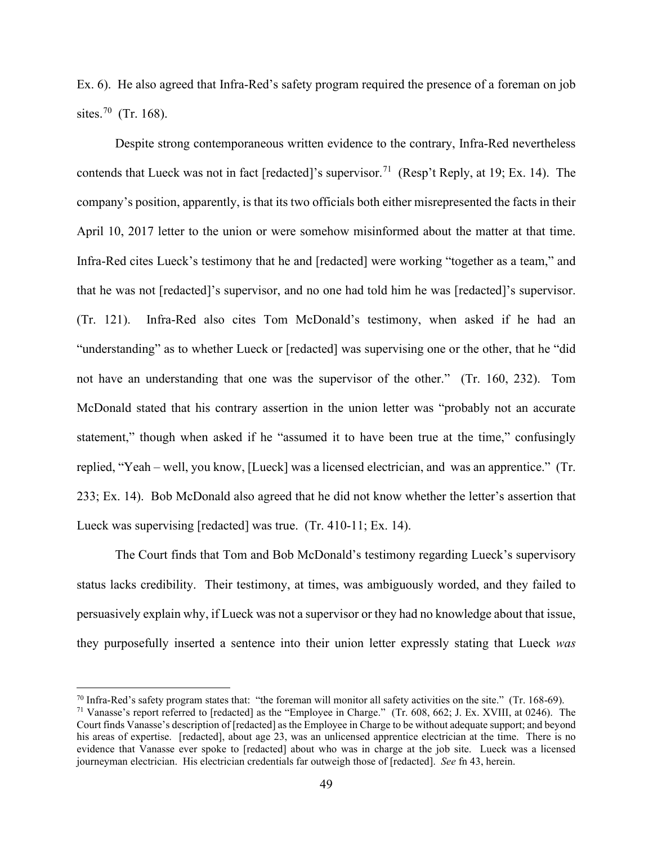Ex. 6). He also agreed that Infra-Red's safety program required the presence of a foreman on job sites.<sup>[70](#page-48-0)</sup> (Tr. 168).

Despite strong contemporaneous written evidence to the contrary, Infra-Red nevertheless contends that Lueck was not in fact [redacted]'s supervisor.<sup>[71](#page-48-1)</sup> (Resp't Reply, at 19; Ex. 14). The company's position, apparently, is that its two officials both either misrepresented the facts in their April 10, 2017 letter to the union or were somehow misinformed about the matter at that time. Infra-Red cites Lueck's testimony that he and [redacted] were working "together as a team," and that he was not [redacted]'s supervisor, and no one had told him he was [redacted]'s supervisor. (Tr. 121). Infra-Red also cites Tom McDonald's testimony, when asked if he had an "understanding" as to whether Lueck or [redacted] was supervising one or the other, that he "did not have an understanding that one was the supervisor of the other." (Tr. 160, 232). Tom McDonald stated that his contrary assertion in the union letter was "probably not an accurate statement," though when asked if he "assumed it to have been true at the time," confusingly replied, "Yeah – well, you know, [Lueck] was a licensed electrician, and was an apprentice." (Tr. 233; Ex. 14). Bob McDonald also agreed that he did not know whether the letter's assertion that Lueck was supervising [redacted] was true. (Tr. 410-11; Ex. 14).

The Court finds that Tom and Bob McDonald's testimony regarding Lueck's supervisory status lacks credibility. Their testimony, at times, was ambiguously worded, and they failed to persuasively explain why, if Lueck was not a supervisor or they had no knowledge about that issue, they purposefully inserted a sentence into their union letter expressly stating that Lueck *was*

<span id="page-48-0"></span> $70$  Infra-Red's safety program states that: "the foreman will monitor all safety activities on the site." (Tr. 168-69).

<span id="page-48-1"></span><sup>&</sup>lt;sup>71</sup> Vanasse's report referred to [redacted] as the "Employee in Charge." (Tr. 608, 662; J. Ex. XVIII, at 0246). The Court finds Vanasse's description of [redacted] as the Employee in Charge to be without adequate support; and beyond his areas of expertise. [redacted], about age 23, was an unlicensed apprentice electrician at the time. There is no evidence that Vanasse ever spoke to [redacted] about who was in charge at the job site. Lueck was a licensed journeyman electrician. His electrician credentials far outweigh those of [redacted]. *See* fn 43, herein.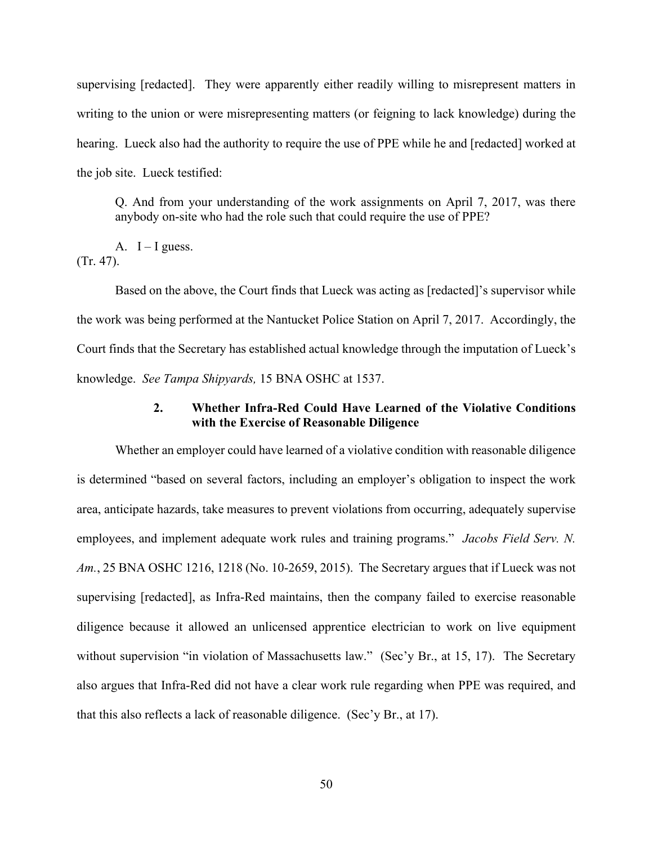supervising [redacted]. They were apparently either readily willing to misrepresent matters in writing to the union or were misrepresenting matters (or feigning to lack knowledge) during the hearing. Lueck also had the authority to require the use of PPE while he and [redacted] worked at the job site. Lueck testified:

Q. And from your understanding of the work assignments on April 7, 2017, was there anybody on-site who had the role such that could require the use of PPE?

A.  $I - I$  guess. (Tr. 47).

Based on the above, the Court finds that Lueck was acting as [redacted]'s supervisor while the work was being performed at the Nantucket Police Station on April 7, 2017. Accordingly, the Court finds that the Secretary has established actual knowledge through the imputation of Lueck's knowledge. *See Tampa Shipyards,* 15 BNA OSHC at 1537.

# **2. Whether Infra-Red Could Have Learned of the Violative Conditions with the Exercise of Reasonable Diligence**

 Whether an employer could have learned of a violative condition with reasonable diligence is determined "based on several factors, including an employer's obligation to inspect the work area, anticipate hazards, take measures to prevent violations from occurring, adequately supervise employees, and implement adequate work rules and training programs." *Jacobs Field Serv. N. Am.*, 25 BNA OSHC 1216, 1218 (No. 10-2659, 2015). The Secretary argues that if Lueck was not supervising [redacted], as Infra-Red maintains, then the company failed to exercise reasonable diligence because it allowed an unlicensed apprentice electrician to work on live equipment without supervision "in violation of Massachusetts law." (Sec'y Br., at 15, 17). The Secretary also argues that Infra-Red did not have a clear work rule regarding when PPE was required, and that this also reflects a lack of reasonable diligence. (Sec'y Br., at 17).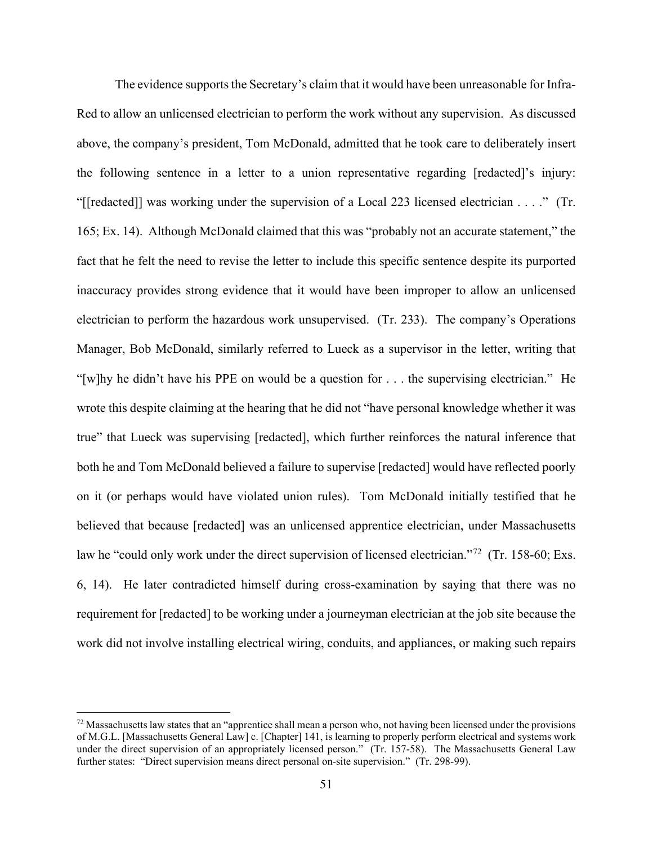The evidence supports the Secretary's claim that it would have been unreasonable for Infra-Red to allow an unlicensed electrician to perform the work without any supervision. As discussed above, the company's president, Tom McDonald, admitted that he took care to deliberately insert the following sentence in a letter to a union representative regarding [redacted]'s injury: "[[redacted]] was working under the supervision of a Local 223 licensed electrician . . . ." (Tr. 165; Ex. 14). Although McDonald claimed that this was "probably not an accurate statement," the fact that he felt the need to revise the letter to include this specific sentence despite its purported inaccuracy provides strong evidence that it would have been improper to allow an unlicensed electrician to perform the hazardous work unsupervised. (Tr. 233). The company's Operations Manager, Bob McDonald, similarly referred to Lueck as a supervisor in the letter, writing that "[w]hy he didn't have his PPE on would be a question for  $\dots$  the supervising electrician." He wrote this despite claiming at the hearing that he did not "have personal knowledge whether it was true" that Lueck was supervising [redacted], which further reinforces the natural inference that both he and Tom McDonald believed a failure to supervise [redacted] would have reflected poorly on it (or perhaps would have violated union rules). Tom McDonald initially testified that he believed that because [redacted] was an unlicensed apprentice electrician, under Massachusetts law he "could only work under the direct supervision of licensed electrician."<sup>72</sup> (Tr. 158-60; Exs. 6, 14). He later contradicted himself during cross-examination by saying that there was no requirement for [redacted] to be working under a journeyman electrician at the job site because the work did not involve installing electrical wiring, conduits, and appliances, or making such repairs

<span id="page-50-0"></span> $72$  Massachusetts law states that an "apprentice shall mean a person who, not having been licensed under the provisions of M.G.L. [Massachusetts General Law] c. [Chapter] 141, is learning to properly perform electrical and systems work under the direct supervision of an appropriately licensed person." (Tr. 157-58). The Massachusetts General Law further states: "Direct supervision means direct personal on-site supervision." (Tr. 298-99).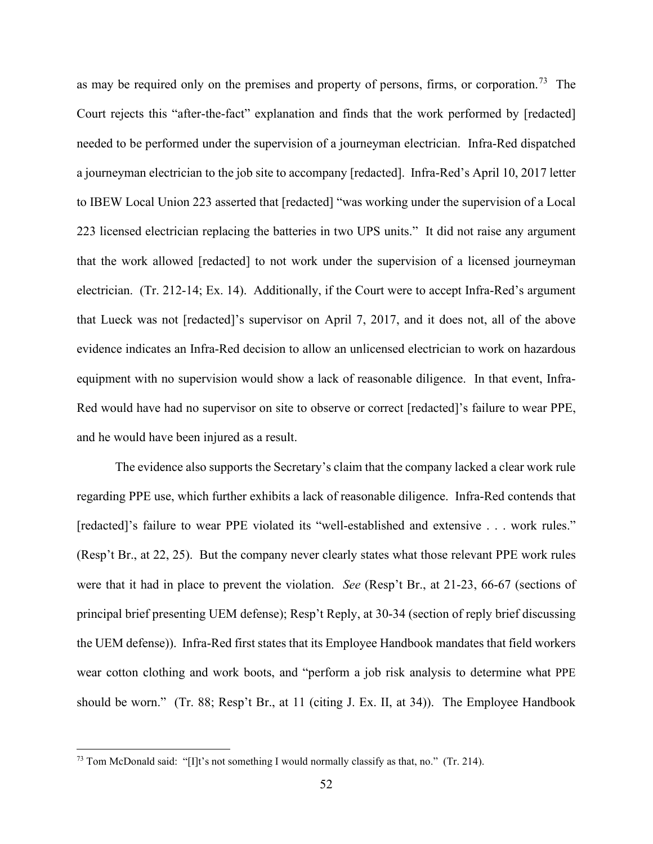as may be required only on the premises and property of persons, firms, or corporation.<sup>73</sup> The Court rejects this "after-the-fact" explanation and finds that the work performed by [redacted] needed to be performed under the supervision of a journeyman electrician. Infra-Red dispatched a journeyman electrician to the job site to accompany [redacted]. Infra-Red's April 10, 2017 letter to IBEW Local Union 223 asserted that [redacted] "was working under the supervision of a Local 223 licensed electrician replacing the batteries in two UPS units." It did not raise any argument that the work allowed [redacted] to not work under the supervision of a licensed journeyman electrician. (Tr. 212-14; Ex. 14). Additionally, if the Court were to accept Infra-Red's argument that Lueck was not [redacted]'s supervisor on April 7, 2017, and it does not, all of the above evidence indicates an Infra-Red decision to allow an unlicensed electrician to work on hazardous equipment with no supervision would show a lack of reasonable diligence. In that event, Infra-Red would have had no supervisor on site to observe or correct [redacted]'s failure to wear PPE, and he would have been injured as a result.

The evidence also supports the Secretary's claim that the company lacked a clear work rule regarding PPE use, which further exhibits a lack of reasonable diligence. Infra-Red contends that [redacted]'s failure to wear PPE violated its "well-established and extensive . . . work rules." (Resp't Br., at 22, 25). But the company never clearly states what those relevant PPE work rules were that it had in place to prevent the violation. *See* (Resp't Br., at 21-23, 66-67 (sections of principal brief presenting UEM defense); Resp't Reply, at 30-34 (section of reply brief discussing the UEM defense)). Infra-Red first states that its Employee Handbook mandates that field workers wear cotton clothing and work boots, and "perform a job risk analysis to determine what PPE should be worn." (Tr. 88; Resp't Br., at 11 (citing J. Ex. II, at 34)). The Employee Handbook

<span id="page-51-0"></span><sup>&</sup>lt;sup>73</sup> Tom McDonald said: "[I]t's not something I would normally classify as that, no." (Tr. 214).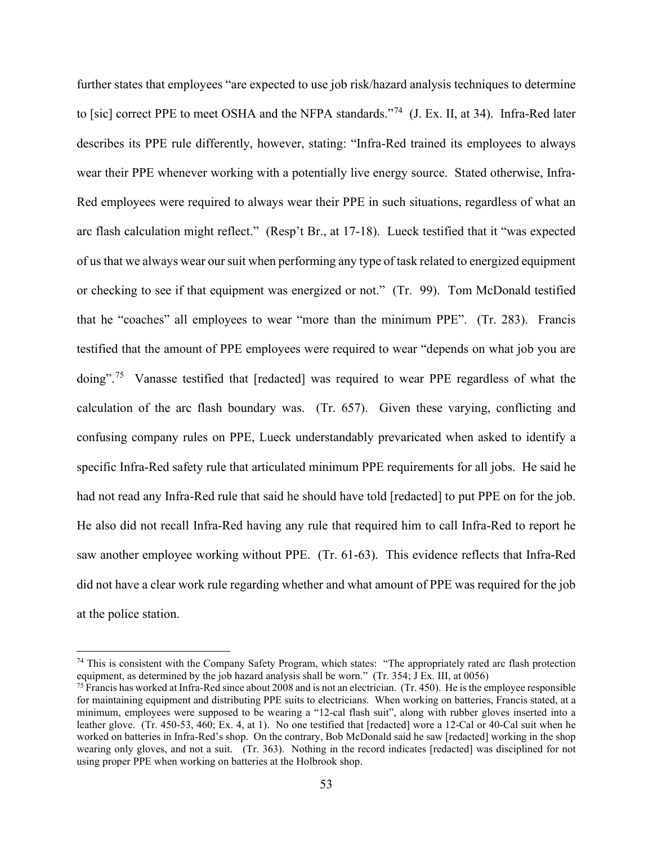further states that employees "are expected to use job risk/hazard analysis techniques to determine to [sic] correct PPE to meet OSHA and the NFPA standards."<sup>74</sup> (J. Ex. II, at 34). Infra-Red later describes its PPE rule differently, however, stating: "Infra-Red trained its employees to always wear their PPE whenever working with a potentially live energy source. Stated otherwise, Infra-Red employees were required to always wear their PPE in such situations, regardless of what an arc flash calculation might reflect." (Resp't Br., at 17-18). Lueck testified that it "was expected of us that we always wear our suit when performing any type of task related to energized equipment or checking to see if that equipment was energized or not." (Tr. 99). Tom McDonald testified that he "coaches" all employees to wear "more than the minimum PPE". (Tr. 283). Francis testified that the amount of PPE employees were required to wear "depends on what job you are doing".<sup>[75](#page-52-1)</sup> Vanasse testified that [redacted] was required to wear PPE regardless of what the calculation of the arc flash boundary was. (Tr. 657). Given these varying, conflicting and confusing company rules on PPE, Lueck understandably prevaricated when asked to identify a specific Infra-Red safety rule that articulated minimum PPE requirements for all jobs. He said he had not read any Infra-Red rule that said he should have told [redacted] to put PPE on for the job. He also did not recall Infra-Red having any rule that required him to call Infra-Red to report he saw another employee working without PPE. (Tr. 61-63). This evidence reflects that Infra-Red did not have a clear work rule regarding whether and what amount of PPE was required for the job at the police station.

<span id="page-52-0"></span><sup>&</sup>lt;sup>74</sup> This is consistent with the Company Safety Program, which states: "The appropriately rated arc flash protection equipment, as determined by the job hazard analysis shall be worn." (Tr. 354; J Ex. III, at  $0056$ )

<span id="page-52-1"></span><sup>&</sup>lt;sup>75</sup> Francis has worked at Infra-Red since about 2008 and is not an electrician. (Tr. 450). He is the employee responsible for maintaining equipment and distributing PPE suits to electricians. When working on batteries, Francis stated, at a minimum, employees were supposed to be wearing a "12-cal flash suit", along with rubber gloves inserted into a leather glove. (Tr. 450-53, 460; Ex. 4, at 1). No one testified that [redacted] wore a 12-Cal or 40-Cal suit when he worked on batteries in Infra-Red's shop. On the contrary, Bob McDonald said he saw [redacted] working in the shop wearing only gloves, and not a suit. (Tr. 363). Nothing in the record indicates [redacted] was disciplined for not using proper PPE when working on batteries at the Holbrook shop.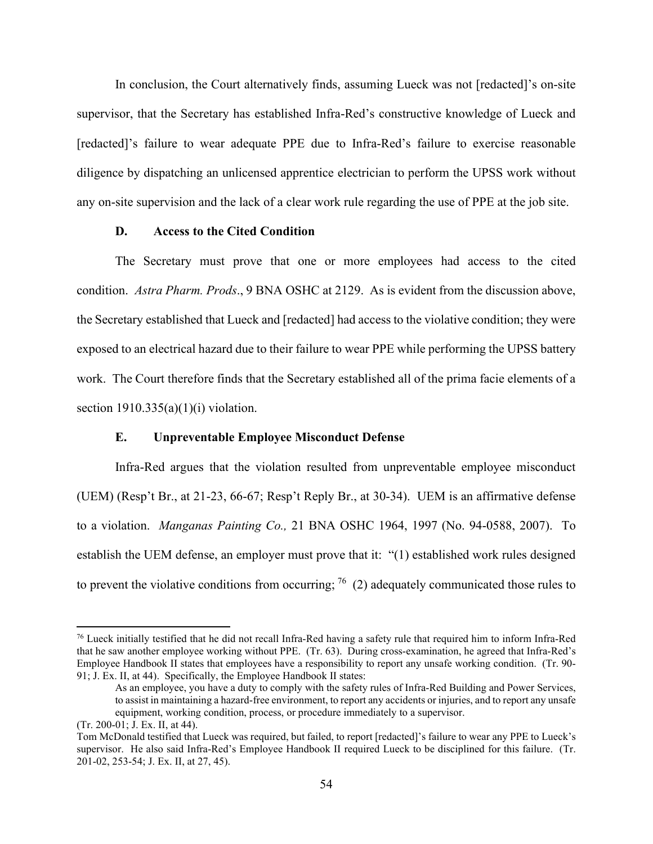In conclusion, the Court alternatively finds, assuming Lueck was not [redacted]'s on-site supervisor, that the Secretary has established Infra-Red's constructive knowledge of Lueck and [redacted]'s failure to wear adequate PPE due to Infra-Red's failure to exercise reasonable diligence by dispatching an unlicensed apprentice electrician to perform the UPSS work without any on-site supervision and the lack of a clear work rule regarding the use of PPE at the job site.

## **D. Access to the Cited Condition**

The Secretary must prove that one or more employees had access to the cited condition. *Astra Pharm. Prods*., 9 BNA OSHC at 2129. As is evident from the discussion above, the Secretary established that Lueck and [redacted] had access to the violative condition; they were exposed to an electrical hazard due to their failure to wear PPE while performing the UPSS battery work. The Court therefore finds that the Secretary established all of the prima facie elements of a section  $1910.335(a)(1)(i)$  violation.

### **E. Unpreventable Employee Misconduct Defense**

Infra-Red argues that the violation resulted from unpreventable employee misconduct (UEM) (Resp't Br., at 21-23, 66-67; Resp't Reply Br., at 30-34). UEM is an affirmative defense to a violation. *Manganas Painting Co.,* 21 BNA OSHC 1964, 1997 (No. 94-0588, 2007). To establish the UEM defense, an employer must prove that it: "(1) established work rules designed to prevent the violative conditions from occurring;  $^{76}$  (2) adequately communicated those rules to

<span id="page-53-0"></span><sup>&</sup>lt;sup>76</sup> Lueck initially testified that he did not recall Infra-Red having a safety rule that required him to inform Infra-Red that he saw another employee working without PPE. (Tr. 63). During cross-examination, he agreed that Infra-Red's Employee Handbook II states that employees have a responsibility to report any unsafe working condition. (Tr. 90- 91; J. Ex. II, at 44). Specifically, the Employee Handbook II states:

As an employee, you have a duty to comply with the safety rules of Infra-Red Building and Power Services, to assist in maintaining a hazard-free environment, to report any accidents or injuries, and to report any unsafe equipment, working condition, process, or procedure immediately to a supervisor.

<sup>(</sup>Tr. 200-01; J. Ex. II, at 44).

Tom McDonald testified that Lueck was required, but failed, to report [redacted]'s failure to wear any PPE to Lueck's supervisor. He also said Infra-Red's Employee Handbook II required Lueck to be disciplined for this failure. (Tr. 201-02, 253-54; J. Ex. II, at 27, 45).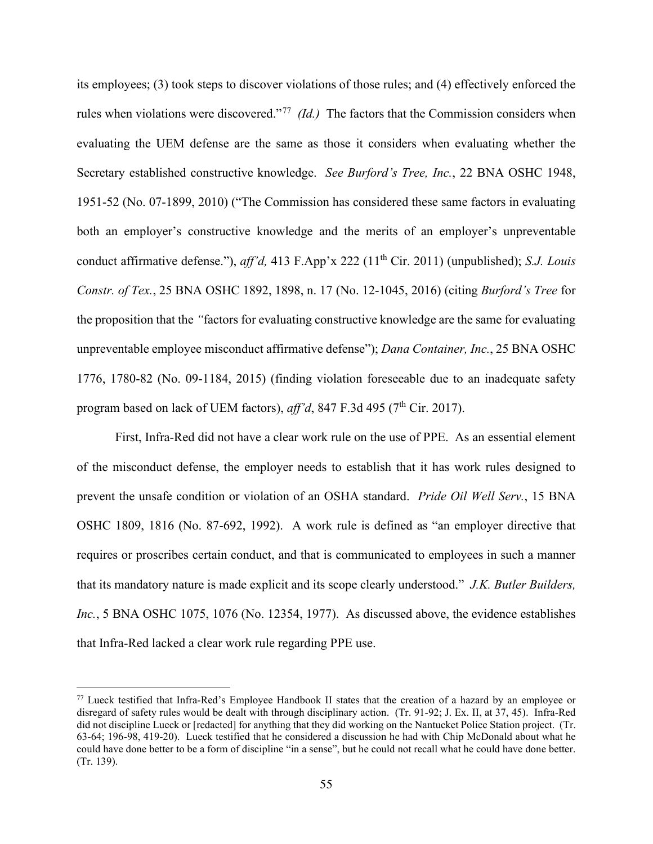its employees; (3) took steps to discover violations of those rules; and (4) effectively enforced the rules when violations were discovered."<sup>[77](#page-54-0)</sup> *(Id.)* The factors that the Commission considers when evaluating the UEM defense are the same as those it considers when evaluating whether the Secretary established constructive knowledge. *See Burford's Tree, Inc.*, 22 BNA OSHC 1948, 1951-52 (No. 07-1899, 2010) ("The Commission has considered these same factors in evaluating both an employer's constructive knowledge and the merits of an employer's unpreventable conduct affirmative defense."), *aff'd*, 413 F.App'x 222 (11<sup>th</sup> Cir. 2011) (unpublished); *S.J. Louis Constr. of Tex.*, 25 BNA OSHC 1892, 1898, n. 17 (No. 12-1045, 2016) (citing *Burford's Tree* for the proposition that the *"*factors for evaluating constructive knowledge are the same for evaluating unpreventable employee misconduct affirmative defense"); *Dana Container, Inc.*, 25 BNA OSHC 1776, 1780-82 (No. 09-1184, 2015) (finding violation foreseeable due to an inadequate safety program based on lack of UEM factors),  $aff'd$ , 847 F.3d 495 ( $7<sup>th</sup>$  Cir. 2017).

First, Infra-Red did not have a clear work rule on the use of PPE. As an essential element of the misconduct defense, the employer needs to establish that it has work rules designed to prevent the unsafe condition or violation of an OSHA standard. *Pride Oil Well Serv.*, 15 BNA OSHC 1809, 1816 (No. 87-692, 1992). A work rule is defined as "an employer directive that requires or proscribes certain conduct, and that is communicated to employees in such a manner that its mandatory nature is made explicit and its scope clearly understood." *J.K. Butler Builders, Inc.*, 5 BNA OSHC 1075, 1076 (No. 12354, 1977). As discussed above, the evidence establishes that Infra-Red lacked a clear work rule regarding PPE use.

<span id="page-54-0"></span><sup>77</sup> Lueck testified that Infra-Red's Employee Handbook II states that the creation of a hazard by an employee or disregard of safety rules would be dealt with through disciplinary action. (Tr. 91-92; J. Ex. II, at 37, 45). Infra-Red did not discipline Lueck or [redacted] for anything that they did working on the Nantucket Police Station project. (Tr. 63-64; 196-98, 419-20). Lueck testified that he considered a discussion he had with Chip McDonald about what he could have done better to be a form of discipline "in a sense", but he could not recall what he could have done better. (Tr. 139).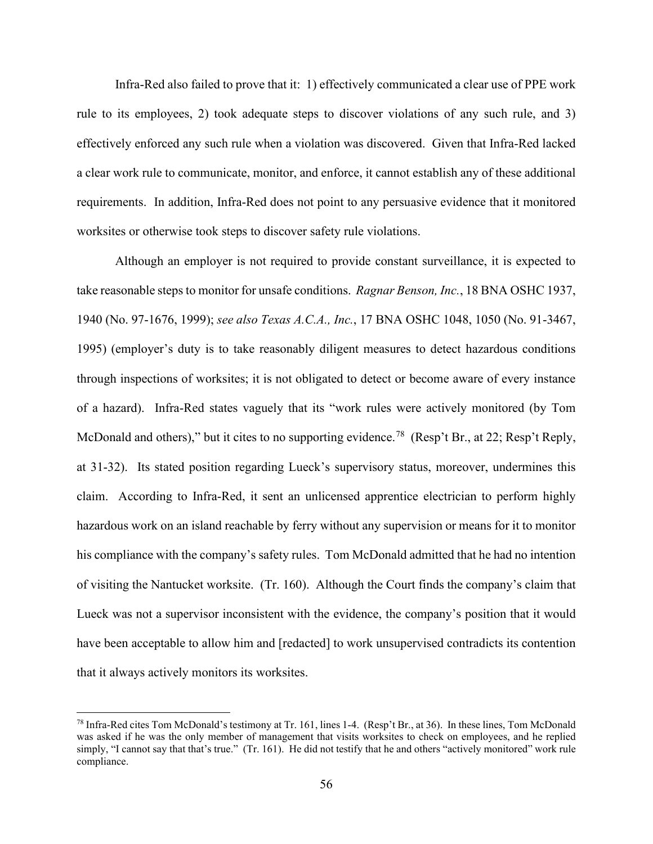Infra-Red also failed to prove that it: 1) effectively communicated a clear use of PPE work rule to its employees, 2) took adequate steps to discover violations of any such rule, and 3) effectively enforced any such rule when a violation was discovered. Given that Infra-Red lacked a clear work rule to communicate, monitor, and enforce, it cannot establish any of these additional requirements. In addition, Infra-Red does not point to any persuasive evidence that it monitored worksites or otherwise took steps to discover safety rule violations.

Although an employer is not required to provide constant surveillance, it is expected to take reasonable steps to monitor for unsafe conditions. *Ragnar Benson, Inc.*, 18 BNA OSHC 1937, 1940 (No. 97-1676, 1999); *see also Texas A.C.A., Inc.*, 17 BNA OSHC 1048, 1050 (No. 91-3467, 1995) (employer's duty is to take reasonably diligent measures to detect hazardous conditions through inspections of worksites; it is not obligated to detect or become aware of every instance of a hazard). Infra-Red states vaguely that its "work rules were actively monitored (by Tom McDonald and others)," but it cites to no supporting evidence.<sup>78</sup> (Resp't Br., at 22; Resp't Reply, at 31-32). Its stated position regarding Lueck's supervisory status, moreover, undermines this claim. According to Infra-Red, it sent an unlicensed apprentice electrician to perform highly hazardous work on an island reachable by ferry without any supervision or means for it to monitor his compliance with the company's safety rules. Tom McDonald admitted that he had no intention of visiting the Nantucket worksite. (Tr. 160). Although the Court finds the company's claim that Lueck was not a supervisor inconsistent with the evidence, the company's position that it would have been acceptable to allow him and [redacted] to work unsupervised contradicts its contention that it always actively monitors its worksites.

<span id="page-55-0"></span><sup>78</sup> Infra-Red cites Tom McDonald's testimony at Tr. 161, lines 1-4. (Resp't Br., at 36). In these lines, Tom McDonald was asked if he was the only member of management that visits worksites to check on employees, and he replied simply, "I cannot say that that's true." (Tr. 161). He did not testify that he and others "actively monitored" work rule compliance.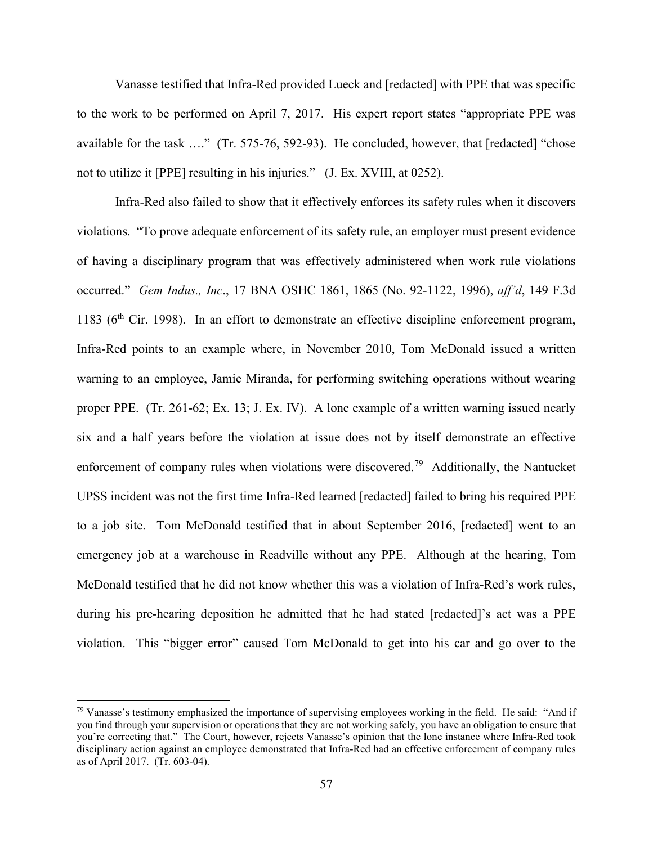Vanasse testified that Infra-Red provided Lueck and [redacted] with PPE that was specific to the work to be performed on April 7, 2017. His expert report states "appropriate PPE was available for the task …." (Tr. 575-76, 592-93). He concluded, however, that [redacted] "chose not to utilize it [PPE] resulting in his injuries." (J. Ex. XVIII, at 0252).

Infra-Red also failed to show that it effectively enforces its safety rules when it discovers violations. "To prove adequate enforcement of its safety rule, an employer must present evidence of having a disciplinary program that was effectively administered when work rule violations occurred." *Gem Indus., Inc*., 17 BNA OSHC 1861, 1865 (No. 92-1122, 1996), *aff'd*, 149 F.3d 1183 ( $6<sup>th</sup>$  Cir. 1998). In an effort to demonstrate an effective discipline enforcement program, Infra-Red points to an example where, in November 2010, Tom McDonald issued a written warning to an employee, Jamie Miranda, for performing switching operations without wearing proper PPE. (Tr. 261-62; Ex. 13; J. Ex. IV). A lone example of a written warning issued nearly six and a half years before the violation at issue does not by itself demonstrate an effective enforcement of company rules when violations were discovered.<sup>79</sup> Additionally, the Nantucket UPSS incident was not the first time Infra-Red learned [redacted] failed to bring his required PPE to a job site. Tom McDonald testified that in about September 2016, [redacted] went to an emergency job at a warehouse in Readville without any PPE. Although at the hearing, Tom McDonald testified that he did not know whether this was a violation of Infra-Red's work rules, during his pre-hearing deposition he admitted that he had stated [redacted]'s act was a PPE violation. This "bigger error" caused Tom McDonald to get into his car and go over to the

<span id="page-56-0"></span> $79$  Vanasse's testimony emphasized the importance of supervising employees working in the field. He said: "And if you find through your supervision or operations that they are not working safely, you have an obligation to ensure that you're correcting that." The Court, however, rejects Vanasse's opinion that the lone instance where Infra-Red took disciplinary action against an employee demonstrated that Infra-Red had an effective enforcement of company rules as of April 2017. (Tr. 603-04).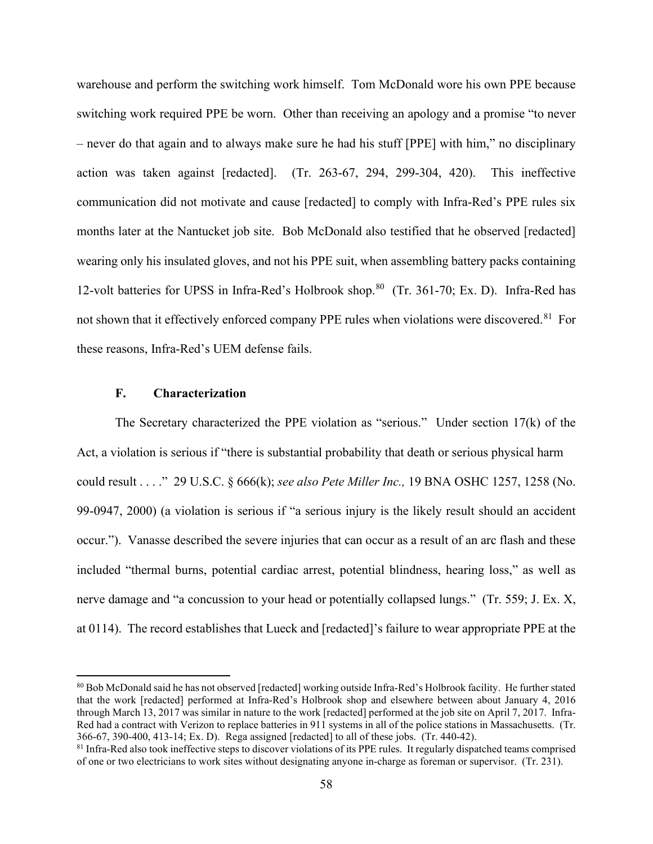warehouse and perform the switching work himself. Tom McDonald wore his own PPE because switching work required PPE be worn. Other than receiving an apology and a promise "to never – never do that again and to always make sure he had his stuff [PPE] with him," no disciplinary action was taken against [redacted]. (Tr. 263-67, 294, 299-304, 420). This ineffective communication did not motivate and cause [redacted] to comply with Infra-Red's PPE rules six months later at the Nantucket job site. Bob McDonald also testified that he observed [redacted] wearing only his insulated gloves, and not his PPE suit, when assembling battery packs containing 12-volt batteries for UPSS in Infra-Red's Holbrook shop.<sup>80</sup> (Tr. 361-70; Ex. D). Infra-Red has not shown that it effectively enforced company PPE rules when violations were discovered.<sup>[81](#page-57-1)</sup> For these reasons, Infra-Red's UEM defense fails.

# **F. Characterization**

The Secretary characterized the PPE violation as "serious." Under section 17(k) of the Act, a violation is serious if "there is substantial probability that death or serious physical harm could result . . . ." 29 U.S.C. § 666(k); *see also Pete Miller Inc.,* 19 BNA OSHC 1257, 1258 (No. 99-0947, 2000) (a violation is serious if "a serious injury is the likely result should an accident occur."). Vanasse described the severe injuries that can occur as a result of an arc flash and these included "thermal burns, potential cardiac arrest, potential blindness, hearing loss," as well as nerve damage and "a concussion to your head or potentially collapsed lungs." (Tr. 559; J. Ex. X, at 0114). The record establishes that Lueck and [redacted]'s failure to wear appropriate PPE at the

<span id="page-57-0"></span><sup>80</sup> Bob McDonald said he has not observed [redacted] working outside Infra-Red's Holbrook facility. He further stated that the work [redacted] performed at Infra-Red's Holbrook shop and elsewhere between about January 4, 2016 through March 13, 2017 was similar in nature to the work [redacted] performed at the job site on April 7, 2017. Infra-Red had a contract with Verizon to replace batteries in 911 systems in all of the police stations in Massachusetts. (Tr. 366-67, 390-400, 413-14; Ex. D). Rega assigned [redacted] to all of these jobs. (Tr. 440-42).

<span id="page-57-1"></span> $81$  Infra-Red also took ineffective steps to discover violations of its PPE rules. It regularly dispatched teams comprised of one or two electricians to work sites without designating anyone in-charge as foreman or supervisor. (Tr. 231).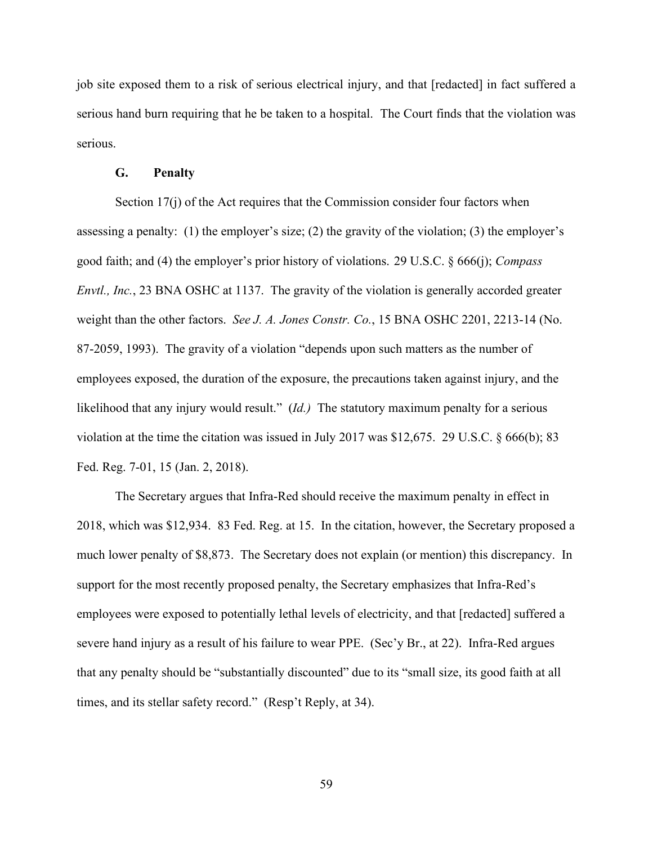job site exposed them to a risk of serious electrical injury, and that [redacted] in fact suffered a serious hand burn requiring that he be taken to a hospital. The Court finds that the violation was serious.

#### **G. Penalty**

Section 17(j) of the Act requires that the Commission consider four factors when assessing a penalty: (1) the employer's size; (2) the gravity of the violation; (3) the employer's good faith; and (4) the employer's prior history of violations. 29 U.S.C. § 666(j); *Compass Envtl., Inc.*, 23 BNA OSHC at 1137. The gravity of the violation is generally accorded greater weight than the other factors. *See J. A. Jones Constr. Co.*, 15 BNA OSHC 2201, 2213-14 (No. 87-2059, 1993). The gravity of a violation "depends upon such matters as the number of employees exposed, the duration of the exposure, the precautions taken against injury, and the likelihood that any injury would result." (*Id.)* The statutory maximum penalty for a serious violation at the time the citation was issued in July 2017 was \$12,675. 29 U.S.C. § 666(b); 83 Fed. Reg. 7-01, 15 (Jan. 2, 2018).

The Secretary argues that Infra-Red should receive the maximum penalty in effect in 2018, which was \$12,934. 83 Fed. Reg. at 15. In the citation, however, the Secretary proposed a much lower penalty of \$8,873. The Secretary does not explain (or mention) this discrepancy. In support for the most recently proposed penalty, the Secretary emphasizes that Infra-Red's employees were exposed to potentially lethal levels of electricity, and that [redacted] suffered a severe hand injury as a result of his failure to wear PPE. (Sec'y Br., at 22). Infra-Red argues that any penalty should be "substantially discounted" due to its "small size, its good faith at all times, and its stellar safety record." (Resp't Reply, at 34).

59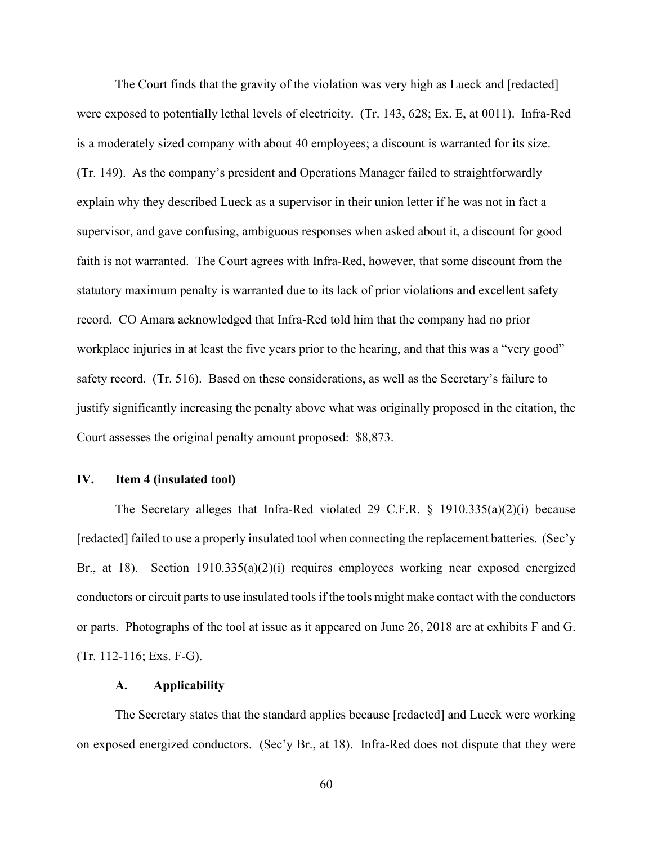The Court finds that the gravity of the violation was very high as Lueck and [redacted] were exposed to potentially lethal levels of electricity. (Tr. 143, 628; Ex. E, at 0011). Infra-Red is a moderately sized company with about 40 employees; a discount is warranted for its size. (Tr. 149). As the company's president and Operations Manager failed to straightforwardly explain why they described Lueck as a supervisor in their union letter if he was not in fact a supervisor, and gave confusing, ambiguous responses when asked about it, a discount for good faith is not warranted. The Court agrees with Infra-Red, however, that some discount from the statutory maximum penalty is warranted due to its lack of prior violations and excellent safety record. CO Amara acknowledged that Infra-Red told him that the company had no prior workplace injuries in at least the five years prior to the hearing, and that this was a "very good" safety record. (Tr. 516). Based on these considerations, as well as the Secretary's failure to justify significantly increasing the penalty above what was originally proposed in the citation, the Court assesses the original penalty amount proposed: \$8,873.

## **IV. Item 4 (insulated tool)**

The Secretary alleges that Infra-Red violated 29 C.F.R. § 1910.335(a)(2)(i) because [redacted] failed to use a properly insulated tool when connecting the replacement batteries. (Sec'y Br., at 18). Section 1910.335(a)(2)(i) requires employees working near exposed energized conductors or circuit parts to use insulated tools if the tools might make contact with the conductors or parts. Photographs of the tool at issue as it appeared on June 26, 2018 are at exhibits F and G. (Tr. 112-116; Exs. F-G).

# **A. Applicability**

The Secretary states that the standard applies because [redacted] and Lueck were working on exposed energized conductors. (Sec'y Br., at 18). Infra-Red does not dispute that they were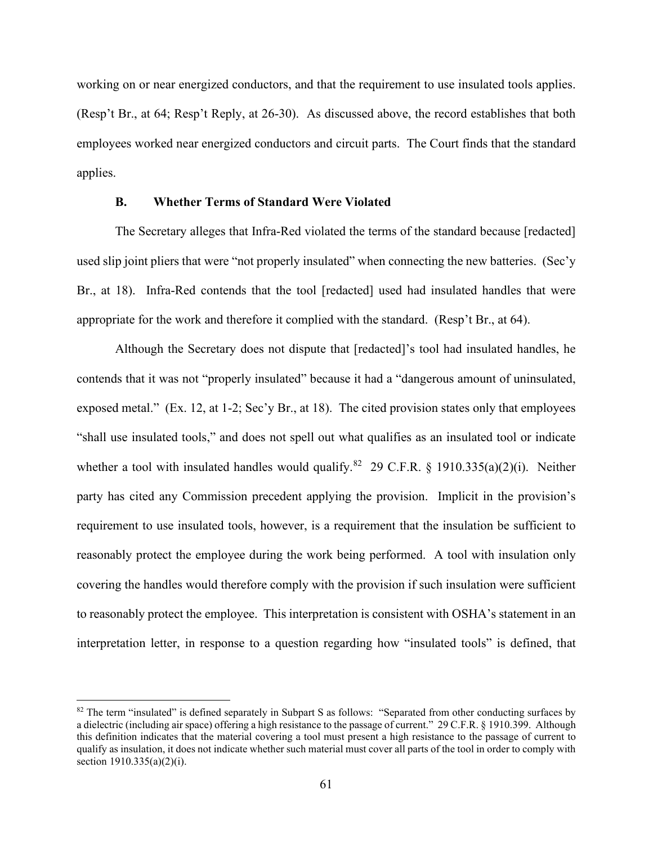working on or near energized conductors, and that the requirement to use insulated tools applies. (Resp't Br., at 64; Resp't Reply, at 26-30). As discussed above, the record establishes that both employees worked near energized conductors and circuit parts. The Court finds that the standard applies.

## **B. Whether Terms of Standard Were Violated**

The Secretary alleges that Infra-Red violated the terms of the standard because [redacted] used slip joint pliers that were "not properly insulated" when connecting the new batteries. (Sec'y Br., at 18). Infra-Red contends that the tool [redacted] used had insulated handles that were appropriate for the work and therefore it complied with the standard. (Resp't Br., at 64).

Although the Secretary does not dispute that [redacted]'s tool had insulated handles, he contends that it was not "properly insulated" because it had a "dangerous amount of uninsulated, exposed metal." (Ex. 12, at 1-2; Sec'y Br., at 18). The cited provision states only that employees "shall use insulated tools," and does not spell out what qualifies as an insulated tool or indicate whether a tool with insulated handles would qualify.<sup>82</sup> 29 C.F.R. § 1910.335(a)(2)(i). Neither party has cited any Commission precedent applying the provision. Implicit in the provision's requirement to use insulated tools, however, is a requirement that the insulation be sufficient to reasonably protect the employee during the work being performed. A tool with insulation only covering the handles would therefore comply with the provision if such insulation were sufficient to reasonably protect the employee. This interpretation is consistent with OSHA's statement in an interpretation letter, in response to a question regarding how "insulated tools" is defined, that

<span id="page-60-0"></span> $82$  The term "insulated" is defined separately in Subpart S as follows: "Separated from other conducting surfaces by a dielectric (including air space) offering a high resistance to the passage of current." 29 C.F.R. § 1910.399. Although this definition indicates that the material covering a tool must present a high resistance to the passage of current to qualify as insulation, it does not indicate whether such material must cover all parts of the tool in order to comply with section 1910.335(a)(2)(i).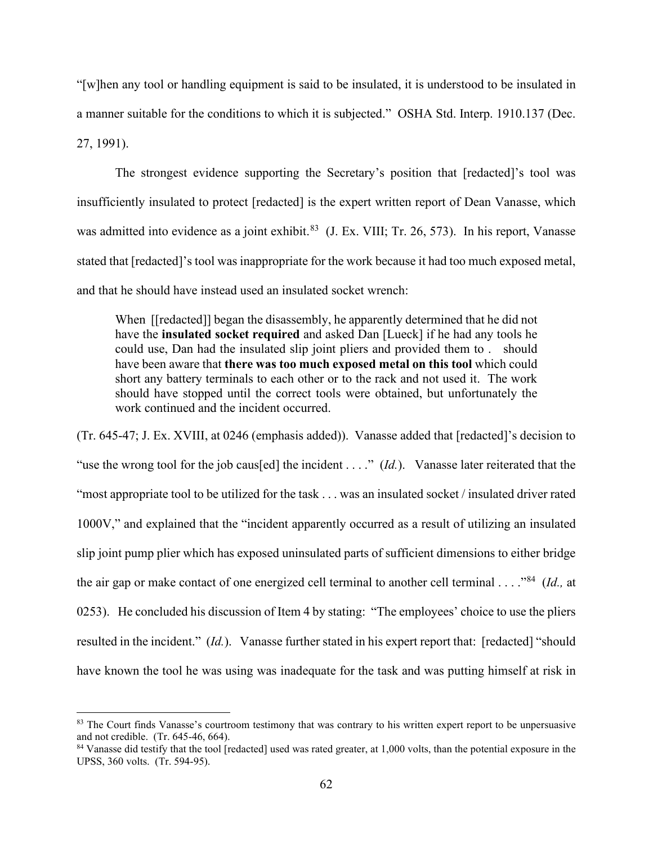"[w]hen any tool or handling equipment is said to be insulated, it is understood to be insulated in a manner suitable for the conditions to which it is subjected." OSHA Std. Interp. 1910.137 (Dec. 27, 1991).

The strongest evidence supporting the Secretary's position that [redacted]'s tool was insufficiently insulated to protect [redacted] is the expert written report of Dean Vanasse, which was admitted into evidence as a joint exhibit.<sup>[83](#page-61-0)</sup> (J. Ex. VIII; Tr. 26, 573). In his report, Vanasse stated that [redacted]'s tool was inappropriate for the work because it had too much exposed metal, and that he should have instead used an insulated socket wrench:

When [[redacted]] began the disassembly, he apparently determined that he did not have the **insulated socket required** and asked Dan [Lueck] if he had any tools he could use, Dan had the insulated slip joint pliers and provided them to . should have been aware that **there was too much exposed metal on this tool** which could short any battery terminals to each other or to the rack and not used it. The work should have stopped until the correct tools were obtained, but unfortunately the work continued and the incident occurred.

(Tr. 645-47; J. Ex. XVIII, at 0246 (emphasis added)). Vanasse added that [redacted]'s decision to "use the wrong tool for the job caus[ed] the incident . . . ." (*Id*.). Vanasse later reiterated that the "most appropriate tool to be utilized for the task . . . was an insulated socket / insulated driver rated 1000V," and explained that the "incident apparently occurred as a result of utilizing an insulated slip joint pump plier which has exposed uninsulated parts of sufficient dimensions to either bridge the air gap or make contact of one energized cell terminal to another cell terminal . . . ."[84](#page-61-1) (*Id.,* at 0253). He concluded his discussion of Item 4 by stating: "The employees' choice to use the pliers resulted in the incident." (*Id.*). Vanasse further stated in his expert report that: [redacted] "should have known the tool he was using was inadequate for the task and was putting himself at risk in

<span id="page-61-0"></span><sup>83</sup> The Court finds Vanasse's courtroom testimony that was contrary to his written expert report to be unpersuasive and not credible. (Tr. 645-46, 664).

<span id="page-61-1"></span><sup>&</sup>lt;sup>84</sup> Vanasse did testify that the tool [redacted] used was rated greater, at 1,000 volts, than the potential exposure in the UPSS, 360 volts. (Tr. 594-95).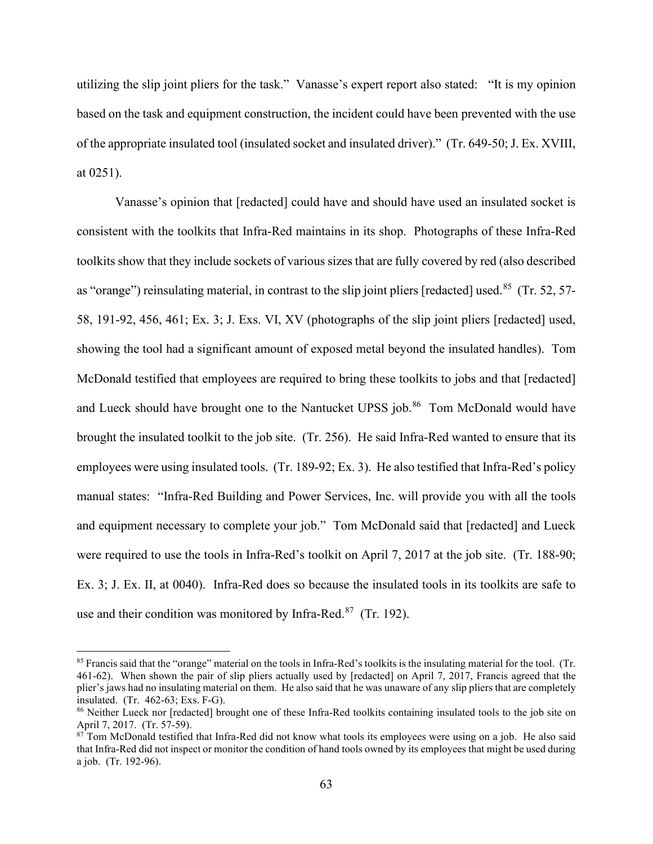utilizing the slip joint pliers for the task." Vanasse's expert report also stated: "It is my opinion based on the task and equipment construction, the incident could have been prevented with the use of the appropriate insulated tool (insulated socket and insulated driver)." (Tr. 649-50; J. Ex. XVIII, at 0251).

Vanasse's opinion that [redacted] could have and should have used an insulated socket is consistent with the toolkits that Infra-Red maintains in its shop. Photographs of these Infra-Red toolkits show that they include sockets of various sizes that are fully covered by red (also described as "orange") reinsulating material, in contrast to the slip joint pliers [redacted] used.<sup>[85](#page-62-0)</sup> (Tr. 52, 57-58, 191-92, 456, 461; Ex. 3; J. Exs. VI, XV (photographs of the slip joint pliers [redacted] used, showing the tool had a significant amount of exposed metal beyond the insulated handles). Tom McDonald testified that employees are required to bring these toolkits to jobs and that [redacted] and Lueck should have brought one to the Nantucket UPSS job.<sup>86</sup> Tom McDonald would have brought the insulated toolkit to the job site. (Tr. 256). He said Infra-Red wanted to ensure that its employees were using insulated tools. (Tr. 189-92; Ex. 3). He also testified that Infra-Red's policy manual states: "Infra-Red Building and Power Services, Inc. will provide you with all the tools and equipment necessary to complete your job." Tom McDonald said that [redacted] and Lueck were required to use the tools in Infra-Red's toolkit on April 7, 2017 at the job site. (Tr. 188-90; Ex. 3; J. Ex. II, at 0040). Infra-Red does so because the insulated tools in its toolkits are safe to use and their condition was monitored by Infra-Red. $87$  (Tr. 192).

<span id="page-62-0"></span><sup>&</sup>lt;sup>85</sup> Francis said that the "orange" material on the tools in Infra-Red's toolkits is the insulating material for the tool. (Tr. 461-62). When shown the pair of slip pliers actually used by [redacted] on April 7, 2017, Francis agreed that the plier's jaws had no insulating material on them. He also said that he was unaware of any slip pliers that are completely insulated. (Tr. 462-63; Exs. F-G).

<span id="page-62-1"></span><sup>&</sup>lt;sup>86</sup> Neither Lueck nor [redacted] brought one of these Infra-Red toolkits containing insulated tools to the job site on April 7, 2017. (Tr. 57-59).

<span id="page-62-2"></span><sup>&</sup>lt;sup>87</sup> Tom McDonald testified that Infra-Red did not know what tools its employees were using on a job. He also said that Infra-Red did not inspect or monitor the condition of hand tools owned by its employees that might be used during a job. (Tr. 192-96).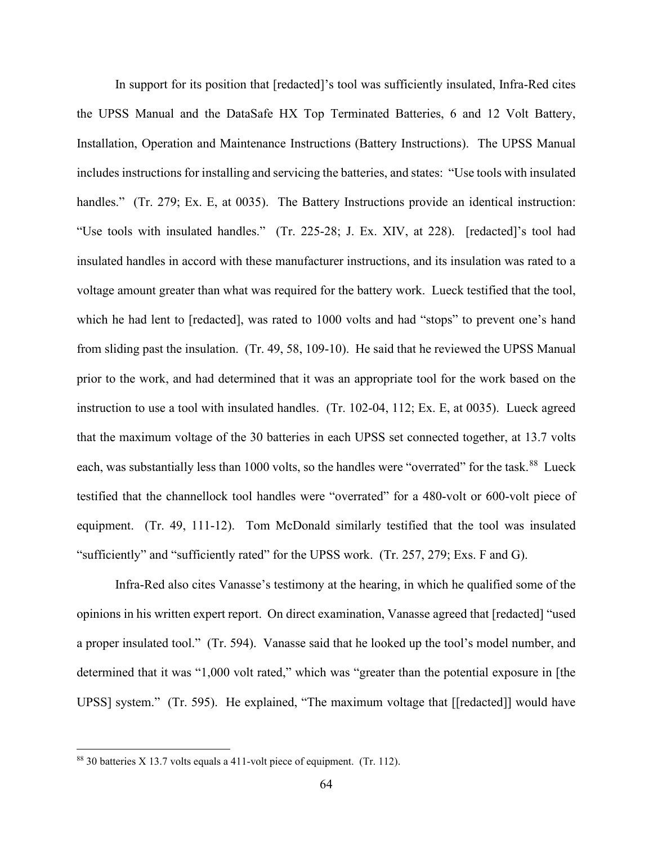In support for its position that [redacted]'s tool was sufficiently insulated, Infra-Red cites the UPSS Manual and the DataSafe HX Top Terminated Batteries, 6 and 12 Volt Battery, Installation, Operation and Maintenance Instructions (Battery Instructions). The UPSS Manual includes instructions for installing and servicing the batteries, and states: "Use tools with insulated handles." (Tr. 279; Ex. E, at 0035). The Battery Instructions provide an identical instruction: "Use tools with insulated handles." (Tr. 225-28; J. Ex. XIV, at 228). [redacted]'s tool had insulated handles in accord with these manufacturer instructions, and its insulation was rated to a voltage amount greater than what was required for the battery work. Lueck testified that the tool, which he had lent to [redacted], was rated to 1000 volts and had "stops" to prevent one's hand from sliding past the insulation. (Tr. 49, 58, 109-10). He said that he reviewed the UPSS Manual prior to the work, and had determined that it was an appropriate tool for the work based on the instruction to use a tool with insulated handles. (Tr. 102-04, 112; Ex. E, at 0035). Lueck agreed that the maximum voltage of the 30 batteries in each UPSS set connected together, at 13.7 volts each, was substantially less than 1000 volts, so the handles were "overrated" for the task.<sup>88</sup> Lueck testified that the channellock tool handles were "overrated" for a 480-volt or 600-volt piece of equipment. (Tr. 49, 111-12). Tom McDonald similarly testified that the tool was insulated "sufficiently" and "sufficiently rated" for the UPSS work. (Tr. 257, 279; Exs. F and G).

Infra-Red also cites Vanasse's testimony at the hearing, in which he qualified some of the opinions in his written expert report. On direct examination, Vanasse agreed that [redacted] "used a proper insulated tool." (Tr. 594). Vanasse said that he looked up the tool's model number, and determined that it was "1,000 volt rated," which was "greater than the potential exposure in [the UPSS] system." (Tr. 595). He explained, "The maximum voltage that [[redacted]] would have

<span id="page-63-0"></span><sup>88</sup> 30 batteries X 13.7 volts equals a 411-volt piece of equipment. (Tr. 112).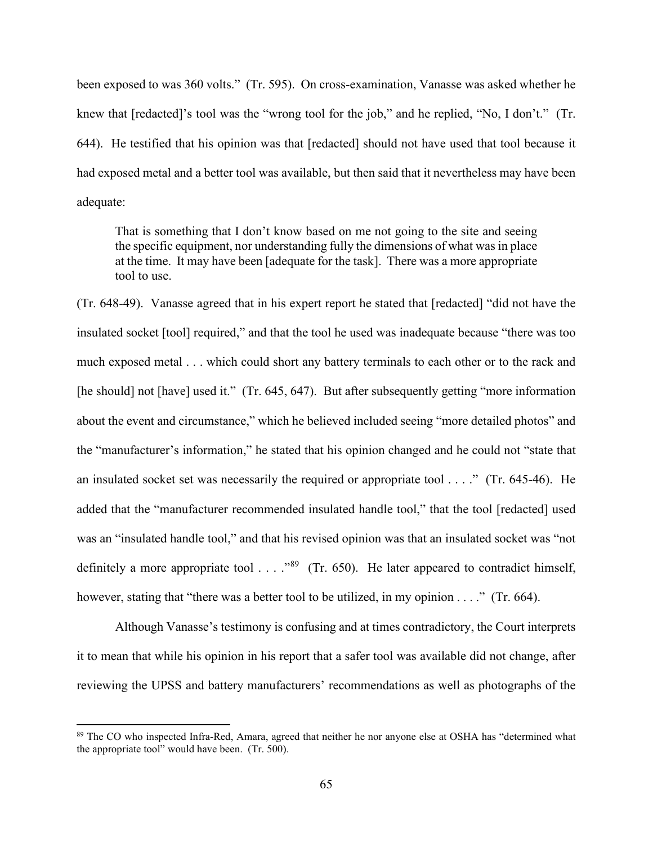been exposed to was 360 volts." (Tr. 595). On cross-examination, Vanasse was asked whether he knew that [redacted]'s tool was the "wrong tool for the job," and he replied, "No, I don't." (Tr. 644). He testified that his opinion was that [redacted] should not have used that tool because it had exposed metal and a better tool was available, but then said that it nevertheless may have been adequate:

That is something that I don't know based on me not going to the site and seeing the specific equipment, nor understanding fully the dimensions of what was in place at the time. It may have been [adequate for the task]. There was a more appropriate tool to use.

(Tr. 648-49). Vanasse agreed that in his expert report he stated that [redacted] "did not have the insulated socket [tool] required," and that the tool he used was inadequate because "there was too much exposed metal . . . which could short any battery terminals to each other or to the rack and [he should] not [have] used it." (Tr. 645, 647). But after subsequently getting "more information about the event and circumstance," which he believed included seeing "more detailed photos" and the "manufacturer's information," he stated that his opinion changed and he could not "state that an insulated socket set was necessarily the required or appropriate tool . . . ." (Tr. 645-46). He added that the "manufacturer recommended insulated handle tool," that the tool [redacted] used was an "insulated handle tool," and that his revised opinion was that an insulated socket was "not definitely a more appropriate tool . . . ."[89](#page-64-0) (Tr. 650). He later appeared to contradict himself, however, stating that "there was a better tool to be utilized, in my opinion . . . ." (Tr. 664).

Although Vanasse's testimony is confusing and at times contradictory, the Court interprets it to mean that while his opinion in his report that a safer tool was available did not change, after reviewing the UPSS and battery manufacturers' recommendations as well as photographs of the

<span id="page-64-0"></span><sup>89</sup> The CO who inspected Infra-Red, Amara, agreed that neither he nor anyone else at OSHA has "determined what the appropriate tool" would have been. (Tr. 500).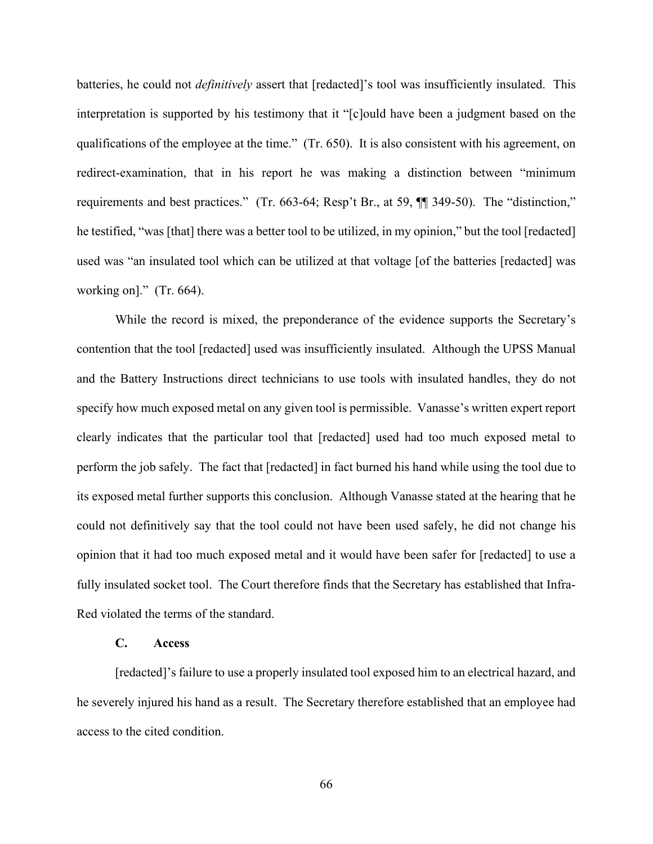batteries, he could not *definitively* assert that [redacted]'s tool was insufficiently insulated. This interpretation is supported by his testimony that it "[c]ould have been a judgment based on the qualifications of the employee at the time." (Tr. 650). It is also consistent with his agreement, on redirect-examination, that in his report he was making a distinction between "minimum requirements and best practices." (Tr. 663-64; Resp't Br., at 59, ¶¶ 349-50). The "distinction," he testified, "was [that] there was a better tool to be utilized, in my opinion," but the tool [redacted] used was "an insulated tool which can be utilized at that voltage [of the batteries [redacted] was working on]." (Tr. 664).

While the record is mixed, the preponderance of the evidence supports the Secretary's contention that the tool [redacted] used was insufficiently insulated. Although the UPSS Manual and the Battery Instructions direct technicians to use tools with insulated handles, they do not specify how much exposed metal on any given tool is permissible. Vanasse's written expert report clearly indicates that the particular tool that [redacted] used had too much exposed metal to perform the job safely. The fact that [redacted] in fact burned his hand while using the tool due to its exposed metal further supports this conclusion. Although Vanasse stated at the hearing that he could not definitively say that the tool could not have been used safely, he did not change his opinion that it had too much exposed metal and it would have been safer for [redacted] to use a fully insulated socket tool. The Court therefore finds that the Secretary has established that Infra-Red violated the terms of the standard.

### **C. Access**

[redacted]'s failure to use a properly insulated tool exposed him to an electrical hazard, and he severely injured his hand as a result. The Secretary therefore established that an employee had access to the cited condition.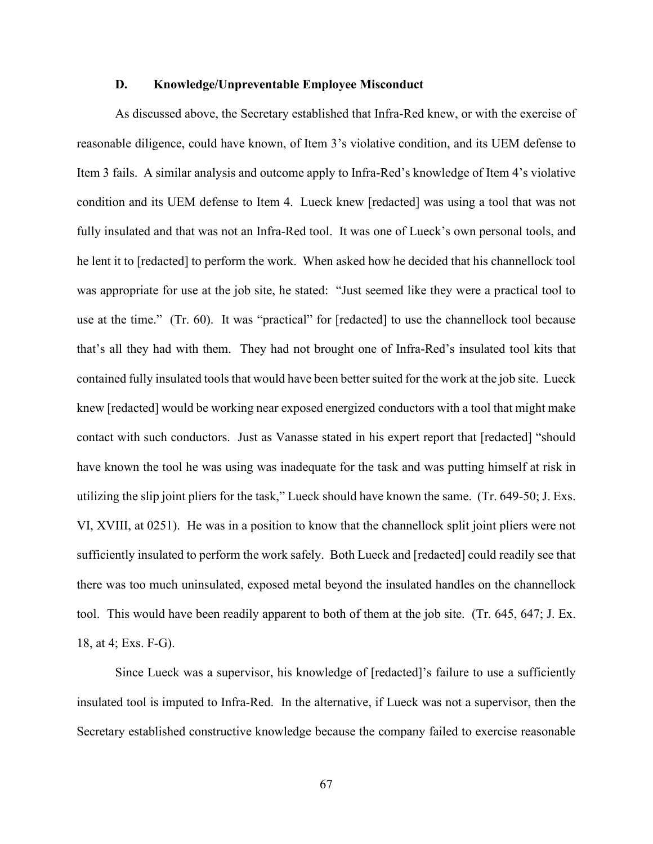### **D. Knowledge/Unpreventable Employee Misconduct**

As discussed above, the Secretary established that Infra-Red knew, or with the exercise of reasonable diligence, could have known, of Item 3's violative condition, and its UEM defense to Item 3 fails. A similar analysis and outcome apply to Infra-Red's knowledge of Item 4's violative condition and its UEM defense to Item 4. Lueck knew [redacted] was using a tool that was not fully insulated and that was not an Infra-Red tool. It was one of Lueck's own personal tools, and he lent it to [redacted] to perform the work. When asked how he decided that his channellock tool was appropriate for use at the job site, he stated: "Just seemed like they were a practical tool to use at the time." (Tr. 60). It was "practical" for [redacted] to use the channellock tool because that's all they had with them. They had not brought one of Infra-Red's insulated tool kits that contained fully insulated tools that would have been better suited for the work at the job site. Lueck knew [redacted] would be working near exposed energized conductors with a tool that might make contact with such conductors. Just as Vanasse stated in his expert report that [redacted] "should have known the tool he was using was inadequate for the task and was putting himself at risk in utilizing the slip joint pliers for the task," Lueck should have known the same. (Tr. 649-50; J. Exs. VI, XVIII, at 0251). He was in a position to know that the channellock split joint pliers were not sufficiently insulated to perform the work safely. Both Lueck and [redacted] could readily see that there was too much uninsulated, exposed metal beyond the insulated handles on the channellock tool. This would have been readily apparent to both of them at the job site. (Tr. 645, 647; J. Ex. 18, at 4; Exs. F-G).

Since Lueck was a supervisor, his knowledge of [redacted]'s failure to use a sufficiently insulated tool is imputed to Infra-Red. In the alternative, if Lueck was not a supervisor, then the Secretary established constructive knowledge because the company failed to exercise reasonable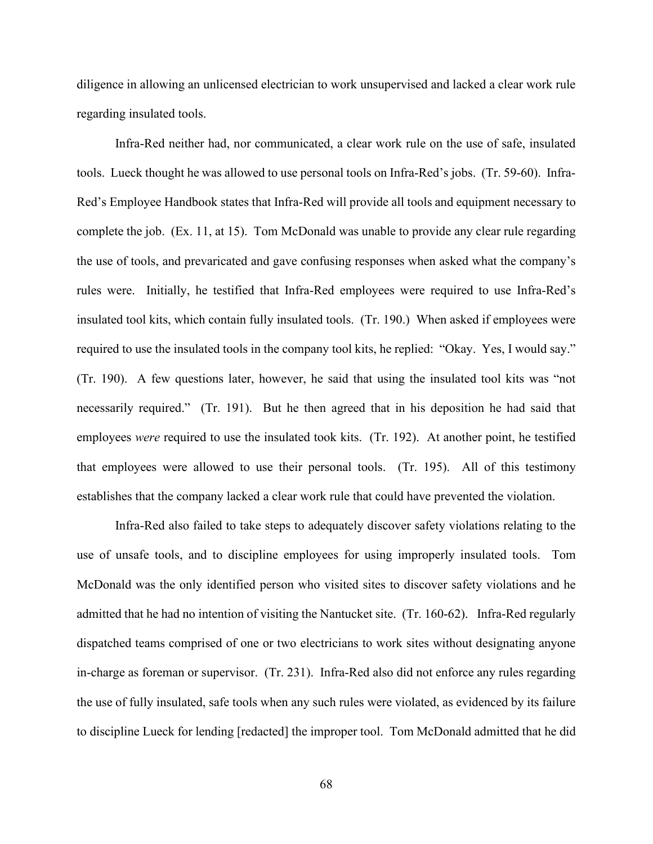diligence in allowing an unlicensed electrician to work unsupervised and lacked a clear work rule regarding insulated tools.

Infra-Red neither had, nor communicated, a clear work rule on the use of safe, insulated tools. Lueck thought he was allowed to use personal tools on Infra-Red's jobs. (Tr. 59-60). Infra-Red's Employee Handbook states that Infra-Red will provide all tools and equipment necessary to complete the job. (Ex. 11, at 15). Tom McDonald was unable to provide any clear rule regarding the use of tools, and prevaricated and gave confusing responses when asked what the company's rules were. Initially, he testified that Infra-Red employees were required to use Infra-Red's insulated tool kits, which contain fully insulated tools. (Tr. 190.) When asked if employees were required to use the insulated tools in the company tool kits, he replied: "Okay. Yes, I would say." (Tr. 190). A few questions later, however, he said that using the insulated tool kits was "not necessarily required." (Tr. 191). But he then agreed that in his deposition he had said that employees *were* required to use the insulated took kits. (Tr. 192). At another point, he testified that employees were allowed to use their personal tools. (Tr. 195). All of this testimony establishes that the company lacked a clear work rule that could have prevented the violation.

Infra-Red also failed to take steps to adequately discover safety violations relating to the use of unsafe tools, and to discipline employees for using improperly insulated tools. Tom McDonald was the only identified person who visited sites to discover safety violations and he admitted that he had no intention of visiting the Nantucket site. (Tr. 160-62). Infra-Red regularly dispatched teams comprised of one or two electricians to work sites without designating anyone in-charge as foreman or supervisor. (Tr. 231). Infra-Red also did not enforce any rules regarding the use of fully insulated, safe tools when any such rules were violated, as evidenced by its failure to discipline Lueck for lending [redacted] the improper tool. Tom McDonald admitted that he did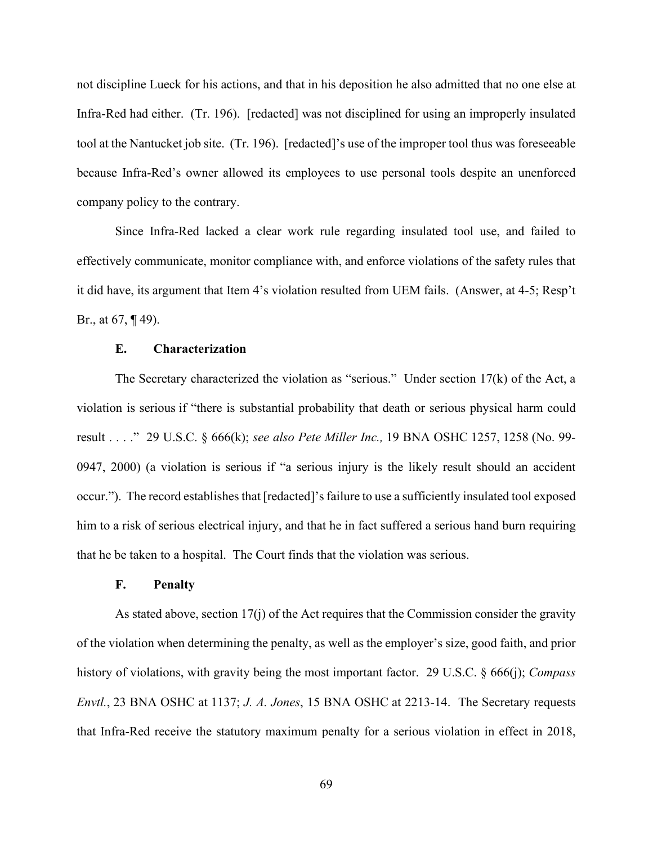not discipline Lueck for his actions, and that in his deposition he also admitted that no one else at Infra-Red had either. (Tr. 196). [redacted] was not disciplined for using an improperly insulated tool at the Nantucket job site. (Tr. 196). [redacted]'s use of the improper tool thus was foreseeable because Infra-Red's owner allowed its employees to use personal tools despite an unenforced company policy to the contrary.

Since Infra-Red lacked a clear work rule regarding insulated tool use, and failed to effectively communicate, monitor compliance with, and enforce violations of the safety rules that it did have, its argument that Item 4's violation resulted from UEM fails. (Answer, at 4-5; Resp't Br., at 67, ¶ 49).

### **E. Characterization**

The Secretary characterized the violation as "serious." Under section 17(k) of the Act, a violation is serious if "there is substantial probability that death or serious physical harm could result . . . ." 29 U.S.C. § 666(k); *see also Pete Miller Inc.,* 19 BNA OSHC 1257, 1258 (No. 99- 0947, 2000) (a violation is serious if "a serious injury is the likely result should an accident occur."). The record establishes that [redacted]'s failure to use a sufficiently insulated tool exposed him to a risk of serious electrical injury, and that he in fact suffered a serious hand burn requiring that he be taken to a hospital. The Court finds that the violation was serious.

### **F. Penalty**

As stated above, section 17(j) of the Act requires that the Commission consider the gravity of the violation when determining the penalty, as well as the employer's size, good faith, and prior history of violations, with gravity being the most important factor. 29 U.S.C. § 666(j); *Compass Envtl.*, 23 BNA OSHC at 1137; *J. A. Jones*, 15 BNA OSHC at 2213-14. The Secretary requests that Infra-Red receive the statutory maximum penalty for a serious violation in effect in 2018,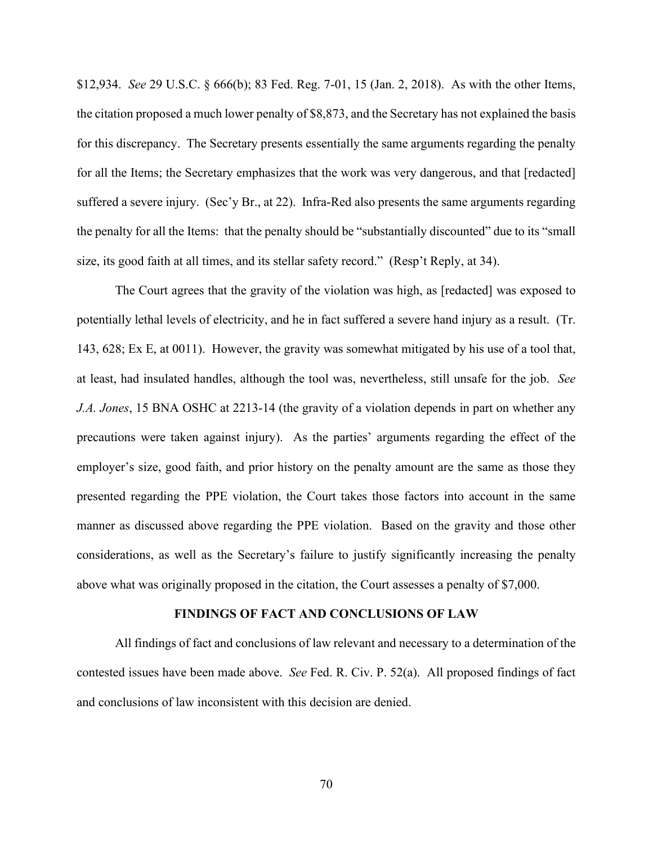\$12,934. *See* 29 U.S.C. § 666(b); 83 Fed. Reg. 7-01, 15 (Jan. 2, 2018). As with the other Items, the citation proposed a much lower penalty of \$8,873, and the Secretary has not explained the basis for this discrepancy. The Secretary presents essentially the same arguments regarding the penalty for all the Items; the Secretary emphasizes that the work was very dangerous, and that [redacted] suffered a severe injury. (Sec'y Br., at 22). Infra-Red also presents the same arguments regarding the penalty for all the Items: that the penalty should be "substantially discounted" due to its "small size, its good faith at all times, and its stellar safety record." (Resp't Reply, at 34).

The Court agrees that the gravity of the violation was high, as [redacted] was exposed to potentially lethal levels of electricity, and he in fact suffered a severe hand injury as a result. (Tr. 143, 628; Ex E, at 0011). However, the gravity was somewhat mitigated by his use of a tool that, at least, had insulated handles, although the tool was, nevertheless, still unsafe for the job. *See J.A. Jones*, 15 BNA OSHC at 2213-14 (the gravity of a violation depends in part on whether any precautions were taken against injury). As the parties' arguments regarding the effect of the employer's size, good faith, and prior history on the penalty amount are the same as those they presented regarding the PPE violation, the Court takes those factors into account in the same manner as discussed above regarding the PPE violation. Based on the gravity and those other considerations, as well as the Secretary's failure to justify significantly increasing the penalty above what was originally proposed in the citation, the Court assesses a penalty of \$7,000.

#### **FINDINGS OF FACT AND CONCLUSIONS OF LAW**

All findings of fact and conclusions of law relevant and necessary to a determination of the contested issues have been made above. *See* Fed. R. Civ. P. 52(a). All proposed findings of fact and conclusions of law inconsistent with this decision are denied.